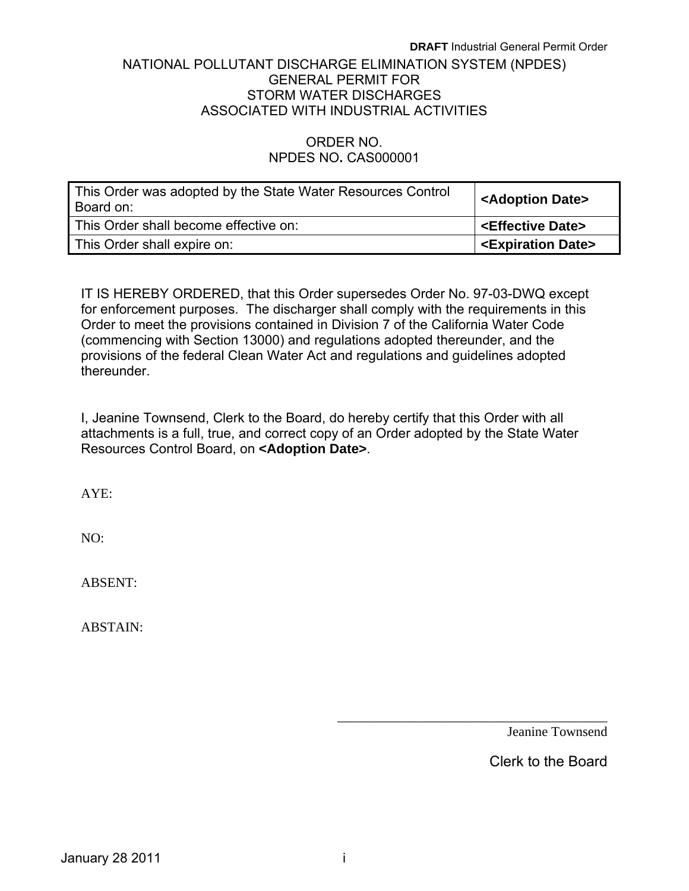#### NATIONAL POLLUTANT DISCHARGE ELIMINATION SYSTEM (NPDES) GENERAL PERMIT FOR STORM WATER DISCHARGES ASSOCIATED WITH INDUSTRIAL ACTIVITIES

#### ORDER NO. NPDES NO**.** CAS000001

| This Order was adopted by the State Water Resources Control<br>Board on: | <adoption date=""></adoption>     |
|--------------------------------------------------------------------------|-----------------------------------|
| This Order shall become effective on:                                    | <effective date=""></effective>   |
| This Order shall expire on:                                              | <expiration date=""></expiration> |

IT IS HEREBY ORDERED, that this Order supersedes Order No. 97-03-DWQ except for enforcement purposes. The discharger shall comply with the requirements in this Order to meet the provisions contained in Division 7 of the California Water Code (commencing with Section 13000) and regulations adopted thereunder, and the provisions of the federal Clean Water Act and regulations and guidelines adopted thereunder.

I, Jeanine Townsend, Clerk to the Board, do hereby certify that this Order with all attachments is a full, true, and correct copy of an Order adopted by the State Water Resources Control Board, on **<Adoption Date>**.

 $AYE:$ 

NO:

ABSENT:

ABSTAIN:

Jeanine Townsend

Clerk to the Board

 $\overline{\phantom{a}}$  ,  $\overline{\phantom{a}}$  ,  $\overline{\phantom{a}}$  ,  $\overline{\phantom{a}}$  ,  $\overline{\phantom{a}}$  ,  $\overline{\phantom{a}}$  ,  $\overline{\phantom{a}}$  ,  $\overline{\phantom{a}}$  ,  $\overline{\phantom{a}}$  ,  $\overline{\phantom{a}}$  ,  $\overline{\phantom{a}}$  ,  $\overline{\phantom{a}}$  ,  $\overline{\phantom{a}}$  ,  $\overline{\phantom{a}}$  ,  $\overline{\phantom{a}}$  ,  $\overline{\phantom{a}}$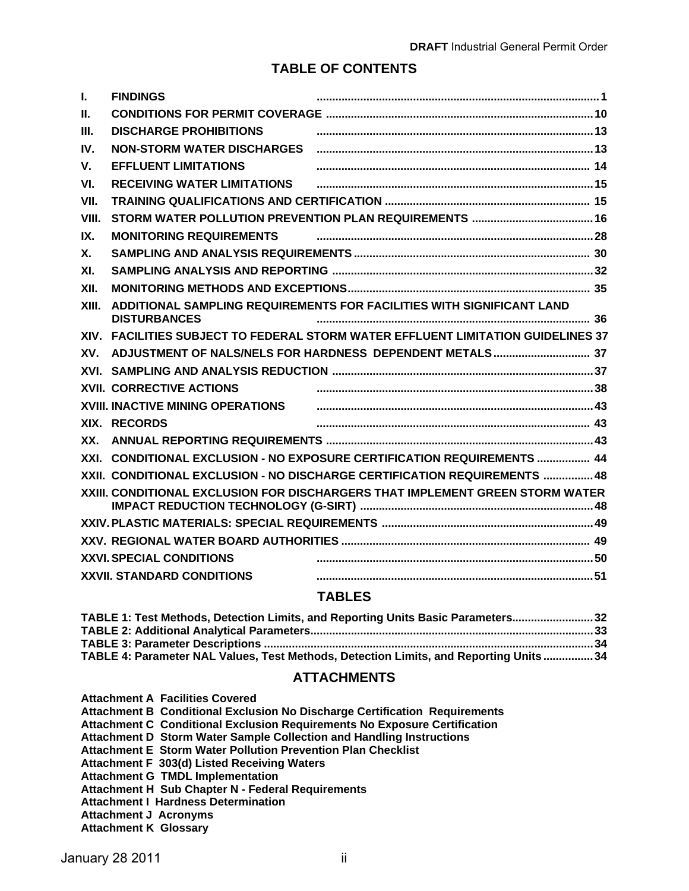### **TABLE OF CONTENTS**

| L           | <b>FINDINGS</b>                          |                                                                                    |
|-------------|------------------------------------------|------------------------------------------------------------------------------------|
| Ш.          |                                          |                                                                                    |
| III.        | <b>DISCHARGE PROHIBITIONS</b>            |                                                                                    |
| IV.         | <b>NON-STORM WATER DISCHARGES</b>        |                                                                                    |
| $V_{\cdot}$ | <b>EFFLUENT LIMITATIONS</b>              |                                                                                    |
| VI.         | <b>RECEIVING WATER LIMITATIONS</b>       |                                                                                    |
| VII.        |                                          |                                                                                    |
| VIII.       |                                          |                                                                                    |
| IX.         | <b>MONITORING REQUIREMENTS</b>           |                                                                                    |
| Χ.          |                                          |                                                                                    |
| XI.         |                                          |                                                                                    |
| XII.        |                                          |                                                                                    |
| XIII.       | <b>DISTURBANCES</b>                      | ADDITIONAL SAMPLING REQUIREMENTS FOR FACILITIES WITH SIGNIFICANT LAND              |
| XIV.        |                                          | <b>FACILITIES SUBJECT TO FEDERAL STORM WATER EFFLUENT LIMITATION GUIDELINES 37</b> |
| XV.         |                                          | ADJUSTMENT OF NALS/NELS FOR HARDNESS DEPENDENT METALS 37                           |
| XVI.        |                                          |                                                                                    |
|             | <b>XVII. CORRECTIVE ACTIONS</b>          |                                                                                    |
|             | <b>XVIII. INACTIVE MINING OPERATIONS</b> |                                                                                    |
| XIX.        | <b>RECORDS</b>                           |                                                                                    |
| XX.         |                                          |                                                                                    |
| XXI.        |                                          | <b>CONDITIONAL EXCLUSION - NO EXPOSURE CERTIFICATION REQUIREMENTS  44</b>          |
|             |                                          | XXII. CONDITIONAL EXCLUSION - NO DISCHARGE CERTIFICATION REQUIREMENTS  48          |
|             |                                          | XXIII. CONDITIONAL EXCLUSION FOR DISCHARGERS THAT IMPLEMENT GREEN STORM WATER      |
|             |                                          |                                                                                    |
|             |                                          |                                                                                    |
|             | <b>XXVI. SPECIAL CONDITIONS</b>          |                                                                                    |
|             | <b>XXVII. STANDARD CONDITIONS</b>        |                                                                                    |
|             |                                          |                                                                                    |

# **TABLES**

| TABLE 1: Test Methods, Detection Limits, and Reporting Units Basic Parameters32       |  |
|---------------------------------------------------------------------------------------|--|
|                                                                                       |  |
|                                                                                       |  |
| TABLE 4: Parameter NAL Values, Test Methods, Detection Limits, and Reporting Units 34 |  |

# **ATTACHMENTS**

|                              | <b>Attachment A Facilities Covered</b>                                            |
|------------------------------|-----------------------------------------------------------------------------------|
|                              | <b>Attachment B Conditional Exclusion No Discharge Certification Requirements</b> |
|                              | <b>Attachment C Conditional Exclusion Requirements No Exposure Certification</b>  |
|                              | Attachment D Storm Water Sample Collection and Handling Instructions              |
|                              | Attachment E Storm Water Pollution Prevention Plan Checklist                      |
|                              | Attachment F 303(d) Listed Receiving Waters                                       |
|                              | <b>Attachment G TMDL Implementation</b>                                           |
|                              | Attachment H Sub Chapter N - Federal Requirements                                 |
|                              | <b>Attachment I Hardness Determination</b>                                        |
| <b>Attachment J Acronyms</b> |                                                                                   |
| <b>Attachment K Glossary</b> |                                                                                   |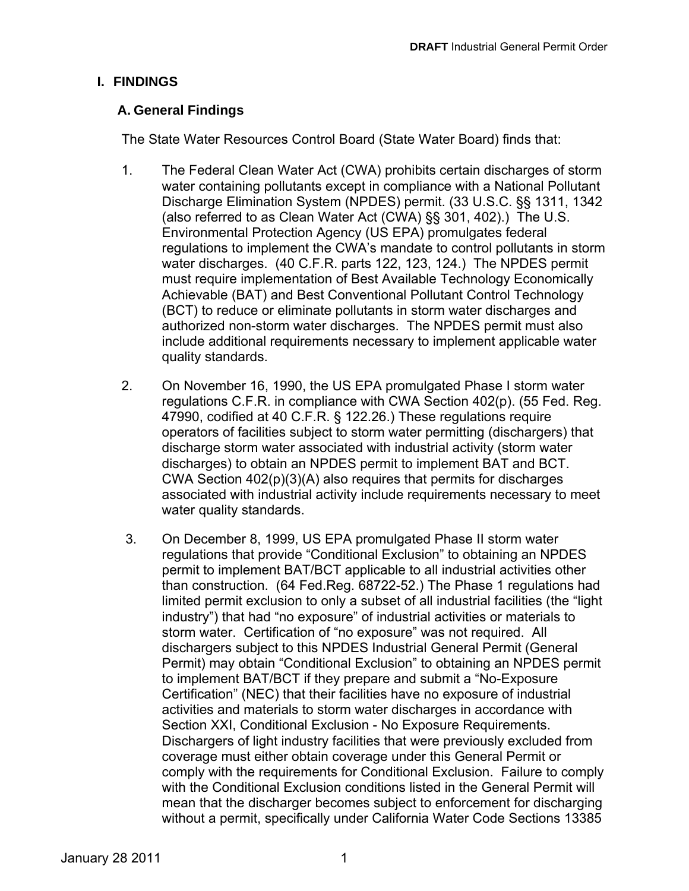#### <span id="page-2-0"></span>**I. FINDINGS**

#### **A. General Findings**

The State Water Resources Control Board (State Water Board) finds that:

- 1. The Federal Clean Water Act (CWA) prohibits certain discharges of storm water containing pollutants except in compliance with a National Pollutant Discharge Elimination System (NPDES) permit. (33 U.S.C. §§ 1311, 1342 (also referred to as Clean Water Act (CWA) §§ 301, 402).) The U.S. Environmental Protection Agency (US EPA) promulgates federal regulations to implement the CWA's mandate to control pollutants in storm water discharges. (40 C.F.R. parts 122, 123, 124.) The NPDES permit must require implementation of Best Available Technology Economically Achievable (BAT) and Best Conventional Pollutant Control Technology (BCT) to reduce or eliminate pollutants in storm water discharges and authorized non-storm water discharges. The NPDES permit must also include additional requirements necessary to implement applicable water quality standards.
- 2. On November 16, 1990, the US EPA promulgated Phase I storm water regulations C.F.R. in compliance with CWA Section 402(p). (55 Fed. Reg. 47990, codified at 40 C.F.R. § 122.26.) These regulations require operators of facilities subject to storm water permitting (dischargers) that discharge storm water associated with industrial activity (storm water discharges) to obtain an NPDES permit to implement BAT and BCT. CWA Section 402(p)(3)(A) also requires that permits for discharges associated with industrial activity include requirements necessary to meet water quality standards.
- 3. On December 8, 1999, US EPA promulgated Phase II storm water regulations that provide "Conditional Exclusion" to obtaining an NPDES permit to implement BAT/BCT applicable to all industrial activities other than construction. (64 Fed.Reg. 68722-52.) The Phase 1 regulations had limited permit exclusion to only a subset of all industrial facilities (the "light industry") that had "no exposure" of industrial activities or materials to storm water. Certification of "no exposure" was not required. All dischargers subject to this NPDES Industrial General Permit (General Permit) may obtain "Conditional Exclusion" to obtaining an NPDES permit to implement BAT/BCT if they prepare and submit a "No-Exposure Certification" (NEC) that their facilities have no exposure of industrial activities and materials to storm water discharges in accordance with Section XXI, Conditional Exclusion - No Exposure Requirements. Dischargers of light industry facilities that were previously excluded from coverage must either obtain coverage under this General Permit or comply with the requirements for Conditional Exclusion. Failure to comply with the Conditional Exclusion conditions listed in the General Permit will mean that the discharger becomes subject to enforcement for discharging without a permit, specifically under California Water Code Sections 13385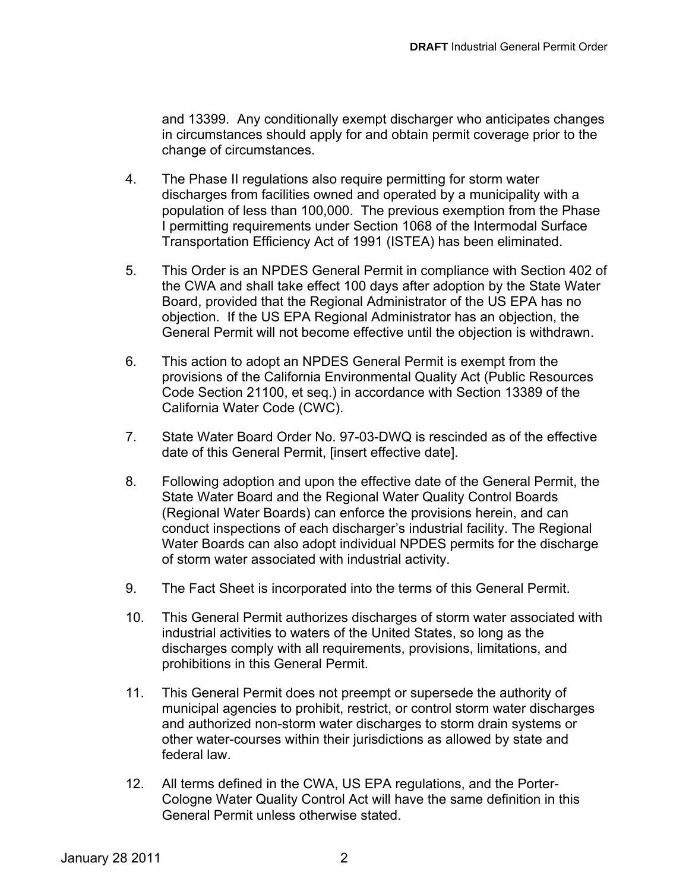and 13399. Any conditionally exempt discharger who anticipates changes in circumstances should apply for and obtain permit coverage prior to the change of circumstances.

- 4. The Phase II regulations also require permitting for storm water discharges from facilities owned and operated by a municipality with a population of less than 100,000. The previous exemption from the Phase I permitting requirements under Section 1068 of the Intermodal Surface Transportation Efficiency Act of 1991 (ISTEA) has been eliminated.
- 5. This Order is an NPDES General Permit in compliance with Section 402 of the CWA and shall take effect 100 days after adoption by the State Water Board, provided that the Regional Administrator of the US EPA has no objection. If the US EPA Regional Administrator has an objection, the General Permit will not become effective until the objection is withdrawn.
- 6. This action to adopt an NPDES General Permit is exempt from the provisions of the California Environmental Quality Act (Public Resources Code Section 21100, et seq.) in accordance with Section 13389 of the California Water Code (CWC).
- 7. State Water Board Order No. 97-03-DWQ is rescinded as of the effective date of this General Permit, [insert effective date].
- 8. Following adoption and upon the effective date of the General Permit, the State Water Board and the Regional Water Quality Control Boards (Regional Water Boards) can enforce the provisions herein, and can conduct inspections of each discharger's industrial facility. The Regional Water Boards can also adopt individual NPDES permits for the discharge of storm water associated with industrial activity.
- 9. The Fact Sheet is incorporated into the terms of this General Permit.
- 10. This General Permit authorizes discharges of storm water associated with industrial activities to waters of the United States, so long as the discharges comply with all requirements, provisions, limitations, and prohibitions in this General Permit.
- 11. This General Permit does not preempt or supersede the authority of municipal agencies to prohibit, restrict, or control storm water discharges and authorized non-storm water discharges to storm drain systems or other water-courses within their jurisdictions as allowed by state and federal law.
- 12. All terms defined in the CWA, US EPA regulations, and the Porter-Cologne Water Quality Control Act will have the same definition in this General Permit unless otherwise stated.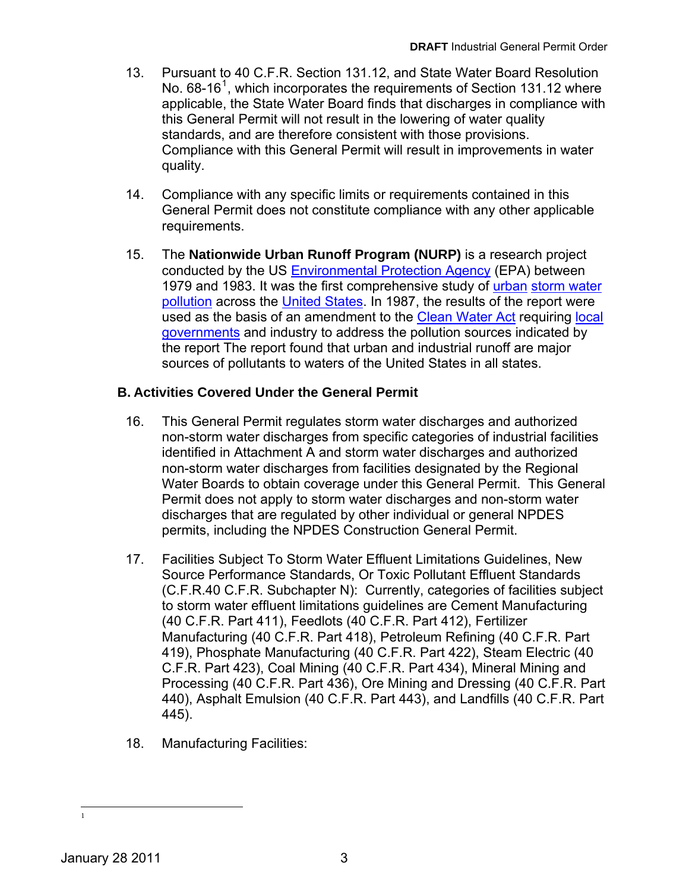- 13. Pursuant to 40 C.F.R. Section 131.12, and State Water Board Resolution No. 68-[1](#page-4-0)6<sup>1</sup>, which incorporates the requirements of Section 131.12 where applicable, the State Water Board finds that discharges in compliance with this General Permit will not result in the lowering of water quality standards, and are therefore consistent with those provisions. Compliance with this General Permit will result in improvements in water quality.
- 14. Compliance with any specific limits or requirements contained in this General Permit does not constitute compliance with any other applicable requirements.
- 15. The **Nationwide Urban Runoff Program (NURP)** is a research project conducted by the US [Environmental Protection Agency](http://en.wikipedia.org/wiki/United_States_Environmental_Protection_Agency) (EPA) between 1979 and 1983. It was the first comprehensive study of [urban](http://en.wikipedia.org/wiki/Urban_areas) [storm water](http://en.wikipedia.org/wiki/Stormwater) [pollution](http://en.wikipedia.org/wiki/Water_pollution) across the [United States.](http://en.wikipedia.org/wiki/United_States) In 1987, the results of the report were used as the basis of an amendment to the [Clean Water Act](http://en.wikipedia.org/wiki/Clean_Water_Act) requiring local [governments](http://en.wikipedia.org/wiki/Local_government_in_the_United_States) and industry to address the pollution sources indicated by the report The report found that urban and industrial runoff are major sources of pollutants to waters of the United States in all states.

### **B. Activities Covered Under the General Permit**

- 16. This General Permit regulates storm water discharges and authorized non-storm water discharges from specific categories of industrial facilities identified in Attachment A and storm water discharges and authorized non-storm water discharges from facilities designated by the Regional Water Boards to obtain coverage under this General Permit. This General Permit does not apply to storm water discharges and non-storm water discharges that are regulated by other individual or general NPDES permits, including the NPDES Construction General Permit.
- 17. Facilities Subject To Storm Water Effluent Limitations Guidelines, New Source Performance Standards, Or Toxic Pollutant Effluent Standards (C.F.R.40 C.F.R. Subchapter N): Currently, categories of facilities subject to storm water effluent limitations guidelines are Cement Manufacturing (40 C.F.R. Part 411), Feedlots (40 C.F.R. Part 412), Fertilizer Manufacturing (40 C.F.R. Part 418), Petroleum Refining (40 C.F.R. Part 419), Phosphate Manufacturing (40 C.F.R. Part 422), Steam Electric (40 C.F.R. Part 423), Coal Mining (40 C.F.R. Part 434), Mineral Mining and Processing (40 C.F.R. Part 436), Ore Mining and Dressing (40 C.F.R. Part 440), Asphalt Emulsion (40 C.F.R. Part 443), and Landfills (40 C.F.R. Part 445).
- 18. Manufacturing Facilities:

<span id="page-4-0"></span> $\overline{a}$ 1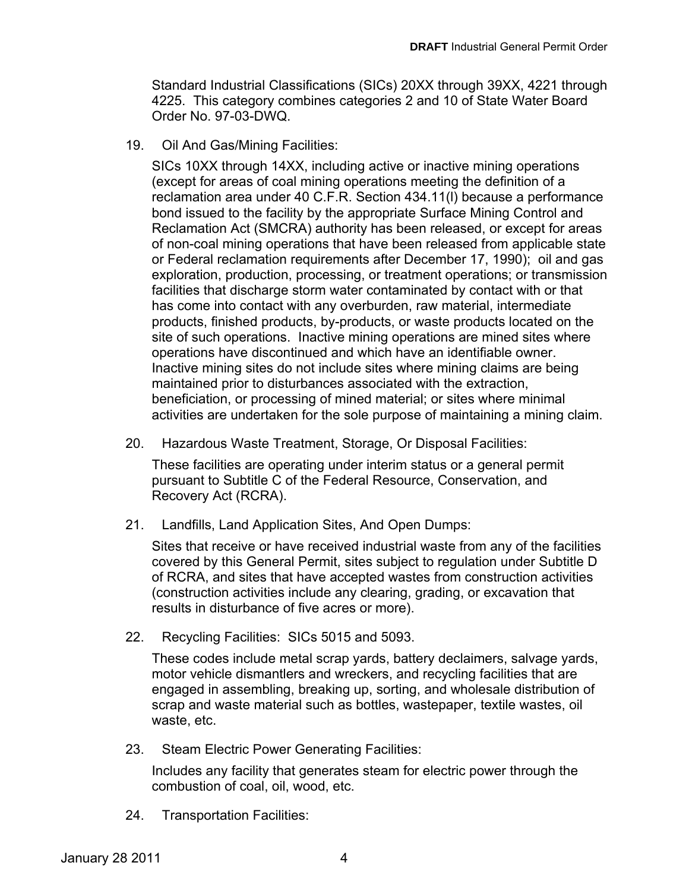Standard Industrial Classifications (SICs) 20XX through 39XX, 4221 through 4225. This category combines categories 2 and 10 of State Water Board Order No. 97-03-DWQ.

19. Oil And Gas/Mining Facilities:

SICs 10XX through 14XX, including active or inactive mining operations (except for areas of coal mining operations meeting the definition of a reclamation area under 40 C.F.R. Section 434.11(l) because a performance bond issued to the facility by the appropriate Surface Mining Control and Reclamation Act (SMCRA) authority has been released, or except for areas of non-coal mining operations that have been released from applicable state or Federal reclamation requirements after December 17, 1990); oil and gas exploration, production, processing, or treatment operations; or transmission facilities that discharge storm water contaminated by contact with or that has come into contact with any overburden, raw material, intermediate products, finished products, by-products, or waste products located on the site of such operations. Inactive mining operations are mined sites where operations have discontinued and which have an identifiable owner. Inactive mining sites do not include sites where mining claims are being maintained prior to disturbances associated with the extraction, beneficiation, or processing of mined material; or sites where minimal activities are undertaken for the sole purpose of maintaining a mining claim.

20. Hazardous Waste Treatment, Storage, Or Disposal Facilities:

These facilities are operating under interim status or a general permit pursuant to Subtitle C of the Federal Resource, Conservation, and Recovery Act (RCRA).

21. Landfills, Land Application Sites, And Open Dumps:

Sites that receive or have received industrial waste from any of the facilities covered by this General Permit, sites subject to regulation under Subtitle D of RCRA, and sites that have accepted wastes from construction activities (construction activities include any clearing, grading, or excavation that results in disturbance of five acres or more).

22. Recycling Facilities: SICs 5015 and 5093.

These codes include metal scrap yards, battery declaimers, salvage yards, motor vehicle dismantlers and wreckers, and recycling facilities that are engaged in assembling, breaking up, sorting, and wholesale distribution of scrap and waste material such as bottles, wastepaper, textile wastes, oil waste, etc.

23. Steam Electric Power Generating Facilities:

Includes any facility that generates steam for electric power through the combustion of coal, oil, wood, etc.

24. Transportation Facilities: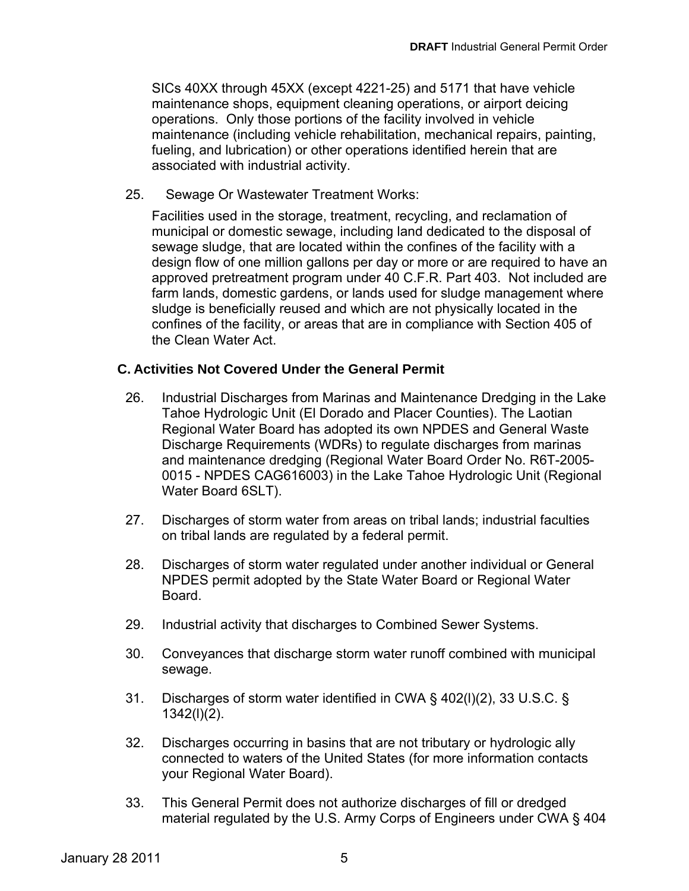SICs 40XX through 45XX (except 4221-25) and 5171 that have vehicle maintenance shops, equipment cleaning operations, or airport deicing operations. Only those portions of the facility involved in vehicle maintenance (including vehicle rehabilitation, mechanical repairs, painting, fueling, and lubrication) or other operations identified herein that are associated with industrial activity.

25. Sewage Or Wastewater Treatment Works:

Facilities used in the storage, treatment, recycling, and reclamation of municipal or domestic sewage, including land dedicated to the disposal of sewage sludge, that are located within the confines of the facility with a design flow of one million gallons per day or more or are required to have an approved pretreatment program under 40 C.F.R. Part 403. Not included are farm lands, domestic gardens, or lands used for sludge management where sludge is beneficially reused and which are not physically located in the confines of the facility, or areas that are in compliance with Section 405 of the Clean Water Act.

### **C. Activities Not Covered Under the General Permit**

- 26. Industrial Discharges from Marinas and Maintenance Dredging in the Lake Tahoe Hydrologic Unit (El Dorado and Placer Counties). The Laotian Regional Water Board has adopted its own NPDES and General Waste Discharge Requirements (WDRs) to regulate discharges from marinas and maintenance dredging (Regional Water Board Order No. R6T-2005- 0015 - NPDES CAG616003) in the Lake Tahoe Hydrologic Unit (Regional Water Board 6SLT).
- 27. Discharges of storm water from areas on tribal lands; industrial faculties on tribal lands are regulated by a federal permit.
- 28. Discharges of storm water regulated under another individual or General NPDES permit adopted by the State Water Board or Regional Water Board.
- 29. Industrial activity that discharges to Combined Sewer Systems.
- 30. Conveyances that discharge storm water runoff combined with municipal sewage.
- 31. Discharges of storm water identified in CWA § 402(l)(2), 33 U.S.C. § 1342(l)(2).
- 32. Discharges occurring in basins that are not tributary or hydrologic ally connected to waters of the United States (for more information contacts your Regional Water Board).
- 33. This General Permit does not authorize discharges of fill or dredged material regulated by the U.S. Army Corps of Engineers under CWA § 404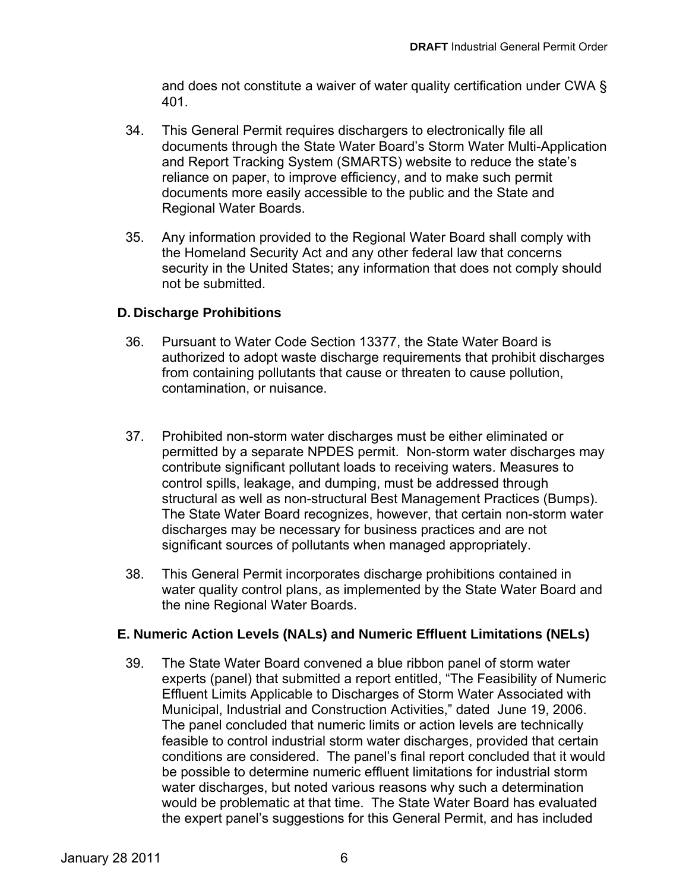and does not constitute a waiver of water quality certification under CWA § 401.

- 34. This General Permit requires dischargers to electronically file all documents through the State Water Board's Storm Water Multi-Application and Report Tracking System (SMARTS) website to reduce the state's reliance on paper, to improve efficiency, and to make such permit documents more easily accessible to the public and the State and Regional Water Boards.
- 35. Any information provided to the Regional Water Board shall comply with the Homeland Security Act and any other federal law that concerns security in the United States; any information that does not comply should not be submitted.

#### **D. Discharge Prohibitions**

- 36. Pursuant to Water Code Section 13377, the State Water Board is authorized to adopt waste discharge requirements that prohibit discharges from containing pollutants that cause or threaten to cause pollution, contamination, or nuisance.
- 37. Prohibited non-storm water discharges must be either eliminated or permitted by a separate NPDES permit. Non-storm water discharges may contribute significant pollutant loads to receiving waters. Measures to control spills, leakage, and dumping, must be addressed through structural as well as non-structural Best Management Practices (Bumps). The State Water Board recognizes, however, that certain non-storm water discharges may be necessary for business practices and are not significant sources of pollutants when managed appropriately.
- 38. This General Permit incorporates discharge prohibitions contained in water quality control plans, as implemented by the State Water Board and the nine Regional Water Boards.

#### **E. Numeric Action Levels (NALs) and Numeric Effluent Limitations (NELs)**

39. The State Water Board convened a blue ribbon panel of storm water experts (panel) that submitted a report entitled, "The Feasibility of Numeric Effluent Limits Applicable to Discharges of Storm Water Associated with Municipal, Industrial and Construction Activities," dated June 19, 2006. The panel concluded that numeric limits or action levels are technically feasible to control industrial storm water discharges, provided that certain conditions are considered. The panel's final report concluded that it would be possible to determine numeric effluent limitations for industrial storm water discharges, but noted various reasons why such a determination would be problematic at that time. The State Water Board has evaluated the expert panel's suggestions for this General Permit, and has included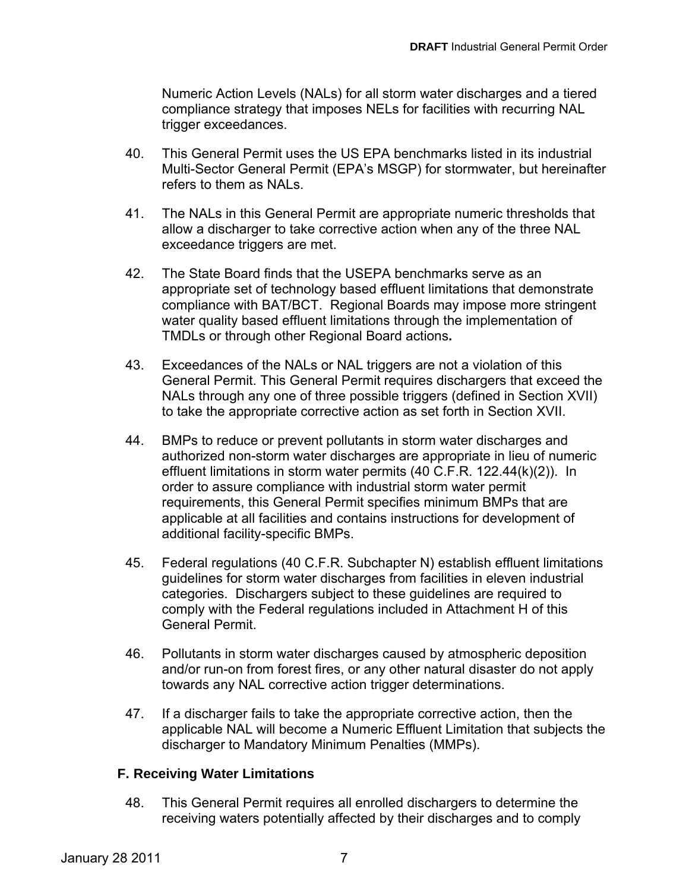Numeric Action Levels (NALs) for all storm water discharges and a tiered compliance strategy that imposes NELs for facilities with recurring NAL trigger exceedances.

- 40. This General Permit uses the US EPA benchmarks listed in its industrial Multi-Sector General Permit (EPA's MSGP) for stormwater, but hereinafter refers to them as NALs.
- 41. The NALs in this General Permit are appropriate numeric thresholds that allow a discharger to take corrective action when any of the three NAL exceedance triggers are met.
- 42. The State Board finds that the USEPA benchmarks serve as an appropriate set of technology based effluent limitations that demonstrate compliance with BAT/BCT. Regional Boards may impose more stringent water quality based effluent limitations through the implementation of TMDLs or through other Regional Board actions**.**
- 43. Exceedances of the NALs or NAL triggers are not a violation of this General Permit. This General Permit requires dischargers that exceed the NALs through any one of three possible triggers (defined in Section XVII) to take the appropriate corrective action as set forth in Section XVII.
- 44. BMPs to reduce or prevent pollutants in storm water discharges and authorized non-storm water discharges are appropriate in lieu of numeric effluent limitations in storm water permits (40 C.F.R. 122.44(k)(2)). In order to assure compliance with industrial storm water permit requirements, this General Permit specifies minimum BMPs that are applicable at all facilities and contains instructions for development of additional facility-specific BMPs.
- 45. Federal regulations (40 C.F.R. Subchapter N) establish effluent limitations guidelines for storm water discharges from facilities in eleven industrial categories. Dischargers subject to these guidelines are required to comply with the Federal regulations included in Attachment H of this General Permit.
- 46. Pollutants in storm water discharges caused by atmospheric deposition and/or run-on from forest fires, or any other natural disaster do not apply towards any NAL corrective action trigger determinations.
- 47. If a discharger fails to take the appropriate corrective action, then the applicable NAL will become a Numeric Effluent Limitation that subjects the discharger to Mandatory Minimum Penalties (MMPs).

#### **F. Receiving Water Limitations**

48. This General Permit requires all enrolled dischargers to determine the receiving waters potentially affected by their discharges and to comply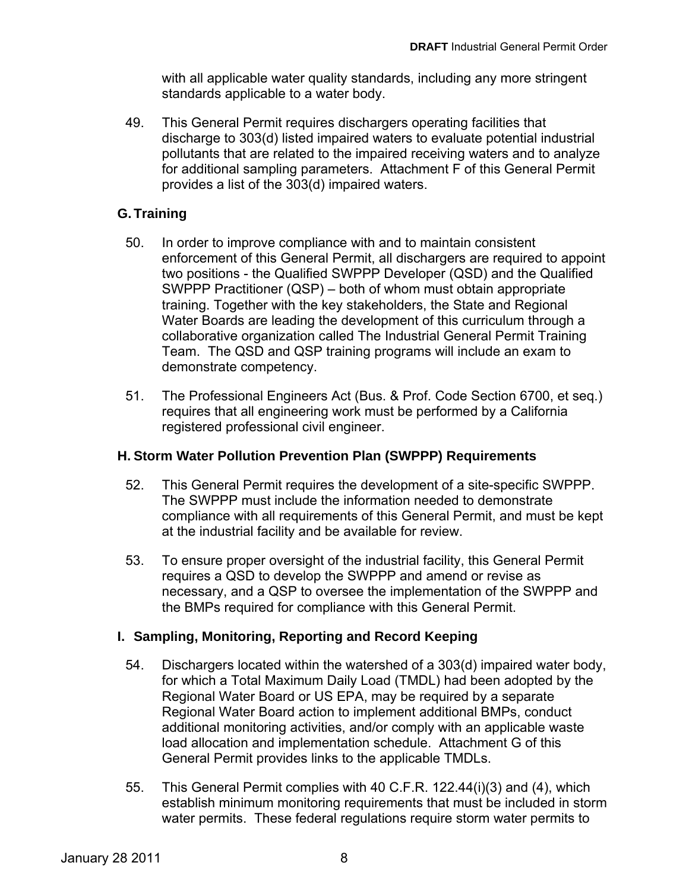with all applicable water quality standards, including any more stringent standards applicable to a water body.

49. This General Permit requires dischargers operating facilities that discharge to 303(d) listed impaired waters to evaluate potential industrial pollutants that are related to the impaired receiving waters and to analyze for additional sampling parameters. Attachment F of this General Permit provides a list of the 303(d) impaired waters.

### **G. Training**

- 50. In order to improve compliance with and to maintain consistent enforcement of this General Permit, all dischargers are required to appoint two positions - the Qualified SWPPP Developer (QSD) and the Qualified SWPPP Practitioner (QSP) – both of whom must obtain appropriate training. Together with the key stakeholders, the State and Regional Water Boards are leading the development of this curriculum through a collaborative organization called The Industrial General Permit Training Team. The QSD and QSP training programs will include an exam to demonstrate competency.
- 51. The Professional Engineers Act (Bus. & Prof. Code Section 6700, et seq.) requires that all engineering work must be performed by a California registered professional civil engineer.

### **H. Storm Water Pollution Prevention Plan (SWPPP) Requirements**

- 52. This General Permit requires the development of a site-specific SWPPP. The SWPPP must include the information needed to demonstrate compliance with all requirements of this General Permit, and must be kept at the industrial facility and be available for review.
- 53. To ensure proper oversight of the industrial facility, this General Permit requires a QSD to develop the SWPPP and amend or revise as necessary, and a QSP to oversee the implementation of the SWPPP and the BMPs required for compliance with this General Permit.

### **I. Sampling, Monitoring, Reporting and Record Keeping**

- 54. Dischargers located within the watershed of a 303(d) impaired water body, for which a Total Maximum Daily Load (TMDL) had been adopted by the Regional Water Board or US EPA, may be required by a separate Regional Water Board action to implement additional BMPs, conduct additional monitoring activities, and/or comply with an applicable waste load allocation and implementation schedule. Attachment G of this General Permit provides links to the applicable TMDLs.
- 55. This General Permit complies with 40 C.F.R. 122.44(i)(3) and (4), which establish minimum monitoring requirements that must be included in storm water permits. These federal regulations require storm water permits to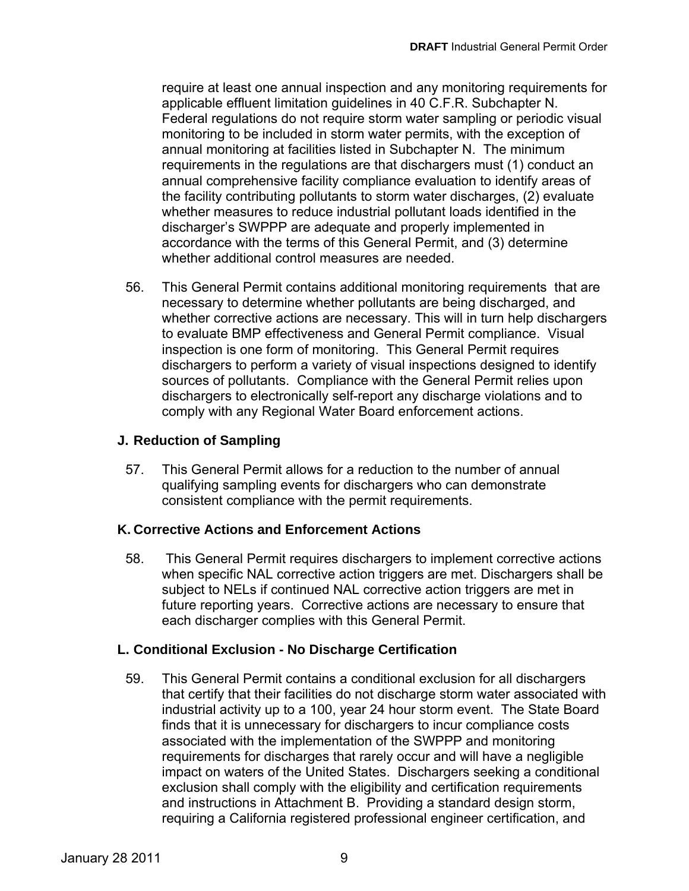require at least one annual inspection and any monitoring requirements for applicable effluent limitation guidelines in 40 C.F.R. Subchapter N. Federal regulations do not require storm water sampling or periodic visual monitoring to be included in storm water permits, with the exception of annual monitoring at facilities listed in Subchapter N. The minimum requirements in the regulations are that dischargers must (1) conduct an annual comprehensive facility compliance evaluation to identify areas of the facility contributing pollutants to storm water discharges, (2) evaluate whether measures to reduce industrial pollutant loads identified in the discharger's SWPPP are adequate and properly implemented in accordance with the terms of this General Permit, and (3) determine whether additional control measures are needed.

56. This General Permit contains additional monitoring requirements that are necessary to determine whether pollutants are being discharged, and whether corrective actions are necessary. This will in turn help dischargers to evaluate BMP effectiveness and General Permit compliance. Visual inspection is one form of monitoring. This General Permit requires dischargers to perform a variety of visual inspections designed to identify sources of pollutants. Compliance with the General Permit relies upon dischargers to electronically self-report any discharge violations and to comply with any Regional Water Board enforcement actions.

### **J. Reduction of Sampling**

57. This General Permit allows for a reduction to the number of annual qualifying sampling events for dischargers who can demonstrate consistent compliance with the permit requirements.

### **K. Corrective Actions and Enforcement Actions**

58. This General Permit requires dischargers to implement corrective actions when specific NAL corrective action triggers are met. Dischargers shall be subject to NELs if continued NAL corrective action triggers are met in future reporting years. Corrective actions are necessary to ensure that each discharger complies with this General Permit.

### **L. Conditional Exclusion - No Discharge Certification**

59. This General Permit contains a conditional exclusion for all dischargers that certify that their facilities do not discharge storm water associated with industrial activity up to a 100, year 24 hour storm event. The State Board finds that it is unnecessary for dischargers to incur compliance costs associated with the implementation of the SWPPP and monitoring requirements for discharges that rarely occur and will have a negligible impact on waters of the United States. Dischargers seeking a conditional exclusion shall comply with the eligibility and certification requirements and instructions in Attachment B. Providing a standard design storm, requiring a California registered professional engineer certification, and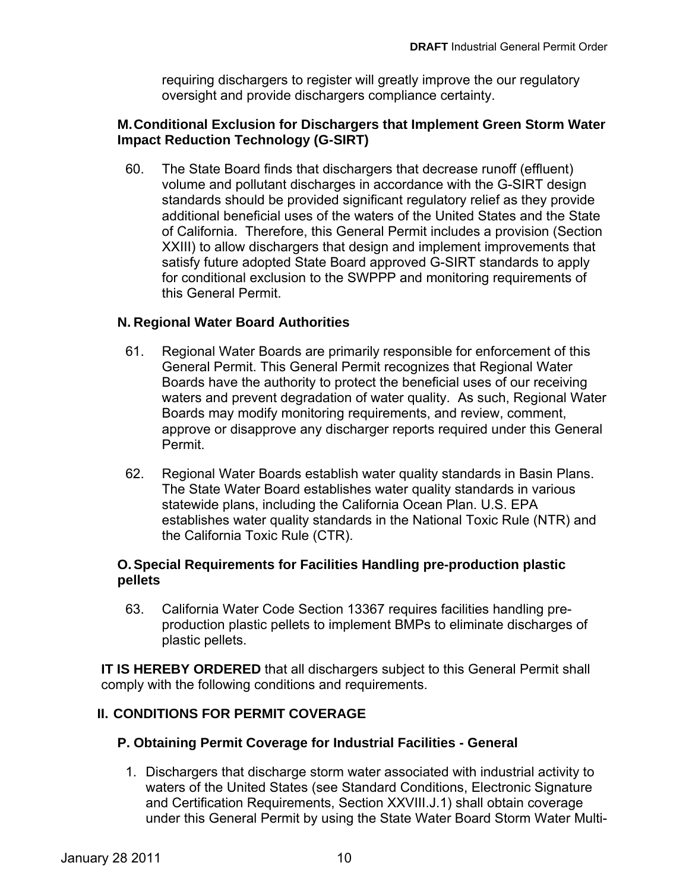requiring dischargers to register will greatly improve the our regulatory oversight and provide dischargers compliance certainty.

#### **M. Conditional Exclusion for Dischargers that Implement Green Storm Water Impact Reduction Technology (G-SIRT)**

60. The State Board finds that dischargers that decrease runoff (effluent) volume and pollutant discharges in accordance with the G-SIRT design standards should be provided significant regulatory relief as they provide additional beneficial uses of the waters of the United States and the State of California. Therefore, this General Permit includes a provision (Section XXIII) to allow dischargers that design and implement improvements that satisfy future adopted State Board approved G-SIRT standards to apply for conditional exclusion to the SWPPP and monitoring requirements of this General Permit.

### **N. Regional Water Board Authorities**

- 61. Regional Water Boards are primarily responsible for enforcement of this General Permit. This General Permit recognizes that Regional Water Boards have the authority to protect the beneficial uses of our receiving waters and prevent degradation of water quality. As such, Regional Water Boards may modify monitoring requirements, and review, comment, approve or disapprove any discharger reports required under this General Permit.
- 62. Regional Water Boards establish water quality standards in Basin Plans. The State Water Board establishes water quality standards in various statewide plans, including the California Ocean Plan. U.S. EPA establishes water quality standards in the National Toxic Rule (NTR) and the California Toxic Rule (CTR).

#### **O. Special Requirements for Facilities Handling pre-production plastic pellets**

63. California Water Code Section 13367 requires facilities handling preproduction plastic pellets to implement BMPs to eliminate discharges of plastic pellets.

**IT IS HEREBY ORDERED** that all dischargers subject to this General Permit shall comply with the following conditions and requirements.

### <span id="page-11-0"></span>**II. CONDITIONS FOR PERMIT COVERAGE**

#### **P. Obtaining Permit Coverage for Industrial Facilities - General**

1. Dischargers that discharge storm water associated with industrial activity to waters of the United States (see Standard Conditions, Electronic Signature and Certification Requirements, Section XXVIII.J.1) shall obtain coverage under this General Permit by using the State Water Board Storm Water Multi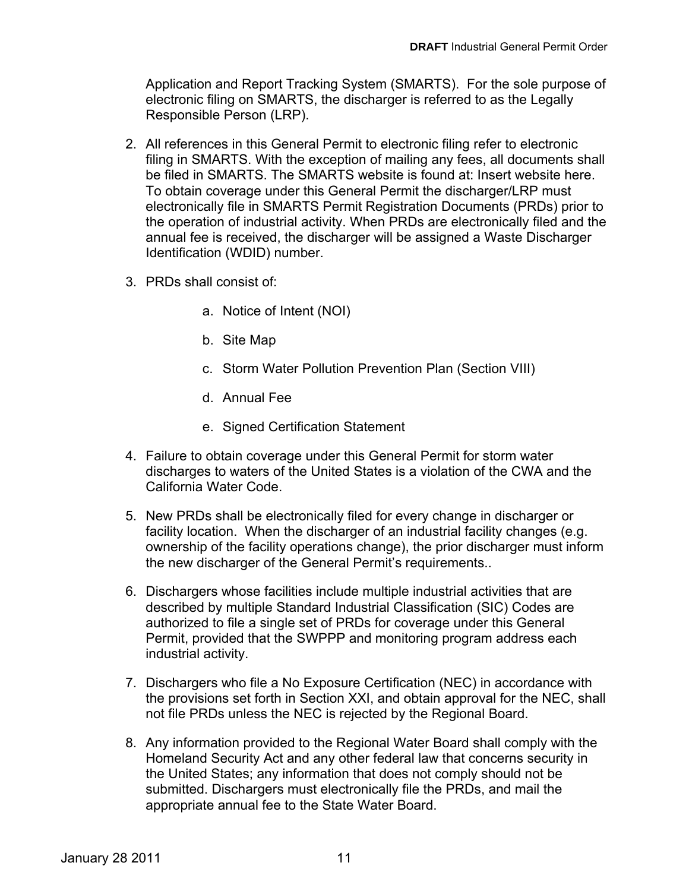Application and Report Tracking System (SMARTS). For the sole purpose of electronic filing on SMARTS, the discharger is referred to as the Legally Responsible Person (LRP).

- 2. All references in this General Permit to electronic filing refer to electronic filing in SMARTS. With the exception of mailing any fees, all documents shall be filed in SMARTS. The SMARTS website is found at: Insert website here. To obtain coverage under this General Permit the discharger/LRP must electronically file in SMARTS Permit Registration Documents (PRDs) prior to the operation of industrial activity. When PRDs are electronically filed and the annual fee is received, the discharger will be assigned a Waste Discharger Identification (WDID) number.
- 3. PRDs shall consist of:
	- a. Notice of Intent (NOI)
	- b. Site Map
	- c. Storm Water Pollution Prevention Plan (Section VIII)
	- d. Annual Fee
	- e. Signed Certification Statement
- 4. Failure to obtain coverage under this General Permit for storm water discharges to waters of the United States is a violation of the CWA and the California Water Code.
- 5. New PRDs shall be electronically filed for every change in discharger or facility location. When the discharger of an industrial facility changes (e.g. ownership of the facility operations change), the prior discharger must inform the new discharger of the General Permit's requirements..
- 6. Dischargers whose facilities include multiple industrial activities that are described by multiple Standard Industrial Classification (SIC) Codes are authorized to file a single set of PRDs for coverage under this General Permit, provided that the SWPPP and monitoring program address each industrial activity.
- 7. Dischargers who file a No Exposure Certification (NEC) in accordance with the provisions set forth in Section XXI, and obtain approval for the NEC, shall not file PRDs unless the NEC is rejected by the Regional Board.
- 8. Any information provided to the Regional Water Board shall comply with the Homeland Security Act and any other federal law that concerns security in the United States; any information that does not comply should not be submitted. Dischargers must electronically file the PRDs, and mail the appropriate annual fee to the State Water Board.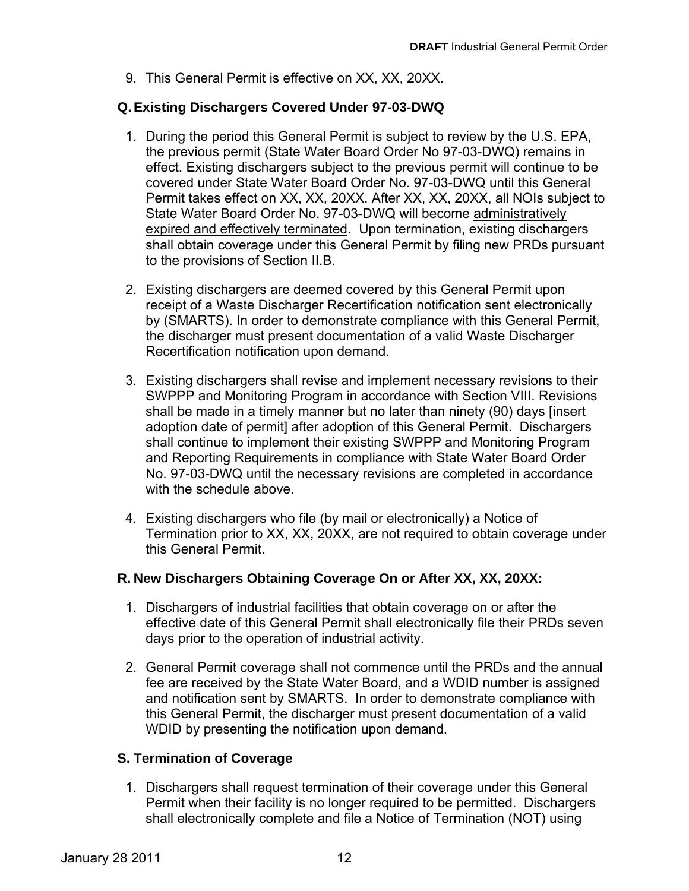9. This General Permit is effective on XX, XX, 20XX.

#### **Q. Existing Dischargers Covered Under 97-03-DWQ**

- 1. During the period this General Permit is subject to review by the U.S. EPA, the previous permit (State Water Board Order No 97-03-DWQ) remains in effect. Existing dischargers subject to the previous permit will continue to be covered under State Water Board Order No. 97-03-DWQ until this General Permit takes effect on XX, XX, 20XX. After XX, XX, 20XX, all NOIs subject to State Water Board Order No. 97-03-DWQ will become administratively expired and effectively terminated. Upon termination, existing dischargers shall obtain coverage under this General Permit by filing new PRDs pursuant to the provisions of Section II.B.
- 2. Existing dischargers are deemed covered by this General Permit upon receipt of a Waste Discharger Recertification notification sent electronically by (SMARTS). In order to demonstrate compliance with this General Permit, the discharger must present documentation of a valid Waste Discharger Recertification notification upon demand.
- 3. Existing dischargers shall revise and implement necessary revisions to their SWPPP and Monitoring Program in accordance with Section VIII. Revisions shall be made in a timely manner but no later than ninety (90) days [insert adoption date of permit] after adoption of this General Permit. Dischargers shall continue to implement their existing SWPPP and Monitoring Program and Reporting Requirements in compliance with State Water Board Order No. 97-03-DWQ until the necessary revisions are completed in accordance with the schedule above.
- 4. Existing dischargers who file (by mail or electronically) a Notice of Termination prior to XX, XX, 20XX, are not required to obtain coverage under this General Permit.

#### **R. New Dischargers Obtaining Coverage On or After XX, XX, 20XX:**

- 1. Dischargers of industrial facilities that obtain coverage on or after the effective date of this General Permit shall electronically file their PRDs seven days prior to the operation of industrial activity.
- 2. General Permit coverage shall not commence until the PRDs and the annual fee are received by the State Water Board, and a WDID number is assigned and notification sent by SMARTS. In order to demonstrate compliance with this General Permit, the discharger must present documentation of a valid WDID by presenting the notification upon demand.

### **S. Termination of Coverage**

1. Dischargers shall request termination of their coverage under this General Permit when their facility is no longer required to be permitted. Dischargers shall electronically complete and file a Notice of Termination (NOT) using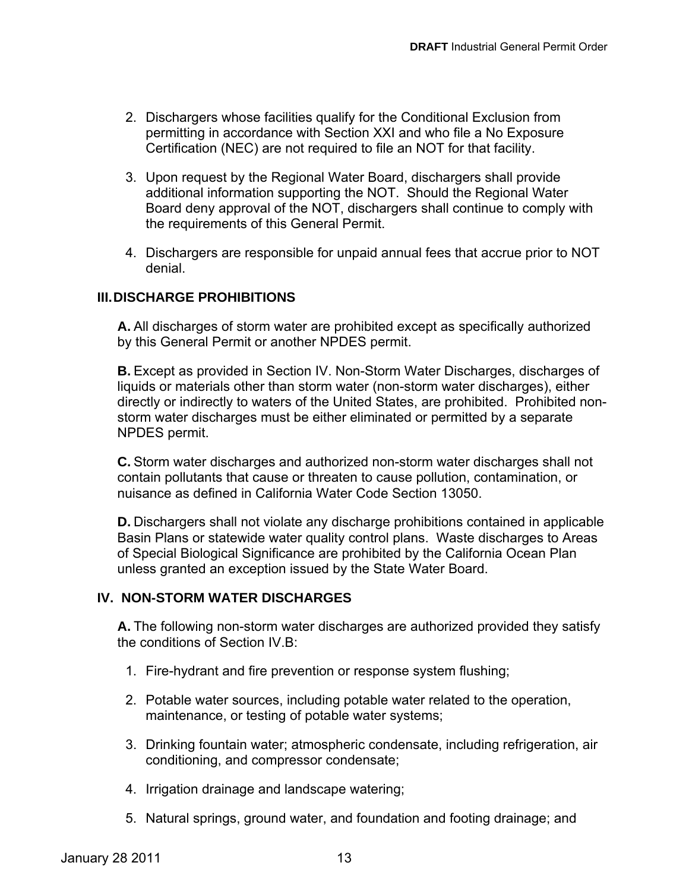- 2. Dischargers whose facilities qualify for the Conditional Exclusion from permitting in accordance with Section XXI and who file a No Exposure Certification (NEC) are not required to file an NOT for that facility.
- 3. Upon request by the Regional Water Board, dischargers shall provide additional information supporting the NOT. Should the Regional Water Board deny approval of the NOT, dischargers shall continue to comply with the requirements of this General Permit.
- 4. Dischargers are responsible for unpaid annual fees that accrue prior to NOT denial.

### <span id="page-14-0"></span>**III. DISCHARGE PROHIBITIONS**

**A.** All discharges of storm water are prohibited except as specifically authorized by this General Permit or another NPDES permit.

**B.** Except as provided in Section IV. Non-Storm Water Discharges, discharges of liquids or materials other than storm water (non-storm water discharges), either directly or indirectly to waters of the United States, are prohibited. Prohibited nonstorm water discharges must be either eliminated or permitted by a separate NPDES permit.

**C.** Storm water discharges and authorized non-storm water discharges shall not contain pollutants that cause or threaten to cause pollution, contamination, or nuisance as defined in California Water Code Section 13050.

**D.** Dischargers shall not violate any discharge prohibitions contained in applicable Basin Plans or statewide water quality control plans. Waste discharges to Areas of Special Biological Significance are prohibited by the California Ocean Plan unless granted an exception issued by the State Water Board.

### <span id="page-14-1"></span>**IV. NON-STORM WATER DISCHARGES**

**A.** The following non-storm water discharges are authorized provided they satisfy the conditions of Section IV.B:

- 1. Fire-hydrant and fire prevention or response system flushing;
- 2. Potable water sources, including potable water related to the operation, maintenance, or testing of potable water systems;
- 3. Drinking fountain water; atmospheric condensate, including refrigeration, air conditioning, and compressor condensate;
- 4. Irrigation drainage and landscape watering;
- 5. Natural springs, ground water, and foundation and footing drainage; and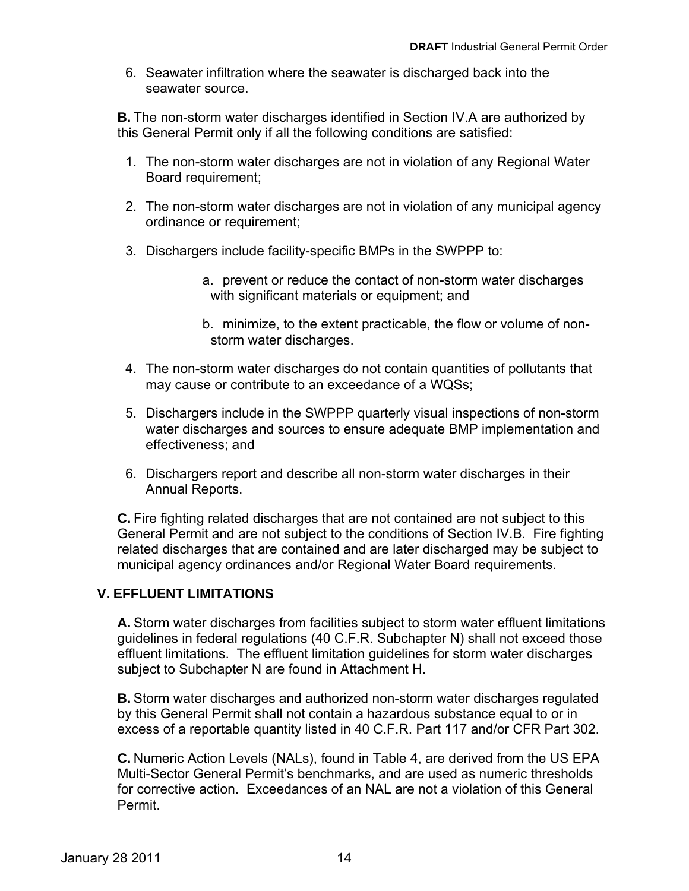6. Seawater infiltration where the seawater is discharged back into the seawater source.

**B.** The non-storm water discharges identified in Section IV.A are authorized by this General Permit only if all the following conditions are satisfied:

- 1. The non-storm water discharges are not in violation of any Regional Water Board requirement;
- 2. The non-storm water discharges are not in violation of any municipal agency ordinance or requirement;
- 3. Dischargers include facility-specific BMPs in the SWPPP to:
	- a. prevent or reduce the contact of non-storm water discharges with significant materials or equipment; and
	- b. minimize, to the extent practicable, the flow or volume of nonstorm water discharges.
- 4. The non-storm water discharges do not contain quantities of pollutants that may cause or contribute to an exceedance of a WQSs;
- 5. Dischargers include in the SWPPP quarterly visual inspections of non-storm water discharges and sources to ensure adequate BMP implementation and effectiveness; and
- 6. Dischargers report and describe all non-storm water discharges in their Annual Reports.

**C.** Fire fighting related discharges that are not contained are not subject to this General Permit and are not subject to the conditions of Section IV.B. Fire fighting related discharges that are contained and are later discharged may be subject to municipal agency ordinances and/or Regional Water Board requirements.

# <span id="page-15-0"></span>**V. EFFLUENT LIMITATIONS**

**A.** Storm water discharges from facilities subject to storm water effluent limitations guidelines in federal regulations (40 C.F.R. Subchapter N) shall not exceed those effluent limitations. The effluent limitation guidelines for storm water discharges subject to Subchapter N are found in Attachment H.

**B.** Storm water discharges and authorized non-storm water discharges regulated by this General Permit shall not contain a hazardous substance equal to or in excess of a reportable quantity listed in 40 C.F.R. Part 117 and/or CFR Part 302.

**C.** Numeric Action Levels (NALs), found in Table 4, are derived from the US EPA Multi-Sector General Permit's benchmarks, and are used as numeric thresholds for corrective action. Exceedances of an NAL are not a violation of this General Permit.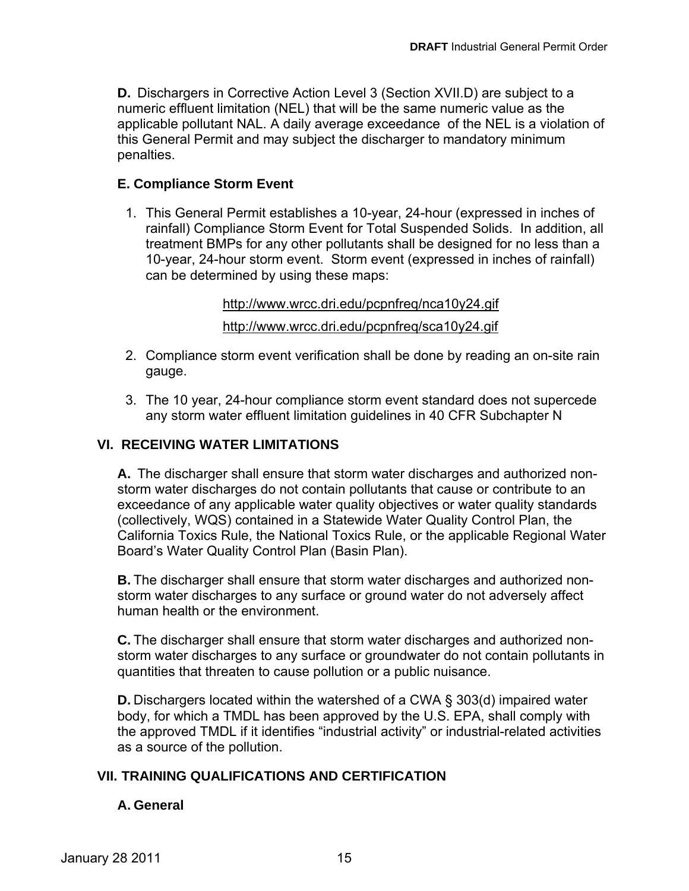**D.** Dischargers in Corrective Action Level 3 (Section XVII.D) are subject to a numeric effluent limitation (NEL) that will be the same numeric value as the applicable pollutant NAL. A daily average exceedance of the NEL is a violation of this General Permit and may subject the discharger to mandatory minimum penalties.

### **E. Compliance Storm Event**

1. This General Permit establishes a 10-year, 24-hour (expressed in inches of rainfall) Compliance Storm Event for Total Suspended Solids. In addition, all treatment BMPs for any other pollutants shall be designed for no less than a 10-year, 24-hour storm event. Storm event (expressed in inches of rainfall) can be determined by using these maps:

# <http://www.wrcc.dri.edu/pcpnfreq/nca10y24.gif> http://www.wrcc.dri.edu/pcpnfreq/sca10y24.gif

- 2. Compliance storm event verification shall be done by reading an on-site rain gauge.
- 3. The 10 year, 24-hour compliance storm event standard does not supercede any storm water effluent limitation guidelines in 40 CFR Subchapter N

### <span id="page-16-0"></span>**VI. RECEIVING WATER LIMITATIONS**

**A.** The discharger shall ensure that storm water discharges and authorized nonstorm water discharges do not contain pollutants that cause or contribute to an exceedance of any applicable water quality objectives or water quality standards (collectively, WQS) contained in a Statewide Water Quality Control Plan, the California Toxics Rule, the National Toxics Rule, or the applicable Regional Water Board's Water Quality Control Plan (Basin Plan).

**B.** The discharger shall ensure that storm water discharges and authorized nonstorm water discharges to any surface or ground water do not adversely affect human health or the environment.

**C.** The discharger shall ensure that storm water discharges and authorized nonstorm water discharges to any surface or groundwater do not contain pollutants in quantities that threaten to cause pollution or a public nuisance.

**D.** Dischargers located within the watershed of a CWA § 303(d) impaired water body, for which a TMDL has been approved by the U.S. EPA, shall comply with the approved TMDL if it identifies "industrial activity" or industrial-related activities as a source of the pollution.

# <span id="page-16-1"></span>**VII. TRAINING QUALIFICATIONS AND CERTIFICATION**

### **A. General**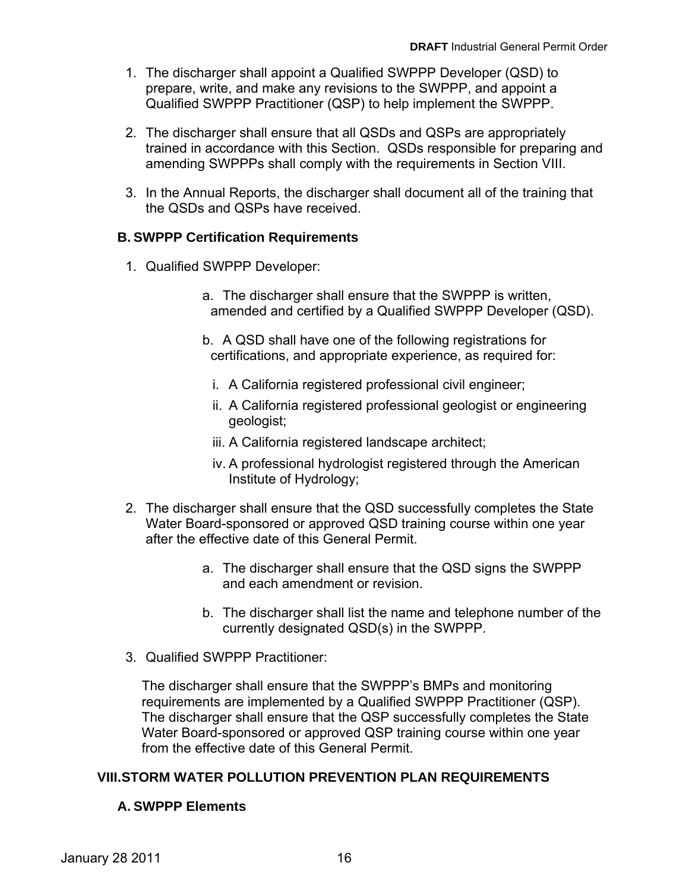- 1. The discharger shall appoint a Qualified SWPPP Developer (QSD) to prepare, write, and make any revisions to the SWPPP, and appoint a Qualified SWPPP Practitioner (QSP) to help implement the SWPPP.
- 2. The discharger shall ensure that all QSDs and QSPs are appropriately trained in accordance with this Section. QSDs responsible for preparing and amending SWPPPs shall comply with the requirements in Section VIII.
- 3. In the Annual Reports, the discharger shall document all of the training that the QSDs and QSPs have received.

### **B. SWPPP Certification Requirements**

- 1. Qualified SWPPP Developer:
	- a. The discharger shall ensure that the SWPPP is written, amended and certified by a Qualified SWPPP Developer (QSD).
	- b. A QSD shall have one of the following registrations for certifications, and appropriate experience, as required for:
		- i. A California registered professional civil engineer;
		- ii. A California registered professional geologist or engineering geologist;
		- iii. A California registered landscape architect;
		- iv. A professional hydrologist registered through the American Institute of Hydrology;
- 2. The discharger shall ensure that the QSD successfully completes the State Water Board-sponsored or approved QSD training course within one year after the effective date of this General Permit.
	- a. The discharger shall ensure that the QSD signs the SWPPP and each amendment or revision.
	- b. The discharger shall list the name and telephone number of the currently designated QSD(s) in the SWPPP.
- 3. Qualified SWPPP Practitioner:

The discharger shall ensure that the SWPPP's BMPs and monitoring requirements are implemented by a Qualified SWPPP Practitioner (QSP). The discharger shall ensure that the QSP successfully completes the State Water Board-sponsored or approved QSP training course within one year from the effective date of this General Permit.

### <span id="page-17-0"></span>**VIII. STORM WATER POLLUTION PREVENTION PLAN REQUIREMENTS**

### **A. SWPPP Elements**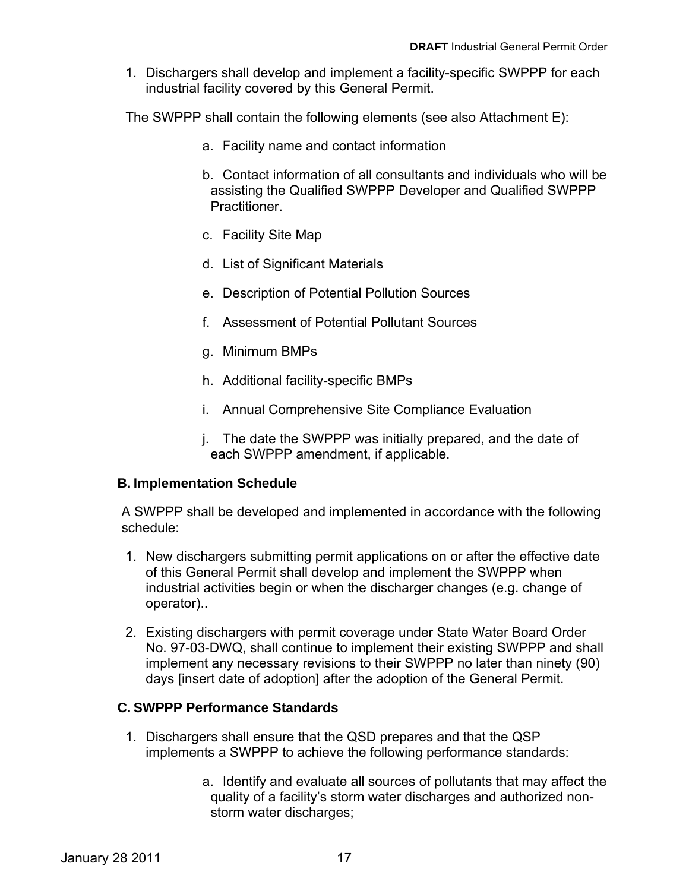1. Dischargers shall develop and implement a facility-specific SWPPP for each industrial facility covered by this General Permit.

The SWPPP shall contain the following elements (see also Attachment E):

- a. Facility name and contact information
- b. Contact information of all consultants and individuals who will be assisting the Qualified SWPPP Developer and Qualified SWPPP Practitioner.
- c. Facility Site Map
- d. List of Significant Materials
- e. Description of Potential Pollution Sources
- f. Assessment of Potential Pollutant Sources
- g. Minimum BMPs
- h. Additional facility-specific BMPs
- i. Annual Comprehensive Site Compliance Evaluation
- j. The date the SWPPP was initially prepared, and the date of each SWPPP amendment, if applicable.

#### **B. Implementation Schedule**

A SWPPP shall be developed and implemented in accordance with the following schedule:

- 1. New dischargers submitting permit applications on or after the effective date of this General Permit shall develop and implement the SWPPP when industrial activities begin or when the discharger changes (e.g. change of operator)..
- 2. Existing dischargers with permit coverage under State Water Board Order No. 97-03-DWQ, shall continue to implement their existing SWPPP and shall implement any necessary revisions to their SWPPP no later than ninety (90) days [insert date of adoption] after the adoption of the General Permit.

#### **C. SWPPP Performance Standards**

- 1. Dischargers shall ensure that the QSD prepares and that the QSP implements a SWPPP to achieve the following performance standards:
	- a. Identify and evaluate all sources of pollutants that may affect the quality of a facility's storm water discharges and authorized nonstorm water discharges;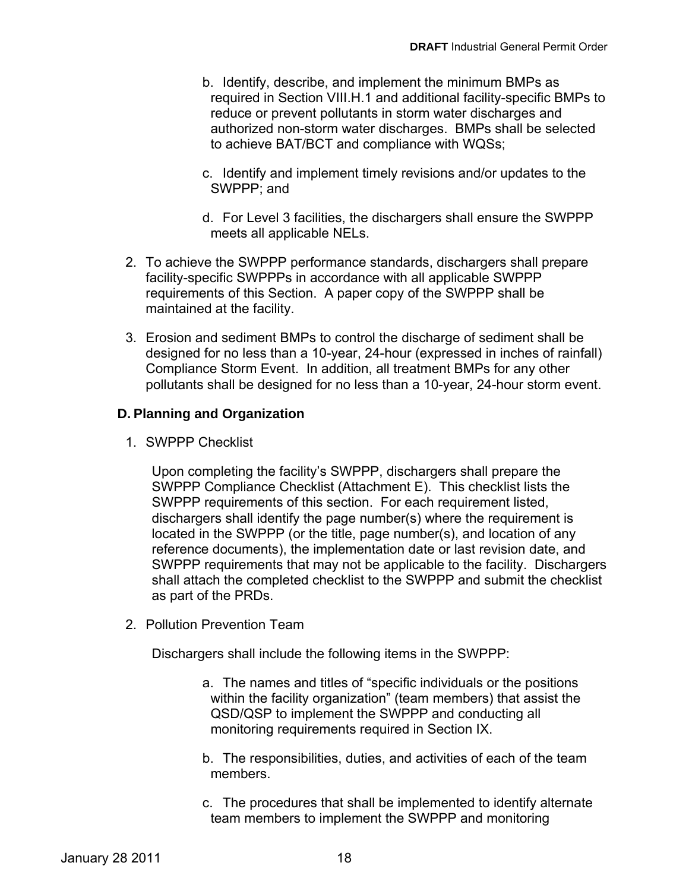- b. Identify, describe, and implement the minimum BMPs as required in Section VIII.H.1 and additional facility-specific BMPs to reduce or prevent pollutants in storm water discharges and authorized non-storm water discharges. BMPs shall be selected to achieve BAT/BCT and compliance with WQSs;
- c. Identify and implement timely revisions and/or updates to the SWPPP; and
- d. For Level 3 facilities, the dischargers shall ensure the SWPPP meets all applicable NELs.
- 2. To achieve the SWPPP performance standards, dischargers shall prepare facility-specific SWPPPs in accordance with all applicable SWPPP requirements of this Section. A paper copy of the SWPPP shall be maintained at the facility.
- 3. Erosion and sediment BMPs to control the discharge of sediment shall be designed for no less than a 10-year, 24-hour (expressed in inches of rainfall) Compliance Storm Event. In addition, all treatment BMPs for any other pollutants shall be designed for no less than a 10-year, 24-hour storm event.

### **D. Planning and Organization**

1. SWPPP Checklist

Upon completing the facility's SWPPP, dischargers shall prepare the SWPPP Compliance Checklist (Attachment E). This checklist lists the SWPPP requirements of this section. For each requirement listed, dischargers shall identify the page number(s) where the requirement is located in the SWPPP (or the title, page number(s), and location of any reference documents), the implementation date or last revision date, and SWPPP requirements that may not be applicable to the facility. Dischargers shall attach the completed checklist to the SWPPP and submit the checklist as part of the PRDs.

2. Pollution Prevention Team

Dischargers shall include the following items in the SWPPP:

- a. The names and titles of "specific individuals or the positions within the facility organization" (team members) that assist the QSD/QSP to implement the SWPPP and conducting all monitoring requirements required in Section IX.
- b. The responsibilities, duties, and activities of each of the team members.
- c. The procedures that shall be implemented to identify alternate team members to implement the SWPPP and monitoring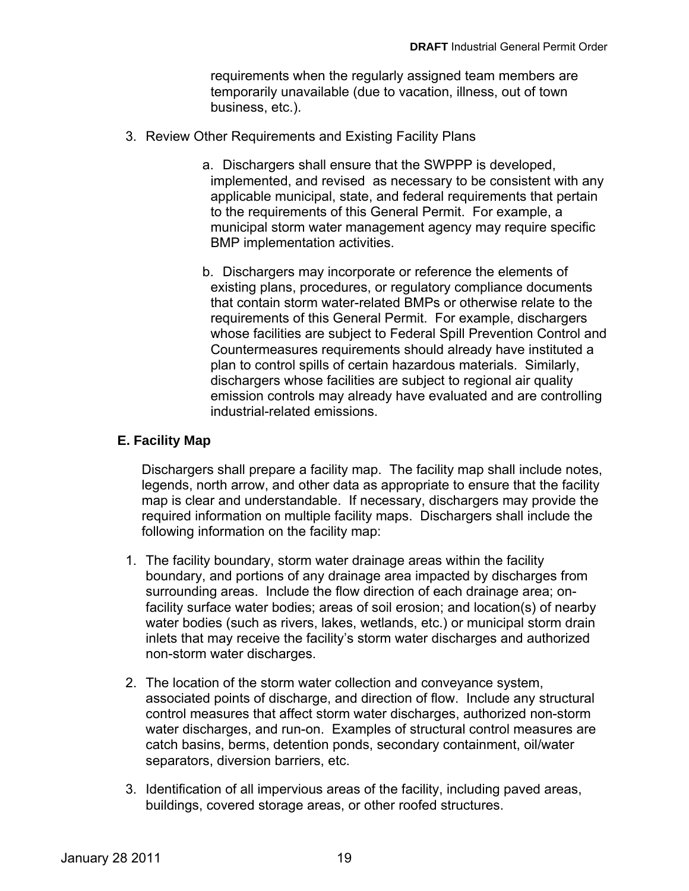requirements when the regularly assigned team members are temporarily unavailable (due to vacation, illness, out of town business, etc.).

- 3. Review Other Requirements and Existing Facility Plans
	- a. Dischargers shall ensure that the SWPPP is developed, implemented, and revised as necessary to be consistent with any applicable municipal, state, and federal requirements that pertain to the requirements of this General Permit. For example, a municipal storm water management agency may require specific BMP implementation activities.
	- b. Dischargers may incorporate or reference the elements of existing plans, procedures, or regulatory compliance documents that contain storm water-related BMPs or otherwise relate to the requirements of this General Permit. For example, dischargers whose facilities are subject to Federal Spill Prevention Control and Countermeasures requirements should already have instituted a plan to control spills of certain hazardous materials. Similarly, dischargers whose facilities are subject to regional air quality emission controls may already have evaluated and are controlling industrial-related emissions.

#### **E. Facility Map**

Dischargers shall prepare a facility map. The facility map shall include notes, legends, north arrow, and other data as appropriate to ensure that the facility map is clear and understandable. If necessary, dischargers may provide the required information on multiple facility maps. Dischargers shall include the following information on the facility map:

- 1. The facility boundary, storm water drainage areas within the facility boundary, and portions of any drainage area impacted by discharges from surrounding areas. Include the flow direction of each drainage area; onfacility surface water bodies; areas of soil erosion; and location(s) of nearby water bodies (such as rivers, lakes, wetlands, etc.) or municipal storm drain inlets that may receive the facility's storm water discharges and authorized non-storm water discharges.
- 2. The location of the storm water collection and conveyance system, associated points of discharge, and direction of flow. Include any structural control measures that affect storm water discharges, authorized non-storm water discharges, and run-on. Examples of structural control measures are catch basins, berms, detention ponds, secondary containment, oil/water separators, diversion barriers, etc.
- 3. Identification of all impervious areas of the facility, including paved areas, buildings, covered storage areas, or other roofed structures.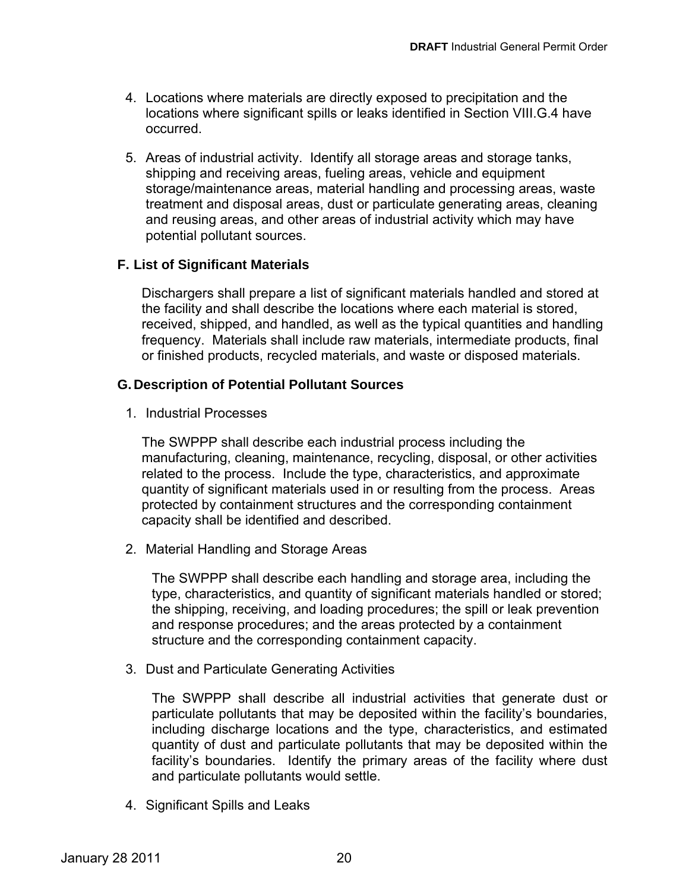- 4. Locations where materials are directly exposed to precipitation and the locations where significant spills or leaks identified in Section VIII.G.4 have occurred.
- 5. Areas of industrial activity. Identify all storage areas and storage tanks, shipping and receiving areas, fueling areas, vehicle and equipment storage/maintenance areas, material handling and processing areas, waste treatment and disposal areas, dust or particulate generating areas, cleaning and reusing areas, and other areas of industrial activity which may have potential pollutant sources.

### **F. List of Significant Materials**

Dischargers shall prepare a list of significant materials handled and stored at the facility and shall describe the locations where each material is stored, received, shipped, and handled, as well as the typical quantities and handling frequency. Materials shall include raw materials, intermediate products, final or finished products, recycled materials, and waste or disposed materials.

#### **G. Description of Potential Pollutant Sources**

1. Industrial Processes

The SWPPP shall describe each industrial process including the manufacturing, cleaning, maintenance, recycling, disposal, or other activities related to the process. Include the type, characteristics, and approximate quantity of significant materials used in or resulting from the process. Areas protected by containment structures and the corresponding containment capacity shall be identified and described.

2. Material Handling and Storage Areas

The SWPPP shall describe each handling and storage area, including the type, characteristics, and quantity of significant materials handled or stored; the shipping, receiving, and loading procedures; the spill or leak prevention and response procedures; and the areas protected by a containment structure and the corresponding containment capacity.

3. Dust and Particulate Generating Activities

The SWPPP shall describe all industrial activities that generate dust or particulate pollutants that may be deposited within the facility's boundaries, including discharge locations and the type, characteristics, and estimated quantity of dust and particulate pollutants that may be deposited within the facility's boundaries. Identify the primary areas of the facility where dust and particulate pollutants would settle.

4. Significant Spills and Leaks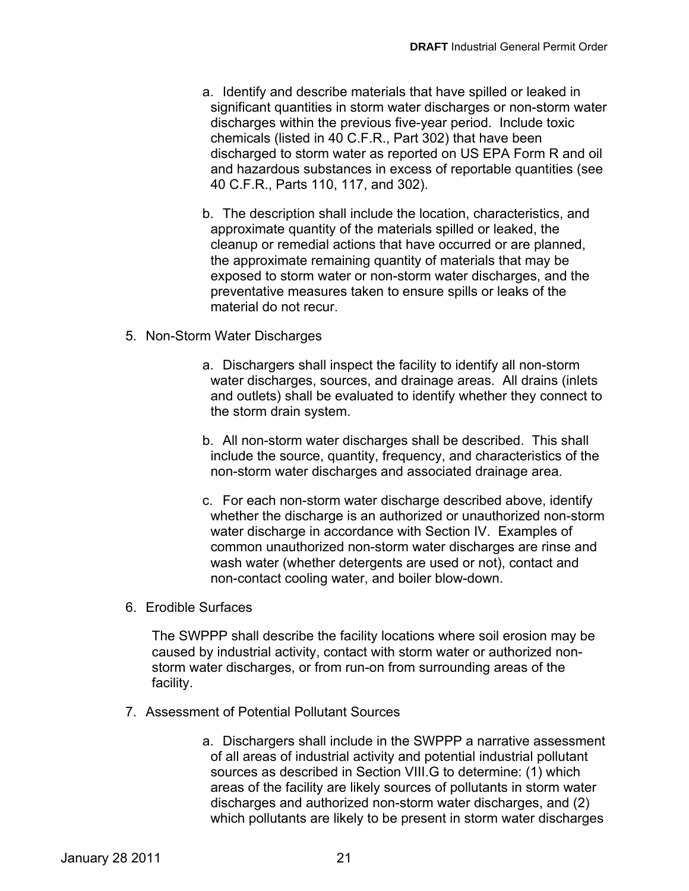- a. Identify and describe materials that have spilled or leaked in significant quantities in storm water discharges or non-storm water discharges within the previous five-year period. Include toxic chemicals (listed in 40 C.F.R., Part 302) that have been discharged to storm water as reported on US EPA Form R and oil and hazardous substances in excess of reportable quantities (see 40 C.F.R., Parts 110, 117, and 302).
- b. The description shall include the location, characteristics, and approximate quantity of the materials spilled or leaked, the cleanup or remedial actions that have occurred or are planned, the approximate remaining quantity of materials that may be exposed to storm water or non-storm water discharges, and the preventative measures taken to ensure spills or leaks of the material do not recur.
- 5. Non-Storm Water Discharges
	- a. Dischargers shall inspect the facility to identify all non-storm water discharges, sources, and drainage areas. All drains (inlets and outlets) shall be evaluated to identify whether they connect to the storm drain system.
	- b. All non-storm water discharges shall be described. This shall include the source, quantity, frequency, and characteristics of the non-storm water discharges and associated drainage area.
	- c. For each non-storm water discharge described above, identify whether the discharge is an authorized or unauthorized non-storm water discharge in accordance with Section IV. Examples of common unauthorized non-storm water discharges are rinse and wash water (whether detergents are used or not), contact and non-contact cooling water, and boiler blow-down.
- 6. Erodible Surfaces

The SWPPP shall describe the facility locations where soil erosion may be caused by industrial activity, contact with storm water or authorized nonstorm water discharges, or from run-on from surrounding areas of the facility.

- 7. Assessment of Potential Pollutant Sources
	- a. Dischargers shall include in the SWPPP a narrative assessment of all areas of industrial activity and potential industrial pollutant sources as described in Section VIII.G to determine: (1) which areas of the facility are likely sources of pollutants in storm water discharges and authorized non-storm water discharges, and (2) which pollutants are likely to be present in storm water discharges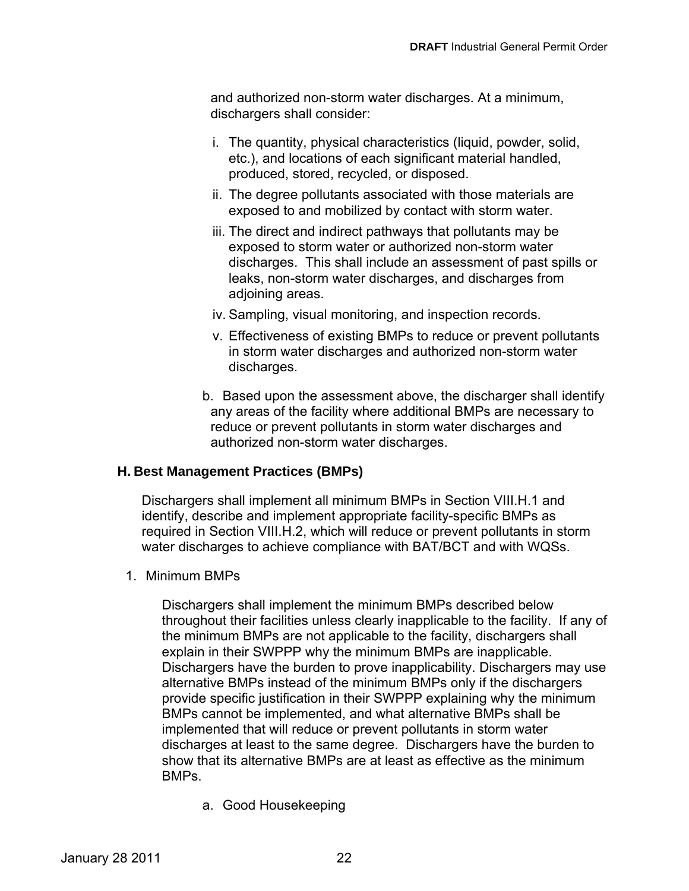and authorized non-storm water discharges. At a minimum, dischargers shall consider:

- i. The quantity, physical characteristics (liquid, powder, solid, etc.), and locations of each significant material handled, produced, stored, recycled, or disposed.
- ii. The degree pollutants associated with those materials are exposed to and mobilized by contact with storm water.
- iii. The direct and indirect pathways that pollutants may be exposed to storm water or authorized non-storm water discharges. This shall include an assessment of past spills or leaks, non-storm water discharges, and discharges from adjoining areas.
- iv. Sampling, visual monitoring, and inspection records.
- v. Effectiveness of existing BMPs to reduce or prevent pollutants in storm water discharges and authorized non-storm water discharges.
- b. Based upon the assessment above, the discharger shall identify any areas of the facility where additional BMPs are necessary to reduce or prevent pollutants in storm water discharges and authorized non-storm water discharges.

#### **H. Best Management Practices (BMPs)**

Dischargers shall implement all minimum BMPs in Section VIII.H.1 and identify, describe and implement appropriate facility-specific BMPs as required in Section VIII.H.2, which will reduce or prevent pollutants in storm water discharges to achieve compliance with BAT/BCT and with WQSs.

1. Minimum BMPs

Dischargers shall implement the minimum BMPs described below throughout their facilities unless clearly inapplicable to the facility. If any of the minimum BMPs are not applicable to the facility, dischargers shall explain in their SWPPP why the minimum BMPs are inapplicable. Dischargers have the burden to prove inapplicability. Dischargers may use alternative BMPs instead of the minimum BMPs only if the dischargers provide specific justification in their SWPPP explaining why the minimum BMPs cannot be implemented, and what alternative BMPs shall be implemented that will reduce or prevent pollutants in storm water discharges at least to the same degree. Dischargers have the burden to show that its alternative BMPs are at least as effective as the minimum **BMPs** 

a. Good Housekeeping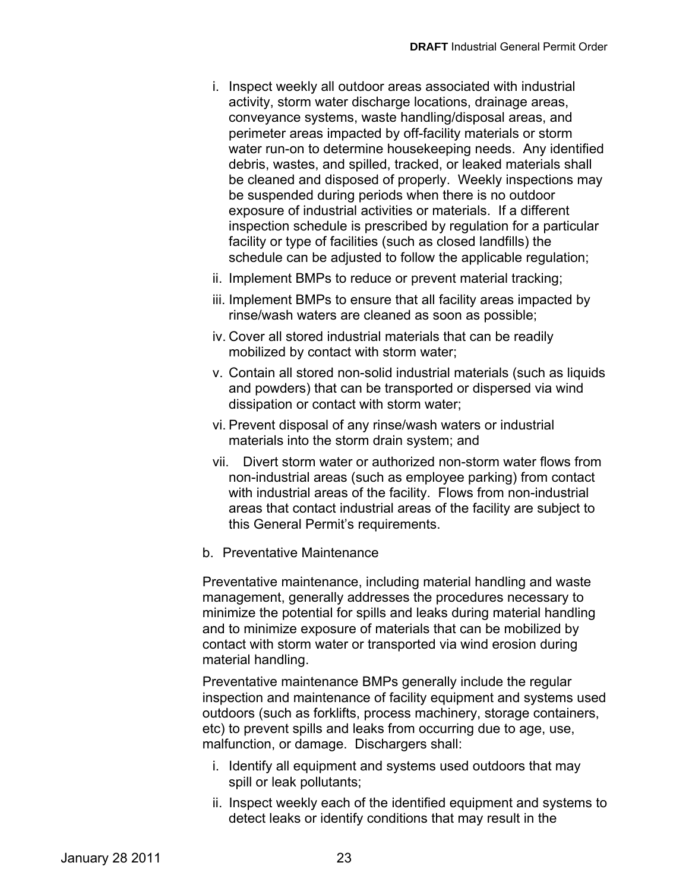- i. Inspect weekly all outdoor areas associated with industrial activity, storm water discharge locations, drainage areas, conveyance systems, waste handling/disposal areas, and perimeter areas impacted by off-facility materials or storm water run-on to determine housekeeping needs. Any identified debris, wastes, and spilled, tracked, or leaked materials shall be cleaned and disposed of properly. Weekly inspections may be suspended during periods when there is no outdoor exposure of industrial activities or materials. If a different inspection schedule is prescribed by regulation for a particular facility or type of facilities (such as closed landfills) the schedule can be adjusted to follow the applicable regulation;
- ii. Implement BMPs to reduce or prevent material tracking;
- iii. Implement BMPs to ensure that all facility areas impacted by rinse/wash waters are cleaned as soon as possible;
- iv. Cover all stored industrial materials that can be readily mobilized by contact with storm water;
- v. Contain all stored non-solid industrial materials (such as liquids and powders) that can be transported or dispersed via wind dissipation or contact with storm water;
- vi. Prevent disposal of any rinse/wash waters or industrial materials into the storm drain system; and
- vii. Divert storm water or authorized non-storm water flows from non-industrial areas (such as employee parking) from contact with industrial areas of the facility. Flows from non-industrial areas that contact industrial areas of the facility are subject to this General Permit's requirements.
- b. Preventative Maintenance

Preventative maintenance, including material handling and waste management, generally addresses the procedures necessary to minimize the potential for spills and leaks during material handling and to minimize exposure of materials that can be mobilized by contact with storm water or transported via wind erosion during material handling.

Preventative maintenance BMPs generally include the regular inspection and maintenance of facility equipment and systems used outdoors (such as forklifts, process machinery, storage containers, etc) to prevent spills and leaks from occurring due to age, use, malfunction, or damage. Dischargers shall:

- i. Identify all equipment and systems used outdoors that may spill or leak pollutants;
- ii. Inspect weekly each of the identified equipment and systems to detect leaks or identify conditions that may result in the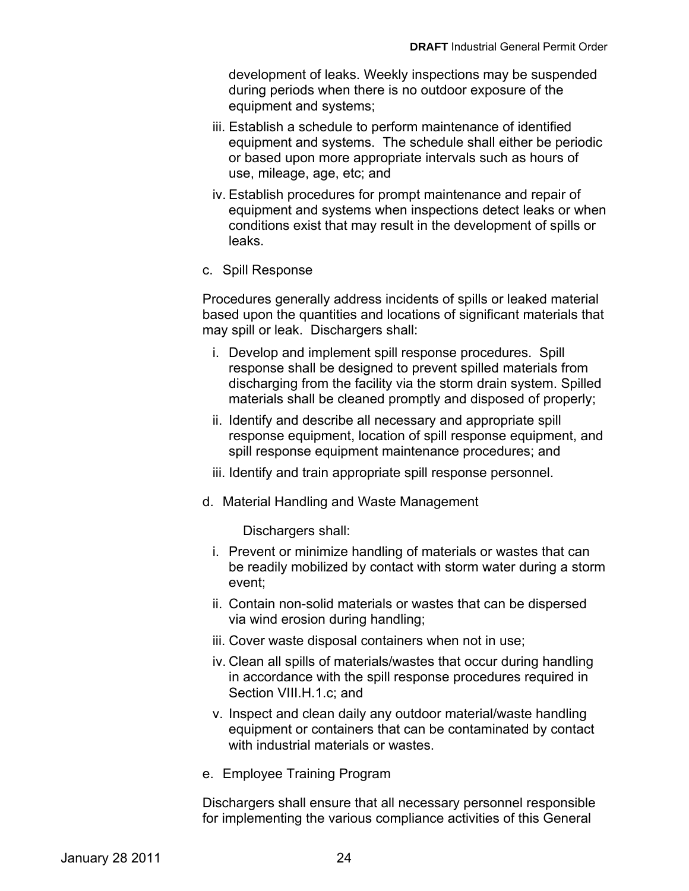development of leaks. Weekly inspections may be suspended during periods when there is no outdoor exposure of the equipment and systems;

- iii. Establish a schedule to perform maintenance of identified equipment and systems. The schedule shall either be periodic or based upon more appropriate intervals such as hours of use, mileage, age, etc; and
- iv. Establish procedures for prompt maintenance and repair of equipment and systems when inspections detect leaks or when conditions exist that may result in the development of spills or leaks.
- c. Spill Response

Procedures generally address incidents of spills or leaked material based upon the quantities and locations of significant materials that may spill or leak. Dischargers shall:

- i. Develop and implement spill response procedures. Spill response shall be designed to prevent spilled materials from discharging from the facility via the storm drain system. Spilled materials shall be cleaned promptly and disposed of properly;
- ii. Identify and describe all necessary and appropriate spill response equipment, location of spill response equipment, and spill response equipment maintenance procedures; and
- iii. Identify and train appropriate spill response personnel.
- d. Material Handling and Waste Management

Dischargers shall:

- i. Prevent or minimize handling of materials or wastes that can be readily mobilized by contact with storm water during a storm event;
- ii. Contain non-solid materials or wastes that can be dispersed via wind erosion during handling;
- iii. Cover waste disposal containers when not in use;
- iv. Clean all spills of materials/wastes that occur during handling in accordance with the spill response procedures required in Section VIII.H.1.c; and
- v. Inspect and clean daily any outdoor material/waste handling equipment or containers that can be contaminated by contact with industrial materials or wastes.
- e. Employee Training Program

Dischargers shall ensure that all necessary personnel responsible for implementing the various compliance activities of this General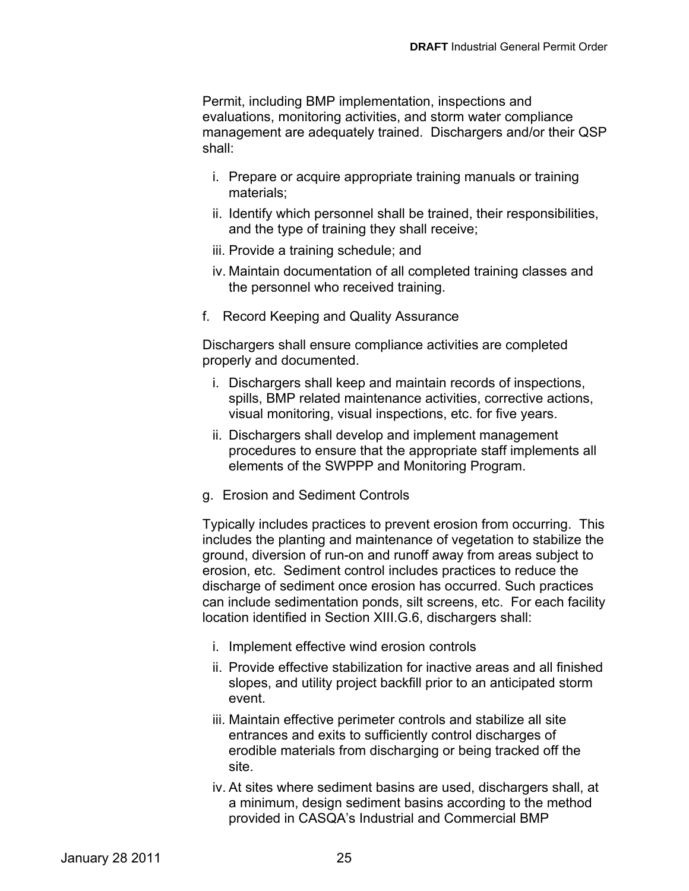Permit, including BMP implementation, inspections and evaluations, monitoring activities, and storm water compliance management are adequately trained. Dischargers and/or their QSP shall:

- i. Prepare or acquire appropriate training manuals or training materials;
- ii. Identify which personnel shall be trained, their responsibilities, and the type of training they shall receive;
- iii. Provide a training schedule; and
- iv. Maintain documentation of all completed training classes and the personnel who received training.
- f. Record Keeping and Quality Assurance

Dischargers shall ensure compliance activities are completed properly and documented.

- i. Dischargers shall keep and maintain records of inspections, spills, BMP related maintenance activities, corrective actions, visual monitoring, visual inspections, etc. for five years.
- ii. Dischargers shall develop and implement management procedures to ensure that the appropriate staff implements all elements of the SWPPP and Monitoring Program.
- g. Erosion and Sediment Controls

Typically includes practices to prevent erosion from occurring. This includes the planting and maintenance of vegetation to stabilize the ground, diversion of run-on and runoff away from areas subject to erosion, etc. Sediment control includes practices to reduce the discharge of sediment once erosion has occurred. Such practices can include sedimentation ponds, silt screens, etc. For each facility location identified in Section XIII.G.6, dischargers shall:

- i. Implement effective wind erosion controls
- ii. Provide effective stabilization for inactive areas and all finished slopes, and utility project backfill prior to an anticipated storm event.
- iii. Maintain effective perimeter controls and stabilize all site entrances and exits to sufficiently control discharges of erodible materials from discharging or being tracked off the site.
- iv. At sites where sediment basins are used, dischargers shall, at a minimum, design sediment basins according to the method provided in CASQA's Industrial and Commercial BMP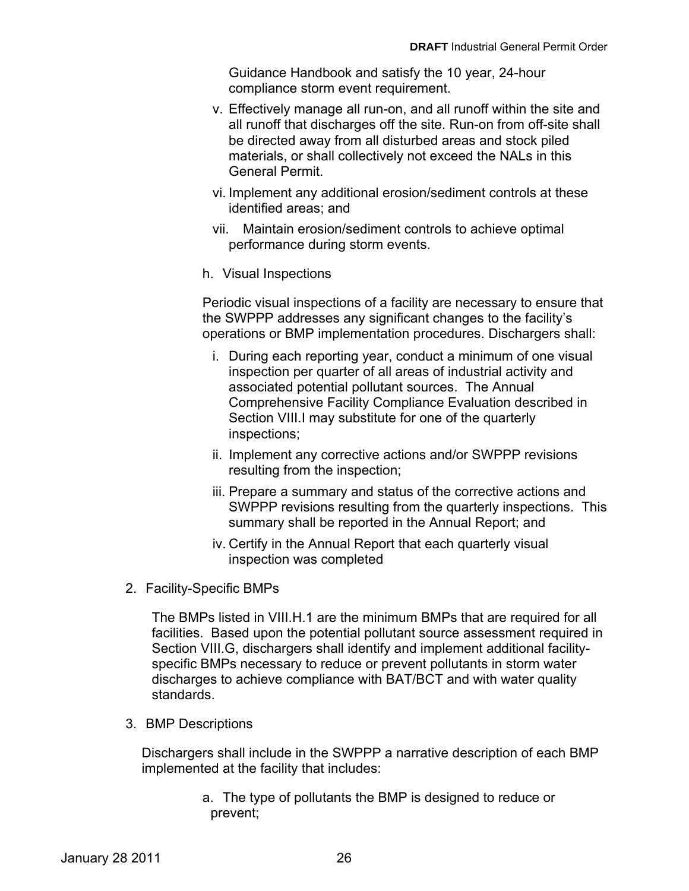Guidance Handbook and satisfy the 10 year, 24-hour compliance storm event requirement.

- v. Effectively manage all run-on, and all runoff within the site and all runoff that discharges off the site. Run-on from off-site shall be directed away from all disturbed areas and stock piled materials, or shall collectively not exceed the NALs in this General Permit.
- vi. Implement any additional erosion/sediment controls at these identified areas; and
- vii. Maintain erosion/sediment controls to achieve optimal performance during storm events.
- h. Visual Inspections

Periodic visual inspections of a facility are necessary to ensure that the SWPPP addresses any significant changes to the facility's operations or BMP implementation procedures. Dischargers shall:

- i. During each reporting year, conduct a minimum of one visual inspection per quarter of all areas of industrial activity and associated potential pollutant sources. The Annual Comprehensive Facility Compliance Evaluation described in Section VIII.I may substitute for one of the quarterly inspections;
- ii. Implement any corrective actions and/or SWPPP revisions resulting from the inspection;
- iii. Prepare a summary and status of the corrective actions and SWPPP revisions resulting from the quarterly inspections. This summary shall be reported in the Annual Report; and
- iv. Certify in the Annual Report that each quarterly visual inspection was completed
- 2. Facility-Specific BMPs

The BMPs listed in VIII.H.1 are the minimum BMPs that are required for all facilities. Based upon the potential pollutant source assessment required in Section VIII.G, dischargers shall identify and implement additional facilityspecific BMPs necessary to reduce or prevent pollutants in storm water discharges to achieve compliance with BAT/BCT and with water quality standards.

3. BMP Descriptions

Dischargers shall include in the SWPPP a narrative description of each BMP implemented at the facility that includes:

> a. The type of pollutants the BMP is designed to reduce or prevent;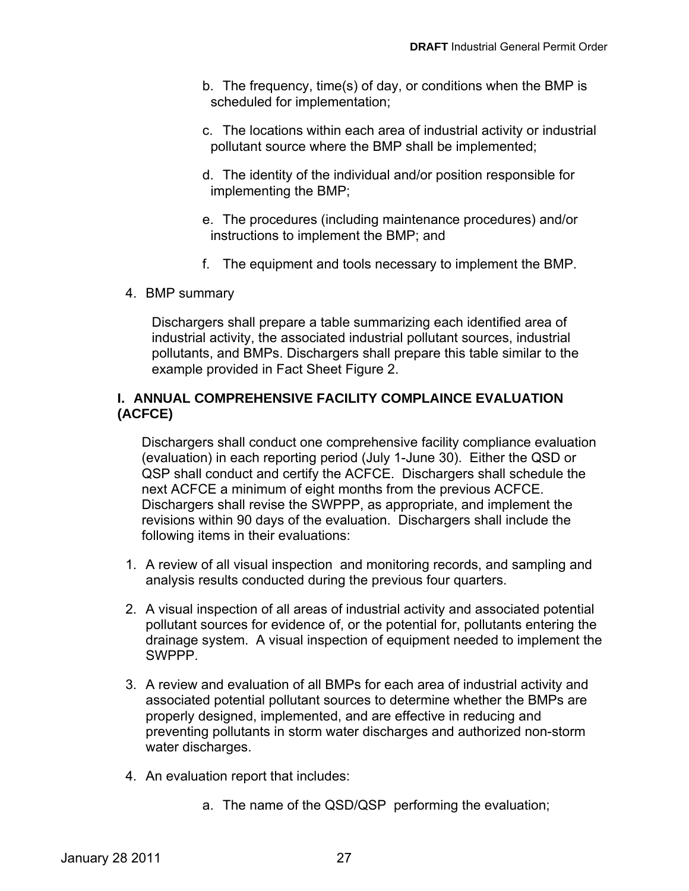- b. The frequency, time(s) of day, or conditions when the BMP is scheduled for implementation;
- c. The locations within each area of industrial activity or industrial pollutant source where the BMP shall be implemented;
- d. The identity of the individual and/or position responsible for implementing the BMP;
- e. The procedures (including maintenance procedures) and/or instructions to implement the BMP; and
- f. The equipment and tools necessary to implement the BMP.
- 4. BMP summary

Dischargers shall prepare a table summarizing each identified area of industrial activity, the associated industrial pollutant sources, industrial pollutants, and BMPs. Dischargers shall prepare this table similar to the example provided in Fact Sheet Figure 2.

#### **I. ANNUAL COMPREHENSIVE FACILITY COMPLAINCE EVALUATION (ACFCE)**

Dischargers shall conduct one comprehensive facility compliance evaluation (evaluation) in each reporting period (July 1-June 30). Either the QSD or QSP shall conduct and certify the ACFCE. Dischargers shall schedule the next ACFCE a minimum of eight months from the previous ACFCE. Dischargers shall revise the SWPPP, as appropriate, and implement the revisions within 90 days of the evaluation. Dischargers shall include the following items in their evaluations:

- 1. A review of all visual inspection and monitoring records, and sampling and analysis results conducted during the previous four quarters.
- 2. A visual inspection of all areas of industrial activity and associated potential pollutant sources for evidence of, or the potential for, pollutants entering the drainage system. A visual inspection of equipment needed to implement the SWPPP.
- 3. A review and evaluation of all BMPs for each area of industrial activity and associated potential pollutant sources to determine whether the BMPs are properly designed, implemented, and are effective in reducing and preventing pollutants in storm water discharges and authorized non-storm water discharges.
- 4. An evaluation report that includes:
	- a. The name of the QSD/QSP performing the evaluation;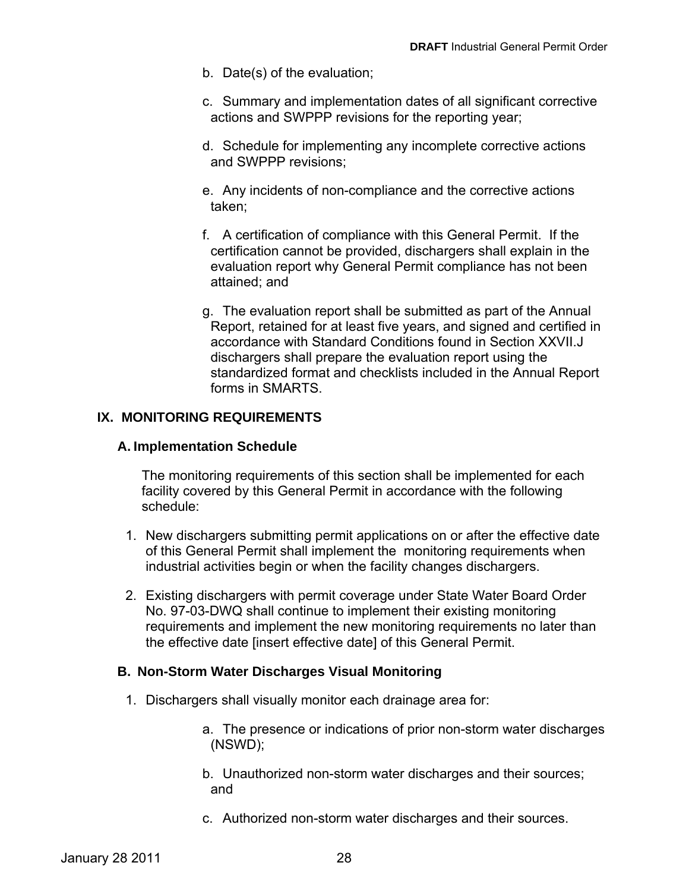- b. Date(s) of the evaluation;
- c. Summary and implementation dates of all significant corrective actions and SWPPP revisions for the reporting year;
- d. Schedule for implementing any incomplete corrective actions and SWPPP revisions;
- e. Any incidents of non-compliance and the corrective actions taken;
- f. A certification of compliance with this General Permit. If the certification cannot be provided, dischargers shall explain in the evaluation report why General Permit compliance has not been attained; and
- g. The evaluation report shall be submitted as part of the Annual Report, retained for at least five years, and signed and certified in accordance with Standard Conditions found in Section XXVII.J dischargers shall prepare the evaluation report using the standardized format and checklists included in the Annual Report forms in SMARTS.

### <span id="page-29-0"></span>**IX. MONITORING REQUIREMENTS**

#### **A. Implementation Schedule**

The monitoring requirements of this section shall be implemented for each facility covered by this General Permit in accordance with the following schedule:

- 1. New dischargers submitting permit applications on or after the effective date of this General Permit shall implement the monitoring requirements when industrial activities begin or when the facility changes dischargers.
- 2. Existing dischargers with permit coverage under State Water Board Order No. 97-03-DWQ shall continue to implement their existing monitoring requirements and implement the new monitoring requirements no later than the effective date [insert effective date] of this General Permit.

#### **B. Non-Storm Water Discharges Visual Monitoring**

- 1. Dischargers shall visually monitor each drainage area for:
	- a. The presence or indications of prior non-storm water discharges (NSWD);
	- b. Unauthorized non-storm water discharges and their sources; and
	- c. Authorized non-storm water discharges and their sources.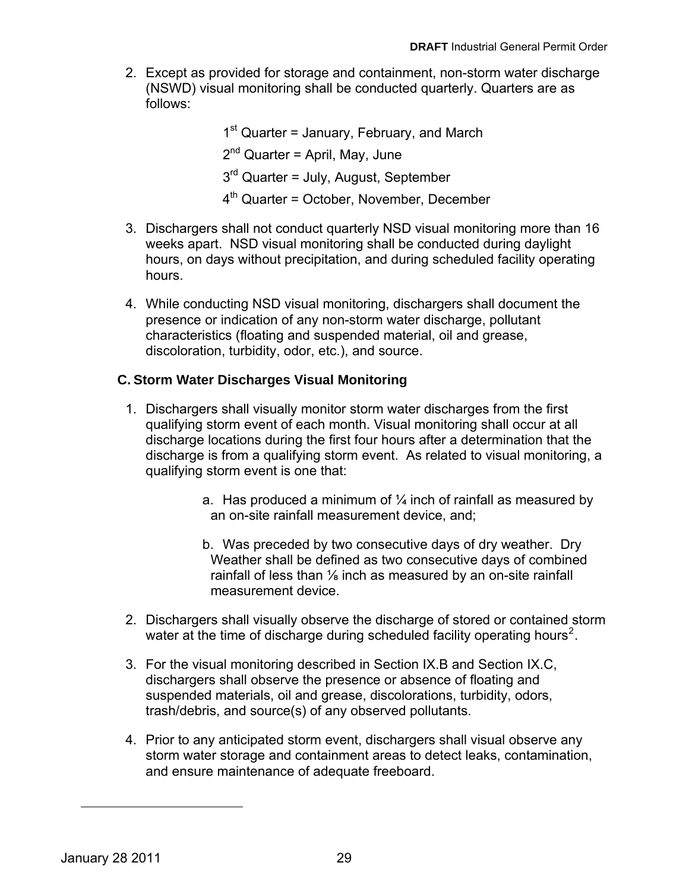2. Except as provided for storage and containment, non-storm water discharge (NSWD) visual monitoring shall be conducted quarterly. Quarters are as follows:

> $1<sup>st</sup>$  Quarter = January, February, and March  $2<sup>nd</sup>$  Quarter = April, May, June  $3<sup>rd</sup>$  Quarter = July, August, September 4<sup>th</sup> Quarter = October, November, December

- 3. Dischargers shall not conduct quarterly NSD visual monitoring more than 16 weeks apart. NSD visual monitoring shall be conducted during daylight hours, on days without precipitation, and during scheduled facility operating hours.
- 4. While conducting NSD visual monitoring, dischargers shall document the presence or indication of any non-storm water discharge, pollutant characteristics (floating and suspended material, oil and grease, discoloration, turbidity, odor, etc.), and source.

### **C. Storm Water Discharges Visual Monitoring**

- 1. Dischargers shall visually monitor storm water discharges from the first qualifying storm event of each month. Visual monitoring shall occur at all discharge locations during the first four hours after a determination that the discharge is from a qualifying storm event. As related to visual monitoring, a qualifying storm event is one that:
	- a. Has produced a minimum of  $\frac{1}{4}$  inch of rainfall as measured by an on-site rainfall measurement device, and;
	- b. Was preceded by two consecutive days of dry weather. Dry Weather shall be defined as two consecutive days of combined rainfall of less than ⅛ inch as measured by an on-site rainfall measurement device.
- 2. Dischargers shall visually observe the discharge of stored or contained storm water at the time of discharge during scheduled facility operating hours<sup>[2](#page-30-0)</sup>.
- 3. For the visual monitoring described in Section IX.B and Section IX.C, dischargers shall observe the presence or absence of floating and suspended materials, oil and grease, discolorations, turbidity, odors, trash/debris, and source(s) of any observed pollutants.
- 4. Prior to any anticipated storm event, dischargers shall visual observe any storm water storage and containment areas to detect leaks, contamination, and ensure maintenance of adequate freeboard.

<span id="page-30-0"></span>1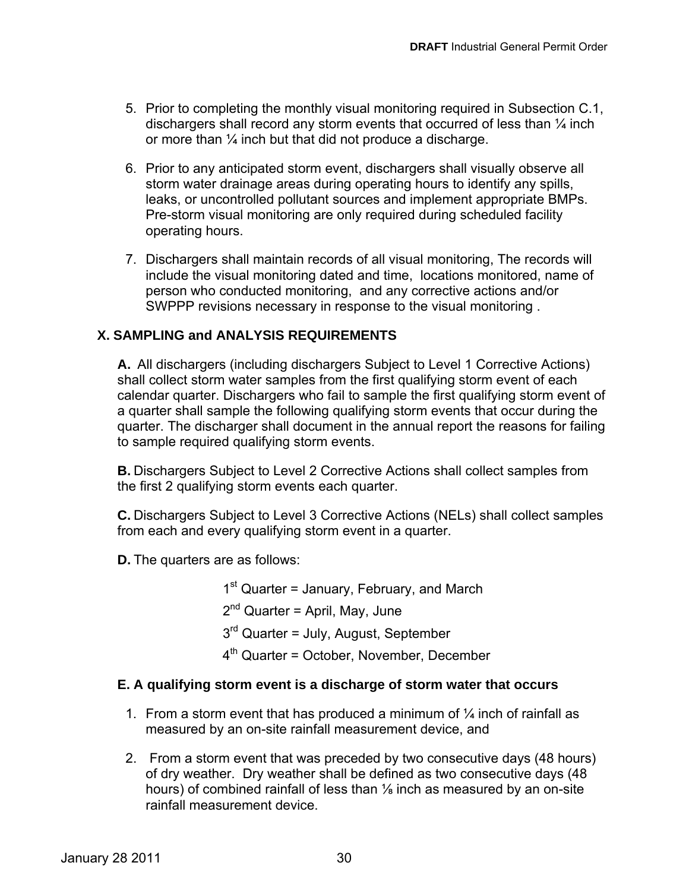- 5. Prior to completing the monthly visual monitoring required in Subsection C.1, dischargers shall record any storm events that occurred of less than ¼ inch or more than  $\frac{1}{4}$  inch but that did not produce a discharge.
- 6. Prior to any anticipated storm event, dischargers shall visually observe all storm water drainage areas during operating hours to identify any spills, leaks, or uncontrolled pollutant sources and implement appropriate BMPs. Pre-storm visual monitoring are only required during scheduled facility operating hours.
- 7. Dischargers shall maintain records of all visual monitoring, The records will include the visual monitoring dated and time, locations monitored, name of person who conducted monitoring, and any corrective actions and/or SWPPP revisions necessary in response to the visual monitoring .

### <span id="page-31-0"></span>**X. SAMPLING and ANALYSIS REQUIREMENTS**

**A.** All dischargers (including dischargers Subject to Level 1 Corrective Actions) shall collect storm water samples from the first qualifying storm event of each calendar quarter. Dischargers who fail to sample the first qualifying storm event of a quarter shall sample the following qualifying storm events that occur during the quarter. The discharger shall document in the annual report the reasons for failing to sample required qualifying storm events.

**B.** Dischargers Subject to Level 2 Corrective Actions shall collect samples from the first 2 qualifying storm events each quarter.

**C.** Dischargers Subject to Level 3 Corrective Actions (NELs) shall collect samples from each and every qualifying storm event in a quarter.

**D.** The quarters are as follows:

 $1<sup>st</sup>$  Quarter = January, February, and March

 $2<sup>nd</sup>$  Quarter = April, May, June

3<sup>rd</sup> Quarter = July, August, September

4th Quarter = October, November, December

#### **E. A qualifying storm event is a discharge of storm water that occurs**

- 1. From a storm event that has produced a minimum of  $\frac{1}{4}$  inch of rainfall as measured by an on-site rainfall measurement device, and
- 2. From a storm event that was preceded by two consecutive days (48 hours) of dry weather. Dry weather shall be defined as two consecutive days (48 hours) of combined rainfall of less than <sup>1</sup>/<sub>8</sub> inch as measured by an on-site rainfall measurement device.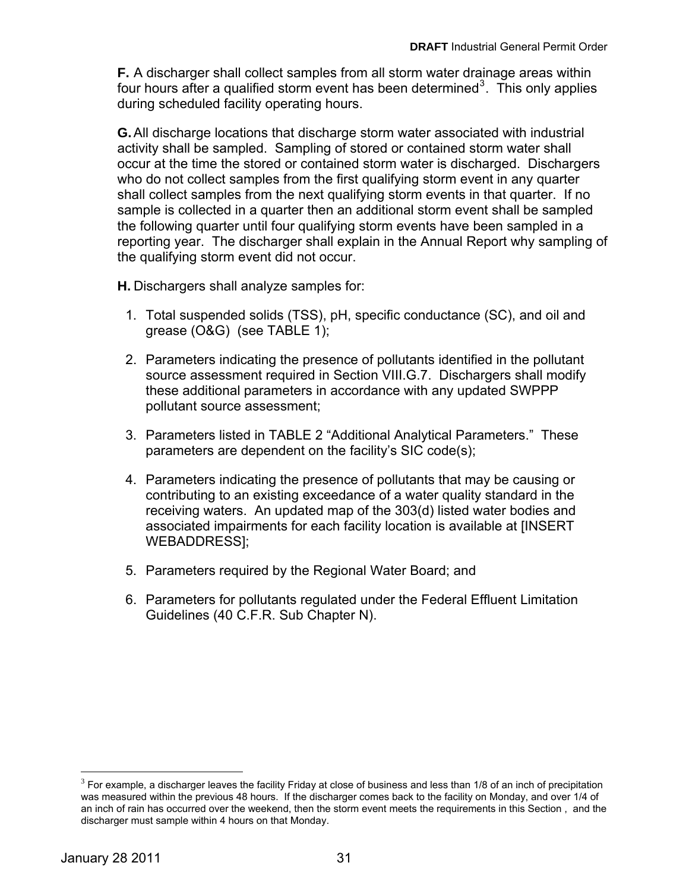**F.** A discharger shall collect samples from all storm water drainage areas within four hours after a qualified storm event has been determined<sup>[3](#page-32-0)</sup>. This only applies during scheduled facility operating hours.

**G.**All discharge locations that discharge storm water associated with industrial activity shall be sampled. Sampling of stored or contained storm water shall occur at the time the stored or contained storm water is discharged. Dischargers who do not collect samples from the first qualifying storm event in any quarter shall collect samples from the next qualifying storm events in that quarter. If no sample is collected in a quarter then an additional storm event shall be sampled the following quarter until four qualifying storm events have been sampled in a reporting year. The discharger shall explain in the Annual Report why sampling of the qualifying storm event did not occur.

**H.** Dischargers shall analyze samples for:

- 1. Total suspended solids (TSS), pH, specific conductance (SC), and oil and grease (O&G) (see TABLE 1);
- 2. Parameters indicating the presence of pollutants identified in the pollutant source assessment required in Section VIII.G.7. Dischargers shall modify these additional parameters in accordance with any updated SWPPP pollutant source assessment;
- 3. Parameters listed in TABLE 2 "Additional Analytical Parameters." These parameters are dependent on the facility's SIC code(s);
- 4. Parameters indicating the presence of pollutants that may be causing or contributing to an existing exceedance of a water quality standard in the receiving waters. An updated map of the 303(d) listed water bodies and associated impairments for each facility location is available at [INSERT WEBADDRESS];
- 5. Parameters required by the Regional Water Board; and
- 6. Parameters for pollutants regulated under the Federal Effluent Limitation Guidelines (40 C.F.R. Sub Chapter N).

1

<span id="page-32-0"></span> $3$  For example, a discharger leaves the facility Friday at close of business and less than  $1/8$  of an inch of precipitation was measured within the previous 48 hours. If the discharger comes back to the facility on Monday, and over 1/4 of an inch of rain has occurred over the weekend, then the storm event meets the requirements in this Section , and the discharger must sample within 4 hours on that Monday.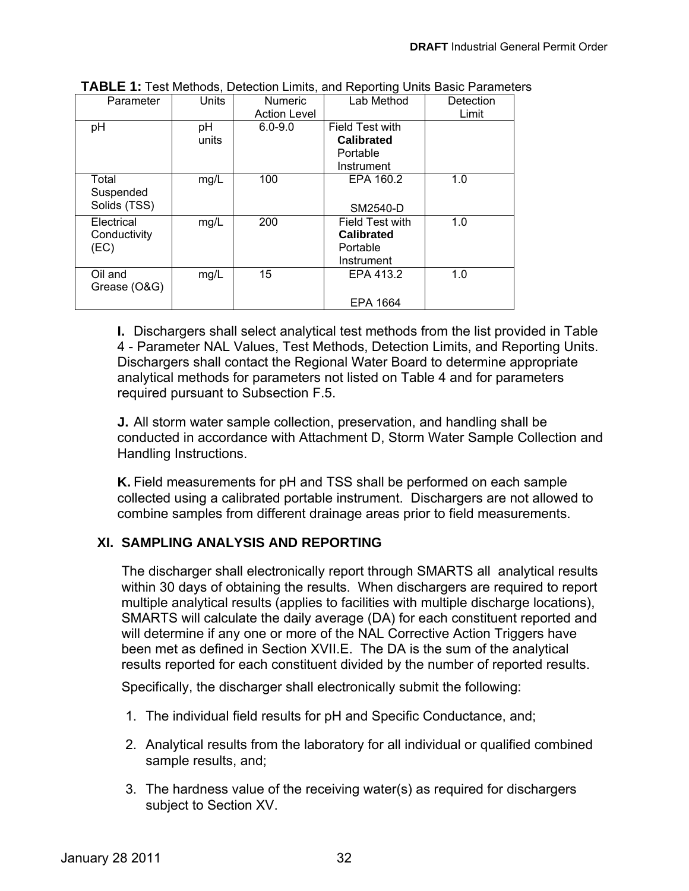<span id="page-33-1"></span>

| Parameter    | <b>Units</b> | <b>Numeric</b>      | Lab Method        | Detection |
|--------------|--------------|---------------------|-------------------|-----------|
|              |              | <b>Action Level</b> |                   | Limit     |
| pH           | pH           | $6.0 - 9.0$         | Field Test with   |           |
|              | units        |                     | Calibrated        |           |
|              |              |                     | Portable          |           |
|              |              |                     | Instrument        |           |
| Total        | mg/L         | 100                 | EPA 160.2         | 1.0       |
| Suspended    |              |                     |                   |           |
| Solids (TSS) |              |                     | SM2540-D          |           |
| Electrical   | mg/L         | 200                 | Field Test with   | 1.0       |
| Conductivity |              |                     | <b>Calibrated</b> |           |
| (EC)         |              |                     | Portable          |           |
|              |              |                     | Instrument        |           |
| Oil and      | mg/L         | 15                  | EPA 413.2         | 1.0       |
| Grease (O&G) |              |                     |                   |           |
|              |              |                     | EPA 1664          |           |

| <b>TABLE 1:</b> Test Methods, Detection Limits, and Reporting Units Basic Parameters |  |  |  |  |
|--------------------------------------------------------------------------------------|--|--|--|--|
|--------------------------------------------------------------------------------------|--|--|--|--|

**I.** Dischargers shall select analytical test methods from the list provided in Table

4 - Parameter NAL Values, Test Methods, Detection Limits, and Reporting Units. Dischargers shall contact the Regional Water Board to determine appropriate analytical methods for parameters not listed on Table 4 and for parameters required pursuant to Subsection F.5.

**J.** All storm water sample collection, preservation, and handling shall be conducted in accordance with Attachment D, Storm Water Sample Collection and Handling Instructions.

**K.** Field measurements for pH and TSS shall be performed on each sample collected using a calibrated portable instrument. Dischargers are not allowed to combine samples from different drainage areas prior to field measurements.

### <span id="page-33-0"></span>**XI. SAMPLING ANALYSIS AND REPORTING**

The discharger shall electronically report through SMARTS all analytical results within 30 days of obtaining the results. When dischargers are required to report multiple analytical results (applies to facilities with multiple discharge locations), SMARTS will calculate the daily average (DA) for each constituent reported and will determine if any one or more of the NAL Corrective Action Triggers have been met as defined in Section XVII.E. The DA is the sum of the analytical results reported for each constituent divided by the number of reported results.

Specifically, the discharger shall electronically submit the following:

- 1. The individual field results for pH and Specific Conductance, and;
- 2. Analytical results from the laboratory for all individual or qualified combined sample results, and;
- 3. The hardness value of the receiving water(s) as required for dischargers subject to Section XV.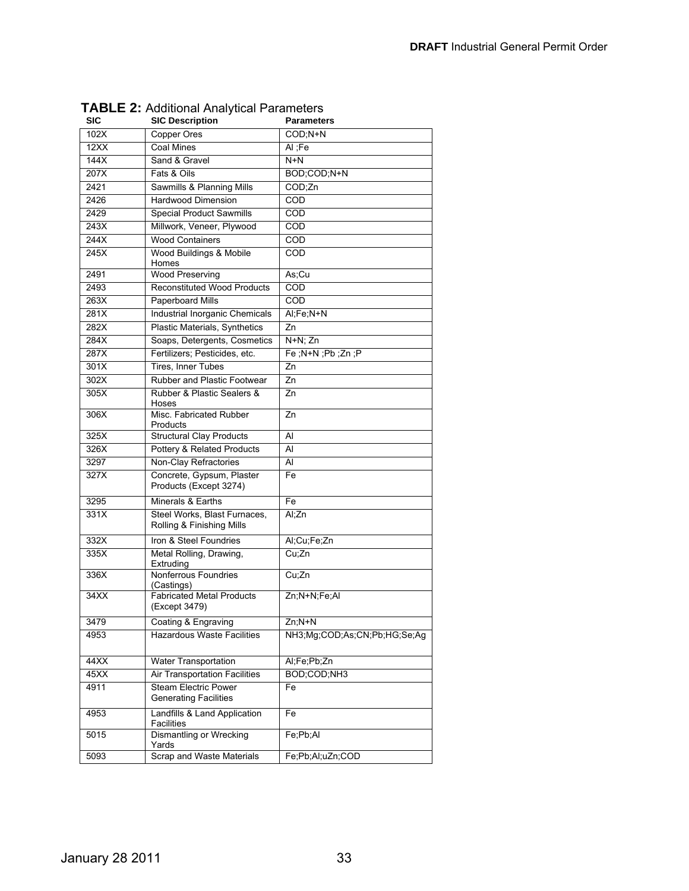<span id="page-34-0"></span>

| <b>SIC</b> | <b>SIC Description</b>                                      | <b>Parameters</b>            |
|------------|-------------------------------------------------------------|------------------------------|
| 102X       | <b>Copper Ores</b>                                          | COD;N+N                      |
| 12XX       | <b>Coal Mines</b>                                           | Al :Fe                       |
| 144X       | Sand & Gravel                                               | $N+N$                        |
| 207X       | Fats & Oils                                                 | BOD;COD;N+N                  |
| 2421       | Sawmills & Planning Mills                                   | COD;Zn                       |
| 2426       | <b>Hardwood Dimension</b>                                   | COD                          |
| 2429       | <b>Special Product Sawmills</b>                             | COD                          |
| 243X       | Millwork, Veneer, Plywood                                   | COD                          |
| 244X       | <b>Wood Containers</b>                                      | $\overline{COD}$             |
| 245X       | Wood Buildings & Mobile                                     | COD                          |
|            | Homes                                                       |                              |
| 2491       | <b>Wood Preserving</b>                                      | As;Cu                        |
| 2493       | <b>Reconstituted Wood Products</b>                          | $\overline{COD}$             |
| 263X       | Paperboard Mills                                            | $\overline{COD}$             |
| 281X       | Industrial Inorganic Chemicals                              | Al;Fe;N+N                    |
| 282X       | Plastic Materials, Synthetics                               | Zn                           |
| 284X       | Soaps, Detergents, Cosmetics                                | N+N; Zn                      |
| 287X       | Fertilizers; Pesticides, etc.                               | Fe ;N+N ;Pb ;Zn ;P           |
| 301X       | <b>Tires. Inner Tubes</b>                                   | Zn                           |
| 302X       | Rubber and Plastic Footwear                                 | Zn                           |
| 305X       | Rubber & Plastic Sealers &<br>Hoses                         | Zn                           |
| 306X       | Misc. Fabricated Rubber<br>Products                         | Zn                           |
| 325X       | <b>Structural Clay Products</b>                             | Al                           |
| 326X       | Pottery & Related Products                                  | AI                           |
| 3297       | Non-Clay Refractories                                       | AI                           |
| 327X       | Concrete, Gypsum, Plaster<br>Products (Except 3274)         | Fe                           |
| 3295       | Minerals & Earths                                           | Fe                           |
| 331X       | Steel Works, Blast Furnaces,<br>Rolling & Finishing Mills   | $\overline{AI;Zn}$           |
| 332X       | Iron & Steel Foundries                                      | Al;Cu;Fe;Zn                  |
| 335X       | Metal Rolling, Drawing,<br>Extruding                        | Cu;Zn                        |
| 336X       | Nonferrous Foundries<br>(Castings)                          | Cu;Zn                        |
| 34XX       | <b>Fabricated Metal Products</b><br>(Except 3479)           | Zn;N+N;Fe;Al                 |
| 3479       | Coating & Engraving                                         | Zn;N+N                       |
| 4953       | <b>Hazardous Waste Facilities</b>                           | NH3;Mg;COD;As;CN;Pb;HG;Se;Ag |
| 44XX       | Water Transportation                                        | Al;Fe;Pb;Zn                  |
| 45XX       | <b>Air Transportation Facilities</b>                        | BOD;COD;NH3                  |
| 4911       | <b>Steam Electric Power</b><br><b>Generating Facilities</b> | Fe                           |
| 4953       | Landfills & Land Application<br>Facilities                  | Fe                           |
| 5015       | <b>Dismantling or Wrecking</b><br>Yards                     | Fe;Pb;Al                     |
| 5093       | <b>Scrap and Waste Materials</b>                            | Fe;Pb;Al;uZn;COD             |

# **TABLE 2:** Additional Analytical Parameters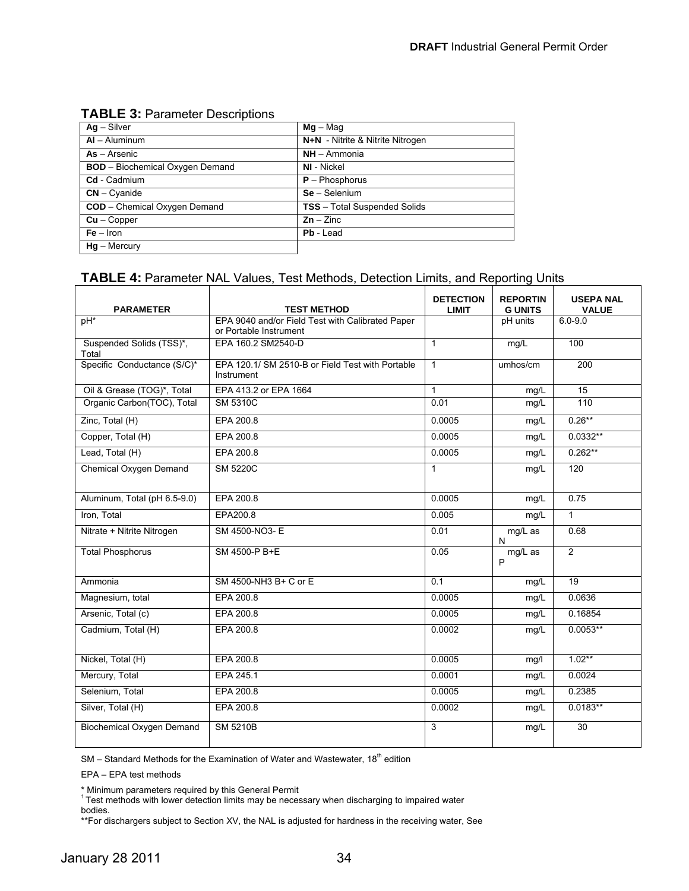| <b>TABLE 3: Parameter Descriptions</b> |  |
|----------------------------------------|--|
|----------------------------------------|--|

<span id="page-35-0"></span>

| $Aq - Silver$                          | $Ma - Maq$                          |
|----------------------------------------|-------------------------------------|
| $AI - Aluminum$                        | N+N - Nitrite & Nitrite Nitrogen    |
| $As - Arsenic$                         | $NH - Ammonia$                      |
| <b>BOD</b> - Biochemical Oxygen Demand | <b>NI</b> - Nickel                  |
| Cd - Cadmium                           | $P - Phosphorus$                    |
| $CN - C$ yanide                        | $Se - Selenium$                     |
| COD - Chemical Oxygen Demand           | <b>TSS</b> - Total Suspended Solids |
| $Cu - Cooper$                          | $Zn - Zinc$                         |
| $Fe - Iron$                            | Pb - Lead                           |
| $Hg -$ Mercury                         |                                     |

### <span id="page-35-1"></span>**TABLE 4:** Parameter NAL Values, Test Methods, Detection Limits, and Reporting Units

| <b>PARAMETER</b>                  | <b>TEST METHOD</b>                                                         | <b>DETECTION</b><br>LIMIT | <b>REPORTIN</b><br><b>G UNITS</b> | <b>USEPA NAL</b><br><b>VALUE</b> |
|-----------------------------------|----------------------------------------------------------------------------|---------------------------|-----------------------------------|----------------------------------|
| pH*                               | EPA 9040 and/or Field Test with Calibrated Paper<br>or Portable Instrument |                           | pH units                          | $6.0 - 9.0$                      |
| Suspended Solids (TSS)*,<br>Total | EPA 160.2 SM2540-D                                                         | $\mathbf{1}$              | mg/L                              | 100                              |
| Specific Conductance (S/C)*       | EPA 120.1/ SM 2510-B or Field Test with Portable<br>Instrument             | $\mathbf{1}$              | umhos/cm                          | 200                              |
| Oil & Grease (TOG)*, Total        | EPA 413.2 or EPA 1664                                                      | $\mathbf{1}$              | mg/L                              | 15                               |
| Organic Carbon(TOC), Total        | <b>SM 5310C</b>                                                            | 0.01                      | mg/L                              | 110                              |
| Zinc, Total (H)                   | EPA 200.8                                                                  | 0.0005                    | mg/L                              | $0.26**$                         |
| Copper, Total (H)                 | EPA 200.8                                                                  | 0.0005                    | mg/L                              | $0.0332**$                       |
| Lead, Total (H)                   | EPA 200.8                                                                  | 0.0005                    | mg/L                              | $0.262**$                        |
| Chemical Oxygen Demand            | <b>SM 5220C</b>                                                            | $\mathbf{1}$              | mg/L                              | 120                              |
| Aluminum, Total (pH 6.5-9.0)      | EPA 200.8                                                                  | 0.0005                    | mq/L                              | 0.75                             |
| Iron, Total                       | EPA200.8                                                                   | 0.005                     | mg/L                              | $\mathbf{1}$                     |
| Nitrate + Nitrite Nitrogen        | SM 4500-NO3-E                                                              | 0.01                      | mg/L as<br>N                      | 0.68                             |
| <b>Total Phosphorus</b>           | SM 4500-P B+E                                                              | 0.05                      | mg/L as<br>P                      | $\overline{2}$                   |
| Ammonia                           | SM 4500-NH3 B+ C or E                                                      | 0.1                       | mg/L                              | 19                               |
| Magnesium, total                  | EPA 200.8                                                                  | 0.0005                    | mg/L                              | 0.0636                           |
| Arsenic, Total (c)                | EPA 200.8                                                                  | 0.0005                    | mq/L                              | 0.16854                          |
| Cadmium, Total (H)                | EPA 200.8                                                                  | 0.0002                    | mg/L                              | $0.0053**$                       |
| Nickel, Total (H)                 | EPA 200.8                                                                  | 0.0005                    | mg/l                              | $1.02**$                         |
| Mercury, Total                    | EPA 245.1                                                                  | 0.0001                    | mg/L                              | 0.0024                           |
| Selenium, Total                   | EPA 200.8                                                                  | 0.0005                    | mg/L                              | 0.2385                           |
| Silver, Total (H)                 | EPA 200.8                                                                  | 0.0002                    | mg/L                              | $0.0183**$                       |
| Biochemical Oxygen Demand         | <b>SM 5210B</b>                                                            | 3                         | mg/L                              | 30                               |

SM – Standard Methods for the Examination of Water and Wastewater,  $18<sup>th</sup>$  edition

EPA – EPA test methods

\* Minimum parameters required by this General Permit

1 Test methods with lower detection limits may be necessary when discharging to impaired water

bodies.

\*\*For dischargers subject to Section XV, the NAL is adjusted for hardness in the receiving water, See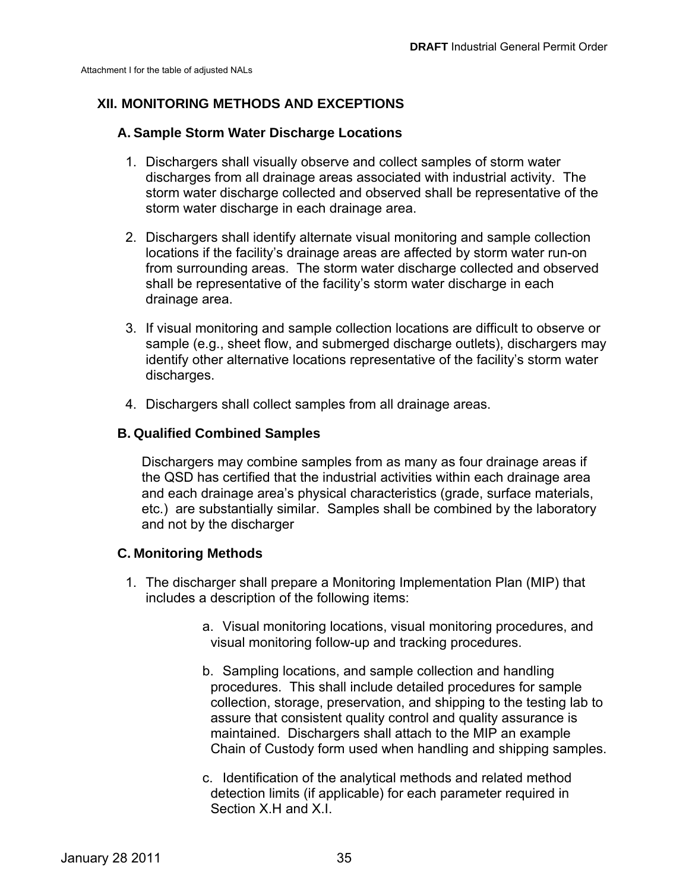#### <span id="page-36-0"></span>**XII. MONITORING METHODS AND EXCEPTIONS**

#### **A. Sample Storm Water Discharge Locations**

- 1. Dischargers shall visually observe and collect samples of storm water discharges from all drainage areas associated with industrial activity. The storm water discharge collected and observed shall be representative of the storm water discharge in each drainage area.
- 2. Dischargers shall identify alternate visual monitoring and sample collection locations if the facility's drainage areas are affected by storm water run-on from surrounding areas. The storm water discharge collected and observed shall be representative of the facility's storm water discharge in each drainage area.
- 3. If visual monitoring and sample collection locations are difficult to observe or sample (e.g., sheet flow, and submerged discharge outlets), dischargers may identify other alternative locations representative of the facility's storm water discharges.
- 4. Dischargers shall collect samples from all drainage areas.

#### **B. Qualified Combined Samples**

Dischargers may combine samples from as many as four drainage areas if the QSD has certified that the industrial activities within each drainage area and each drainage area's physical characteristics (grade, surface materials, etc.) are substantially similar. Samples shall be combined by the laboratory and not by the discharger

#### **C. Monitoring Methods**

- 1. The discharger shall prepare a Monitoring Implementation Plan (MIP) that includes a description of the following items:
	- a. Visual monitoring locations, visual monitoring procedures, and visual monitoring follow-up and tracking procedures.
	- b. Sampling locations, and sample collection and handling procedures. This shall include detailed procedures for sample collection, storage, preservation, and shipping to the testing lab to assure that consistent quality control and quality assurance is maintained. Dischargers shall attach to the MIP an example Chain of Custody form used when handling and shipping samples.
	- c. Identification of the analytical methods and related method detection limits (if applicable) for each parameter required in Section X.H and X.I.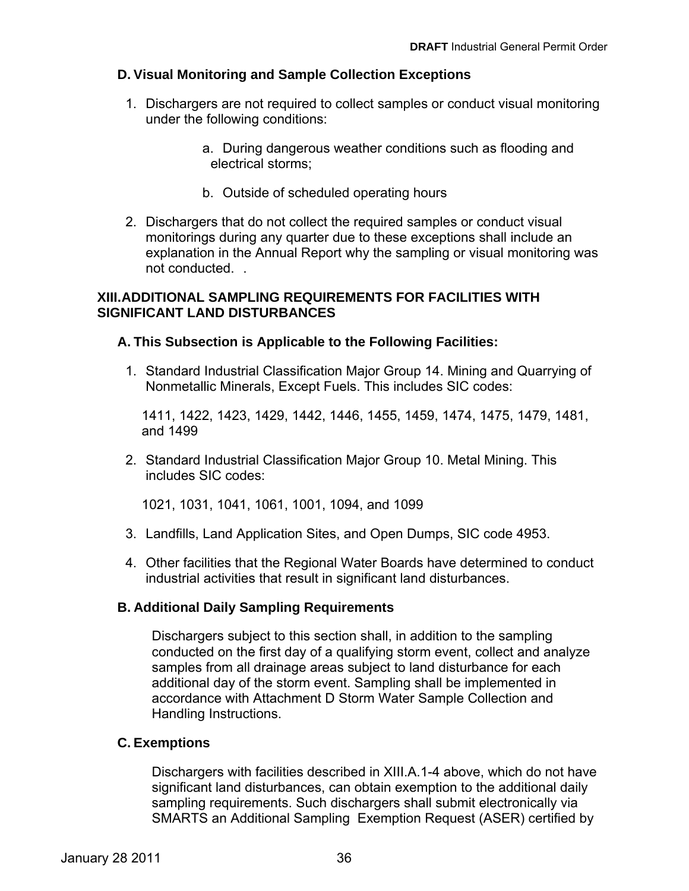### **D. Visual Monitoring and Sample Collection Exceptions**

- 1. Dischargers are not required to collect samples or conduct visual monitoring under the following conditions:
	- a. During dangerous weather conditions such as flooding and electrical storms;
	- b. Outside of scheduled operating hours
- 2. Dischargers that do not collect the required samples or conduct visual monitorings during any quarter due to these exceptions shall include an explanation in the Annual Report why the sampling or visual monitoring was not conducted. .

#### <span id="page-37-0"></span>**XIII. ADDITIONAL SAMPLING REQUIREMENTS FOR FACILITIES WITH SIGNIFICANT LAND DISTURBANCES**

### **A. This Subsection is Applicable to the Following Facilities:**

1. Standard Industrial Classification Major Group 14. Mining and Quarrying of Nonmetallic Minerals, Except Fuels. This includes SIC codes:

1411, 1422, 1423, 1429, 1442, 1446, 1455, 1459, 1474, 1475, 1479, 1481, and 1499

2. Standard Industrial Classification Major Group 10. Metal Mining. This includes SIC codes:

1021, 1031, 1041, 1061, 1001, 1094, and 1099

- 3. Landfills, Land Application Sites, and Open Dumps, SIC code 4953.
- 4. Other facilities that the Regional Water Boards have determined to conduct industrial activities that result in significant land disturbances.

### **B. Additional Daily Sampling Requirements**

Dischargers subject to this section shall, in addition to the sampling conducted on the first day of a qualifying storm event, collect and analyze samples from all drainage areas subject to land disturbance for each additional day of the storm event. Sampling shall be implemented in accordance with Attachment D Storm Water Sample Collection and Handling Instructions.

### **C. Exemptions**

Dischargers with facilities described in XIII.A.1-4 above, which do not have significant land disturbances, can obtain exemption to the additional daily sampling requirements. Such dischargers shall submit electronically via SMARTS an Additional Sampling Exemption Request (ASER) certified by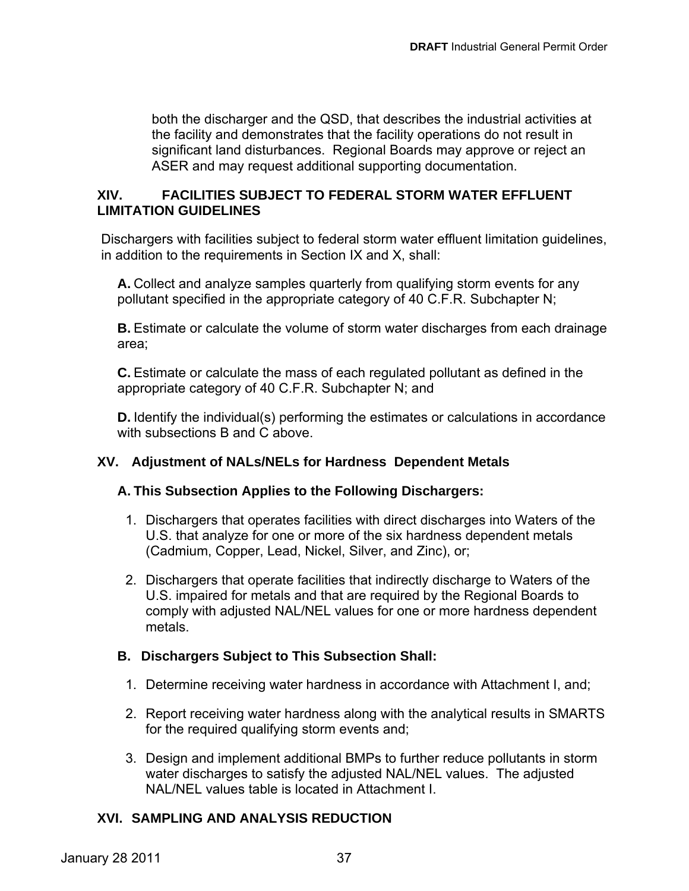both the discharger and the QSD, that describes the industrial activities at the facility and demonstrates that the facility operations do not result in significant land disturbances. Regional Boards may approve or reject an ASER and may request additional supporting documentation.

#### <span id="page-38-0"></span>**XIV. FACILITIES SUBJECT TO FEDERAL STORM WATER EFFLUENT LIMITATION GUIDELINES**

Dischargers with facilities subject to federal storm water effluent limitation guidelines, in addition to the requirements in Section IX and X, shall:

**A.** Collect and analyze samples quarterly from qualifying storm events for any pollutant specified in the appropriate category of 40 C.F.R. Subchapter N;

**B.** Estimate or calculate the volume of storm water discharges from each drainage area;

**C.** Estimate or calculate the mass of each regulated pollutant as defined in the appropriate category of 40 C.F.R. Subchapter N; and

**D.** Identify the individual(s) performing the estimates or calculations in accordance with subsections B and C above.

### <span id="page-38-1"></span>**XV. Adjustment of NALs/NELs for Hardness Dependent Metals**

### **A. This Subsection Applies to the Following Dischargers:**

- 1. Dischargers that operates facilities with direct discharges into Waters of the U.S. that analyze for one or more of the six hardness dependent metals (Cadmium, Copper, Lead, Nickel, Silver, and Zinc), or;
- 2. Dischargers that operate facilities that indirectly discharge to Waters of the U.S. impaired for metals and that are required by the Regional Boards to comply with adjusted NAL/NEL values for one or more hardness dependent metals.

# **B. Dischargers Subject to This Subsection Shall:**

- 1. Determine receiving water hardness in accordance with Attachment I, and;
- 2. Report receiving water hardness along with the analytical results in SMARTS for the required qualifying storm events and;
- 3. Design and implement additional BMPs to further reduce pollutants in storm water discharges to satisfy the adjusted NAL/NEL values. The adjusted NAL/NEL values table is located in Attachment I.

# <span id="page-38-2"></span>**XVI. SAMPLING AND ANALYSIS REDUCTION**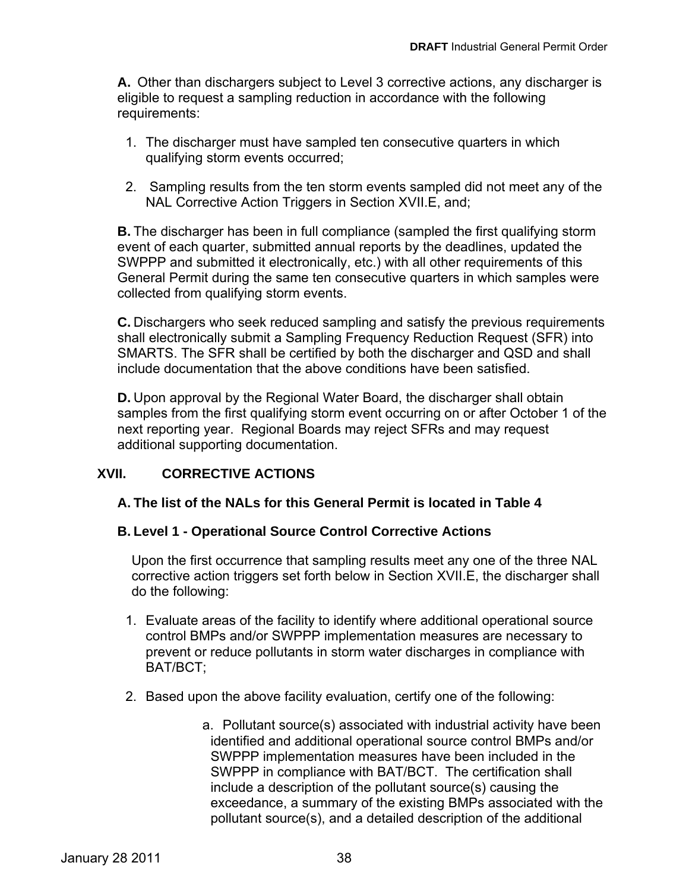**A.** Other than dischargers subject to Level 3 corrective actions, any discharger is eligible to request a sampling reduction in accordance with the following requirements:

- 1. The discharger must have sampled ten consecutive quarters in which qualifying storm events occurred;
- 2. Sampling results from the ten storm events sampled did not meet any of the NAL Corrective Action Triggers in Section XVII.E, and;

**B.** The discharger has been in full compliance (sampled the first qualifying storm event of each quarter, submitted annual reports by the deadlines, updated the SWPPP and submitted it electronically, etc.) with all other requirements of this General Permit during the same ten consecutive quarters in which samples were collected from qualifying storm events.

**C.** Dischargers who seek reduced sampling and satisfy the previous requirements shall electronically submit a Sampling Frequency Reduction Request (SFR) into SMARTS. The SFR shall be certified by both the discharger and QSD and shall include documentation that the above conditions have been satisfied.

**D.** Upon approval by the Regional Water Board, the discharger shall obtain samples from the first qualifying storm event occurring on or after October 1 of the next reporting year. Regional Boards may reject SFRs and may request additional supporting documentation.

### <span id="page-39-0"></span>**XVII. CORRECTIVE ACTIONS**

#### **A. The list of the NALs for this General Permit is located in Table 4**

#### **B. Level 1 - Operational Source Control Corrective Actions**

Upon the first occurrence that sampling results meet any one of the three NAL corrective action triggers set forth below in Section XVII.E, the discharger shall do the following:

- 1. Evaluate areas of the facility to identify where additional operational source control BMPs and/or SWPPP implementation measures are necessary to prevent or reduce pollutants in storm water discharges in compliance with BAT/BCT;
- 2. Based upon the above facility evaluation, certify one of the following:
	- a. Pollutant source(s) associated with industrial activity have been identified and additional operational source control BMPs and/or SWPPP implementation measures have been included in the SWPPP in compliance with BAT/BCT. The certification shall include a description of the pollutant source(s) causing the exceedance, a summary of the existing BMPs associated with the pollutant source(s), and a detailed description of the additional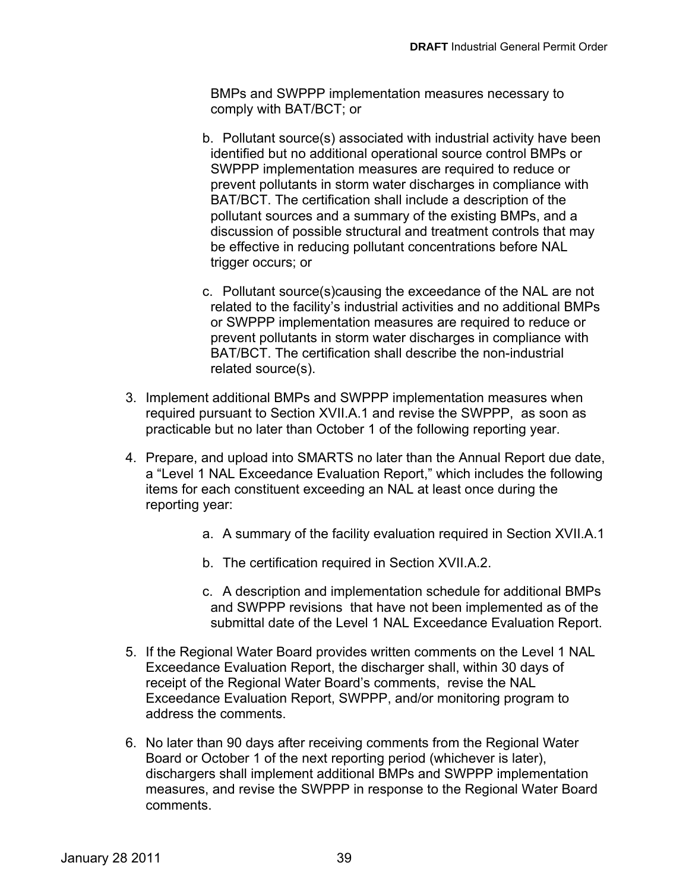BMPs and SWPPP implementation measures necessary to comply with BAT/BCT; or

- b. Pollutant source(s) associated with industrial activity have been identified but no additional operational source control BMPs or SWPPP implementation measures are required to reduce or prevent pollutants in storm water discharges in compliance with BAT/BCT. The certification shall include a description of the pollutant sources and a summary of the existing BMPs, and a discussion of possible structural and treatment controls that may be effective in reducing pollutant concentrations before NAL trigger occurs; or
- c. Pollutant source(s)causing the exceedance of the NAL are not related to the facility's industrial activities and no additional BMPs or SWPPP implementation measures are required to reduce or prevent pollutants in storm water discharges in compliance with BAT/BCT. The certification shall describe the non-industrial related source(s).
- 3. Implement additional BMPs and SWPPP implementation measures when required pursuant to Section XVII.A.1 and revise the SWPPP, as soon as practicable but no later than October 1 of the following reporting year.
- 4. Prepare, and upload into SMARTS no later than the Annual Report due date, a "Level 1 NAL Exceedance Evaluation Report," which includes the following items for each constituent exceeding an NAL at least once during the reporting year:
	- a. A summary of the facility evaluation required in Section XVII.A.1
	- b. The certification required in Section XVII.A.2.
	- c. A description and implementation schedule for additional BMPs and SWPPP revisions that have not been implemented as of the submittal date of the Level 1 NAL Exceedance Evaluation Report.
- 5. If the Regional Water Board provides written comments on the Level 1 NAL Exceedance Evaluation Report, the discharger shall, within 30 days of receipt of the Regional Water Board's comments, revise the NAL Exceedance Evaluation Report, SWPPP, and/or monitoring program to address the comments.
- 6. No later than 90 days after receiving comments from the Regional Water Board or October 1 of the next reporting period (whichever is later), dischargers shall implement additional BMPs and SWPPP implementation measures, and revise the SWPPP in response to the Regional Water Board comments.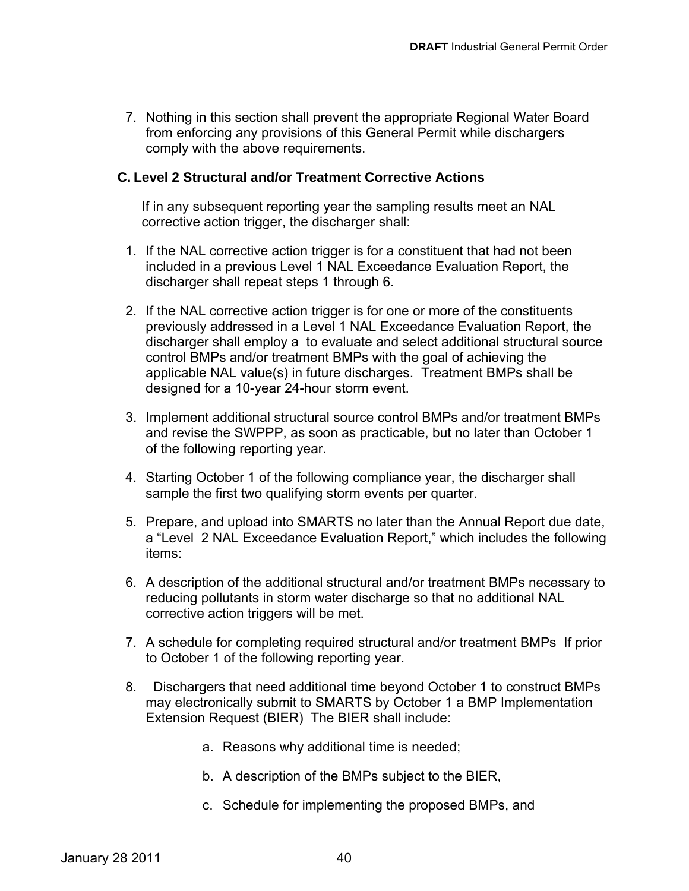7. Nothing in this section shall prevent the appropriate Regional Water Board from enforcing any provisions of this General Permit while dischargers comply with the above requirements.

#### **C. Level 2 Structural and/or Treatment Corrective Actions**

If in any subsequent reporting year the sampling results meet an NAL corrective action trigger, the discharger shall:

- 1. If the NAL corrective action trigger is for a constituent that had not been included in a previous Level 1 NAL Exceedance Evaluation Report, the discharger shall repeat steps 1 through 6.
- 2. If the NAL corrective action trigger is for one or more of the constituents previously addressed in a Level 1 NAL Exceedance Evaluation Report, the discharger shall employ a to evaluate and select additional structural source control BMPs and/or treatment BMPs with the goal of achieving the applicable NAL value(s) in future discharges. Treatment BMPs shall be designed for a 10-year 24-hour storm event.
- 3. Implement additional structural source control BMPs and/or treatment BMPs and revise the SWPPP, as soon as practicable, but no later than October 1 of the following reporting year.
- 4. Starting October 1 of the following compliance year, the discharger shall sample the first two qualifying storm events per quarter.
- 5. Prepare, and upload into SMARTS no later than the Annual Report due date, a "Level 2 NAL Exceedance Evaluation Report," which includes the following items:
- 6. A description of the additional structural and/or treatment BMPs necessary to reducing pollutants in storm water discharge so that no additional NAL corrective action triggers will be met.
- 7. A schedule for completing required structural and/or treatment BMPs If prior to October 1 of the following reporting year.
- 8. Dischargers that need additional time beyond October 1 to construct BMPs may electronically submit to SMARTS by October 1 a BMP Implementation Extension Request (BIER) The BIER shall include:
	- a. Reasons why additional time is needed;
	- b. A description of the BMPs subject to the BIER,
	- c. Schedule for implementing the proposed BMPs, and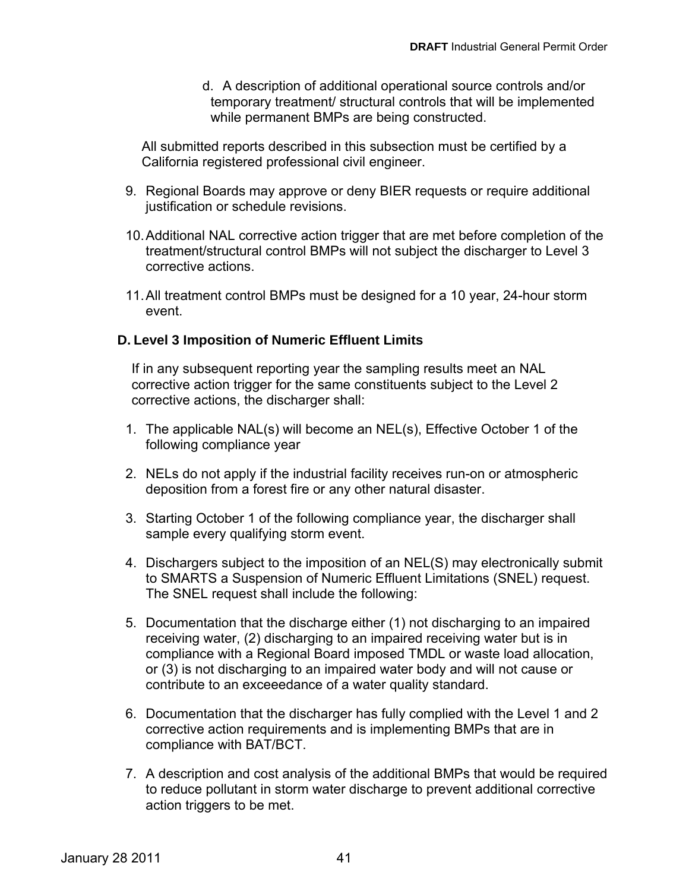d. A description of additional operational source controls and/or temporary treatment/ structural controls that will be implemented while permanent BMPs are being constructed.

All submitted reports described in this subsection must be certified by a California registered professional civil engineer.

- 9. Regional Boards may approve or deny BIER requests or require additional justification or schedule revisions.
- 10. Additional NAL corrective action trigger that are met before completion of the treatment/structural control BMPs will not subject the discharger to Level 3 corrective actions.
- 11. All treatment control BMPs must be designed for a 10 year, 24-hour storm event.

#### **D. Level 3 Imposition of Numeric Effluent Limits**

If in any subsequent reporting year the sampling results meet an NAL corrective action trigger for the same constituents subject to the Level 2 corrective actions, the discharger shall:

- 1. The applicable NAL(s) will become an NEL(s), Effective October 1 of the following compliance year
- 2. NELs do not apply if the industrial facility receives run-on or atmospheric deposition from a forest fire or any other natural disaster.
- 3. Starting October 1 of the following compliance year, the discharger shall sample every qualifying storm event.
- 4. Dischargers subject to the imposition of an NEL(S) may electronically submit to SMARTS a Suspension of Numeric Effluent Limitations (SNEL) request. The SNEL request shall include the following:
- 5. Documentation that the discharge either (1) not discharging to an impaired receiving water, (2) discharging to an impaired receiving water but is in compliance with a Regional Board imposed TMDL or waste load allocation, or (3) is not discharging to an impaired water body and will not cause or contribute to an exceeedance of a water quality standard.
- 6. Documentation that the discharger has fully complied with the Level 1 and 2 corrective action requirements and is implementing BMPs that are in compliance with BAT/BCT.
- 7. A description and cost analysis of the additional BMPs that would be required to reduce pollutant in storm water discharge to prevent additional corrective action triggers to be met.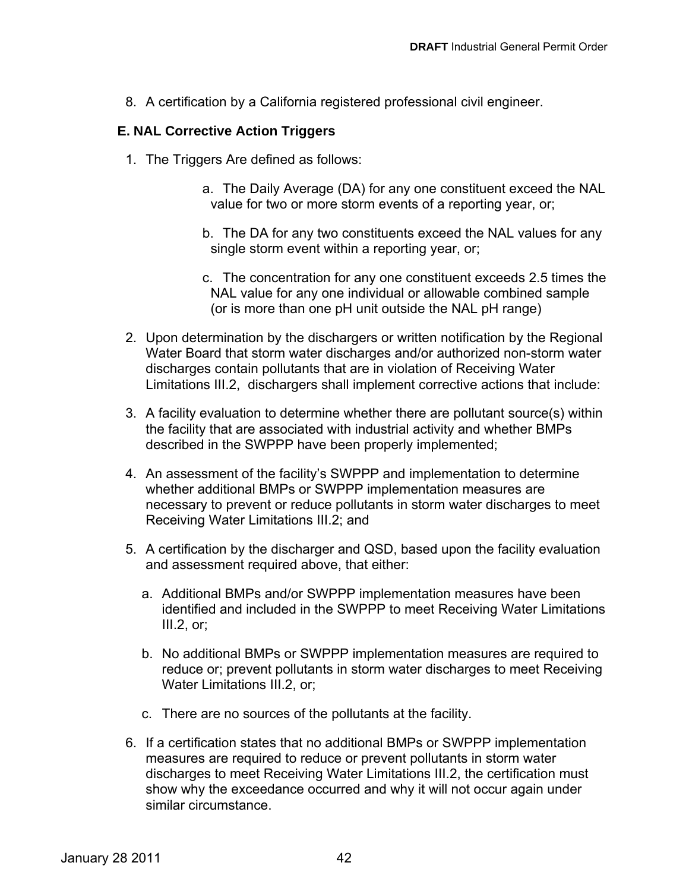8. A certification by a California registered professional civil engineer.

### **E. NAL Corrective Action Triggers**

- 1. The Triggers Are defined as follows:
	- a. The Daily Average (DA) for any one constituent exceed the NAL value for two or more storm events of a reporting year, or;
	- b. The DA for any two constituents exceed the NAL values for any single storm event within a reporting year, or;
	- c. The concentration for any one constituent exceeds 2.5 times the NAL value for any one individual or allowable combined sample (or is more than one pH unit outside the NAL pH range)
- 2. Upon determination by the dischargers or written notification by the Regional Water Board that storm water discharges and/or authorized non-storm water discharges contain pollutants that are in violation of Receiving Water Limitations III.2, dischargers shall implement corrective actions that include:
- 3. A facility evaluation to determine whether there are pollutant source(s) within the facility that are associated with industrial activity and whether BMPs described in the SWPPP have been properly implemented;
- 4. An assessment of the facility's SWPPP and implementation to determine whether additional BMPs or SWPPP implementation measures are necessary to prevent or reduce pollutants in storm water discharges to meet Receiving Water Limitations III.2; and
- 5. A certification by the discharger and QSD, based upon the facility evaluation and assessment required above, that either:
	- a. Additional BMPs and/or SWPPP implementation measures have been identified and included in the SWPPP to meet Receiving Water Limitations III.2, or;
	- b. No additional BMPs or SWPPP implementation measures are required to reduce or; prevent pollutants in storm water discharges to meet Receiving Water Limitations III.2, or;
	- c. There are no sources of the pollutants at the facility.
- 6. If a certification states that no additional BMPs or SWPPP implementation measures are required to reduce or prevent pollutants in storm water discharges to meet Receiving Water Limitations III.2, the certification must show why the exceedance occurred and why it will not occur again under similar circumstance.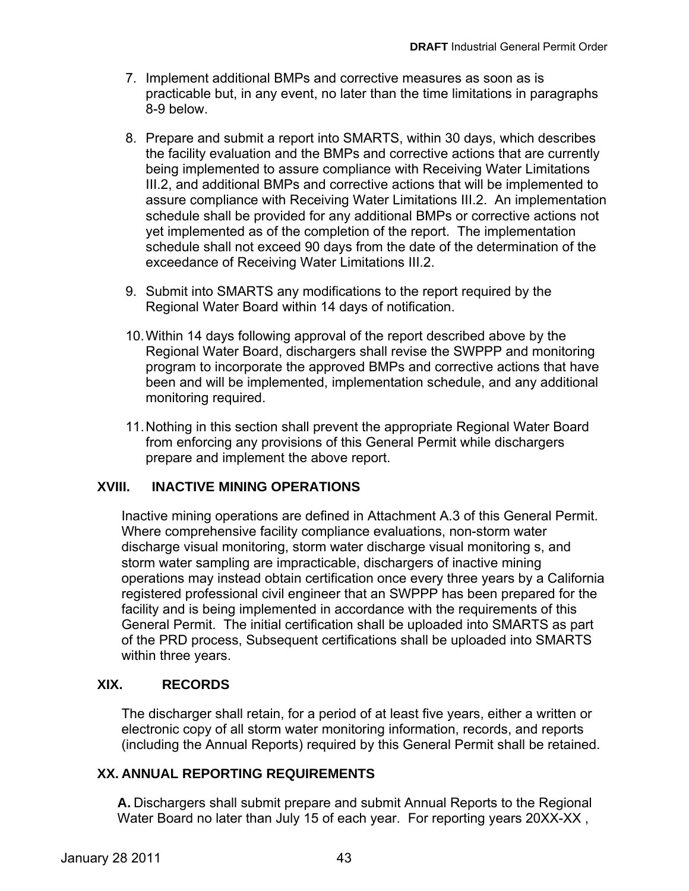- 7. Implement additional BMPs and corrective measures as soon as is practicable but, in any event, no later than the time limitations in paragraphs 8-9 below.
- 8. Prepare and submit a report into SMARTS, within 30 days, which describes the facility evaluation and the BMPs and corrective actions that are currently being implemented to assure compliance with Receiving Water Limitations III.2, and additional BMPs and corrective actions that will be implemented to assure compliance with Receiving Water Limitations III.2. An implementation schedule shall be provided for any additional BMPs or corrective actions not yet implemented as of the completion of the report. The implementation schedule shall not exceed 90 days from the date of the determination of the exceedance of Receiving Water Limitations III.2.
- 9. Submit into SMARTS any modifications to the report required by the Regional Water Board within 14 days of notification.
- 10. Within 14 days following approval of the report described above by the Regional Water Board, dischargers shall revise the SWPPP and monitoring program to incorporate the approved BMPs and corrective actions that have been and will be implemented, implementation schedule, and any additional monitoring required.
- 11. Nothing in this section shall prevent the appropriate Regional Water Board from enforcing any provisions of this General Permit while dischargers prepare and implement the above report.

# <span id="page-44-0"></span>**XVIII. INACTIVE MINING OPERATIONS**

Inactive mining operations are defined in Attachment A.3 of this General Permit. Where comprehensive facility compliance evaluations, non-storm water discharge visual monitoring, storm water discharge visual monitoring s, and storm water sampling are impracticable, dischargers of inactive mining operations may instead obtain certification once every three years by a California registered professional civil engineer that an SWPPP has been prepared for the facility and is being implemented in accordance with the requirements of this General Permit. The initial certification shall be uploaded into SMARTS as part of the PRD process, Subsequent certifications shall be uploaded into SMARTS within three years.

### <span id="page-44-1"></span>**XIX. RECORDS**

The discharger shall retain, for a period of at least five years, either a written or electronic copy of all storm water monitoring information, records, and reports (including the Annual Reports) required by this General Permit shall be retained.

# <span id="page-44-2"></span>**XX. ANNUAL REPORTING REQUIREMENTS**

**A.** Dischargers shall submit prepare and submit Annual Reports to the Regional Water Board no later than July 15 of each year. For reporting years 20XX-XX ,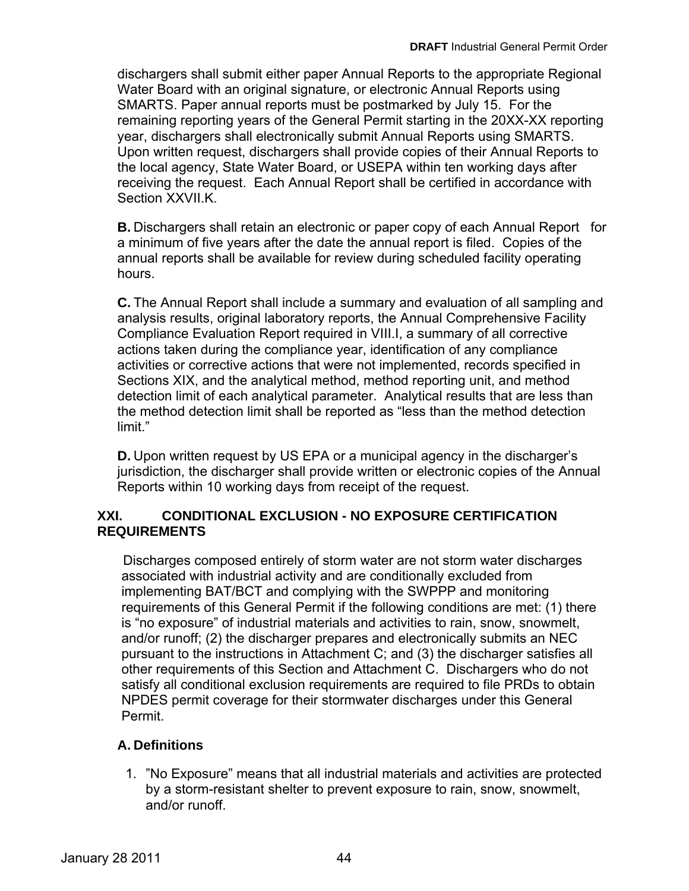dischargers shall submit either paper Annual Reports to the appropriate Regional Water Board with an original signature, or electronic Annual Reports using SMARTS. Paper annual reports must be postmarked by July 15. For the remaining reporting years of the General Permit starting in the 20XX-XX reporting year, dischargers shall electronically submit Annual Reports using SMARTS. Upon written request, dischargers shall provide copies of their Annual Reports to the local agency, State Water Board, or USEPA within ten working days after receiving the request. Each Annual Report shall be certified in accordance with Section XXVII.K.

**B.** Dischargers shall retain an electronic or paper copy of each Annual Report for a minimum of five years after the date the annual report is filed. Copies of the annual reports shall be available for review during scheduled facility operating hours.

**C.** The Annual Report shall include a summary and evaluation of all sampling and analysis results, original laboratory reports, the Annual Comprehensive Facility Compliance Evaluation Report required in VIII.I, a summary of all corrective actions taken during the compliance year, identification of any compliance activities or corrective actions that were not implemented, records specified in Sections XIX, and the analytical method, method reporting unit, and method detection limit of each analytical parameter. Analytical results that are less than the method detection limit shall be reported as "less than the method detection limit."

**D.** Upon written request by US EPA or a municipal agency in the discharger's jurisdiction, the discharger shall provide written or electronic copies of the Annual Reports within 10 working days from receipt of the request.

### <span id="page-45-0"></span>**XXI. CONDITIONAL EXCLUSION - NO EXPOSURE CERTIFICATION REQUIREMENTS**

Discharges composed entirely of storm water are not storm water discharges associated with industrial activity and are conditionally excluded from implementing BAT/BCT and complying with the SWPPP and monitoring requirements of this General Permit if the following conditions are met: (1) there is "no exposure" of industrial materials and activities to rain, snow, snowmelt, and/or runoff; (2) the discharger prepares and electronically submits an NEC pursuant to the instructions in Attachment C; and (3) the discharger satisfies all other requirements of this Section and Attachment C. Dischargers who do not satisfy all conditional exclusion requirements are required to file PRDs to obtain NPDES permit coverage for their stormwater discharges under this General Permit.

### **A. Definitions**

1. "No Exposure" means that all industrial materials and activities are protected by a storm-resistant shelter to prevent exposure to rain, snow, snowmelt, and/or runoff.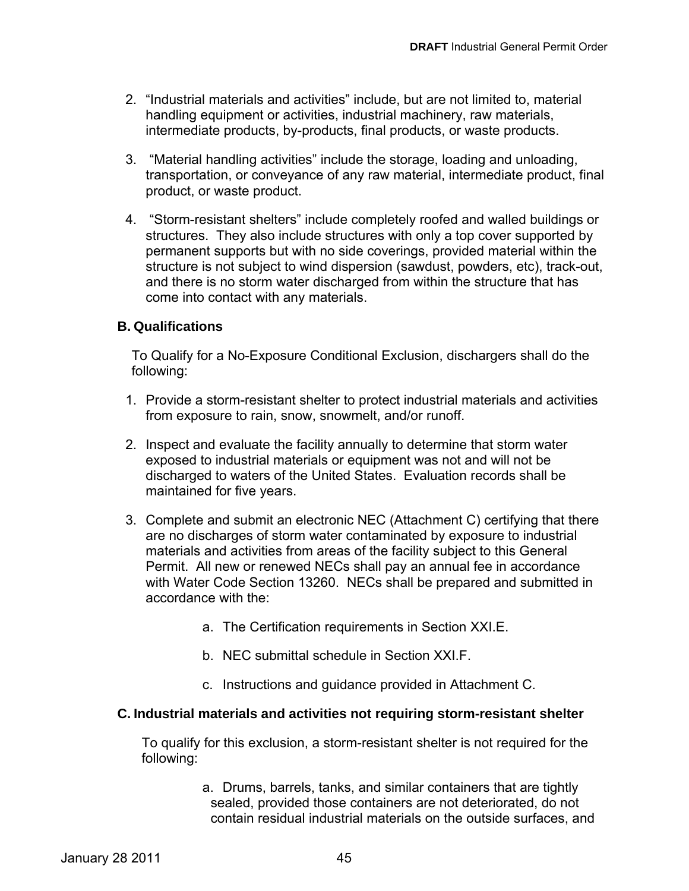- 2. "Industrial materials and activities" include, but are not limited to, material handling equipment or activities, industrial machinery, raw materials, intermediate products, by-products, final products, or waste products.
- 3. "Material handling activities" include the storage, loading and unloading, transportation, or conveyance of any raw material, intermediate product, final product, or waste product.
- 4. "Storm-resistant shelters" include completely roofed and walled buildings or structures. They also include structures with only a top cover supported by permanent supports but with no side coverings, provided material within the structure is not subject to wind dispersion (sawdust, powders, etc), track-out, and there is no storm water discharged from within the structure that has come into contact with any materials.

#### **B. Qualifications**

To Qualify for a No-Exposure Conditional Exclusion, dischargers shall do the following:

- 1. Provide a storm-resistant shelter to protect industrial materials and activities from exposure to rain, snow, snowmelt, and/or runoff.
- 2. Inspect and evaluate the facility annually to determine that storm water exposed to industrial materials or equipment was not and will not be discharged to waters of the United States. Evaluation records shall be maintained for five years.
- 3. Complete and submit an electronic NEC (Attachment C) certifying that there are no discharges of storm water contaminated by exposure to industrial materials and activities from areas of the facility subject to this General Permit. All new or renewed NECs shall pay an annual fee in accordance with Water Code Section 13260. NECs shall be prepared and submitted in accordance with the:
	- a. The Certification requirements in Section XXI.E.
	- b. NEC submittal schedule in Section XXI.F.
	- c. Instructions and guidance provided in Attachment C.

#### **C. Industrial materials and activities not requiring storm-resistant shelter**

To qualify for this exclusion, a storm-resistant shelter is not required for the following:

> a. Drums, barrels, tanks, and similar containers that are tightly sealed, provided those containers are not deteriorated, do not contain residual industrial materials on the outside surfaces, and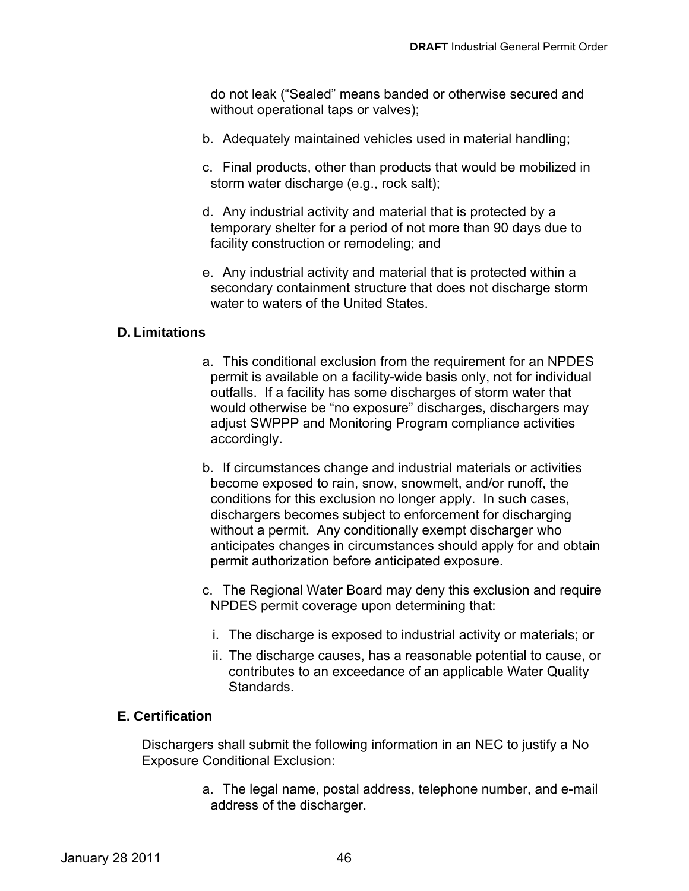do not leak ("Sealed" means banded or otherwise secured and without operational taps or valves);

- b. Adequately maintained vehicles used in material handling;
- c. Final products, other than products that would be mobilized in storm water discharge (e.g., rock salt);
- d. Any industrial activity and material that is protected by a temporary shelter for a period of not more than 90 days due to facility construction or remodeling; and
- e. Any industrial activity and material that is protected within a secondary containment structure that does not discharge storm water to waters of the United States.

### **D. Limitations**

- a. This conditional exclusion from the requirement for an NPDES permit is available on a facility-wide basis only, not for individual outfalls. If a facility has some discharges of storm water that would otherwise be "no exposure" discharges, dischargers may adjust SWPPP and Monitoring Program compliance activities accordingly.
- b. If circumstances change and industrial materials or activities become exposed to rain, snow, snowmelt, and/or runoff, the conditions for this exclusion no longer apply. In such cases, dischargers becomes subject to enforcement for discharging without a permit. Any conditionally exempt discharger who anticipates changes in circumstances should apply for and obtain permit authorization before anticipated exposure.
- c. The Regional Water Board may deny this exclusion and require NPDES permit coverage upon determining that:
	- i. The discharge is exposed to industrial activity or materials; or
	- ii. The discharge causes, has a reasonable potential to cause, or contributes to an exceedance of an applicable Water Quality Standards.

### **E. Certification**

Dischargers shall submit the following information in an NEC to justify a No Exposure Conditional Exclusion:

> a. The legal name, postal address, telephone number, and e-mail address of the discharger.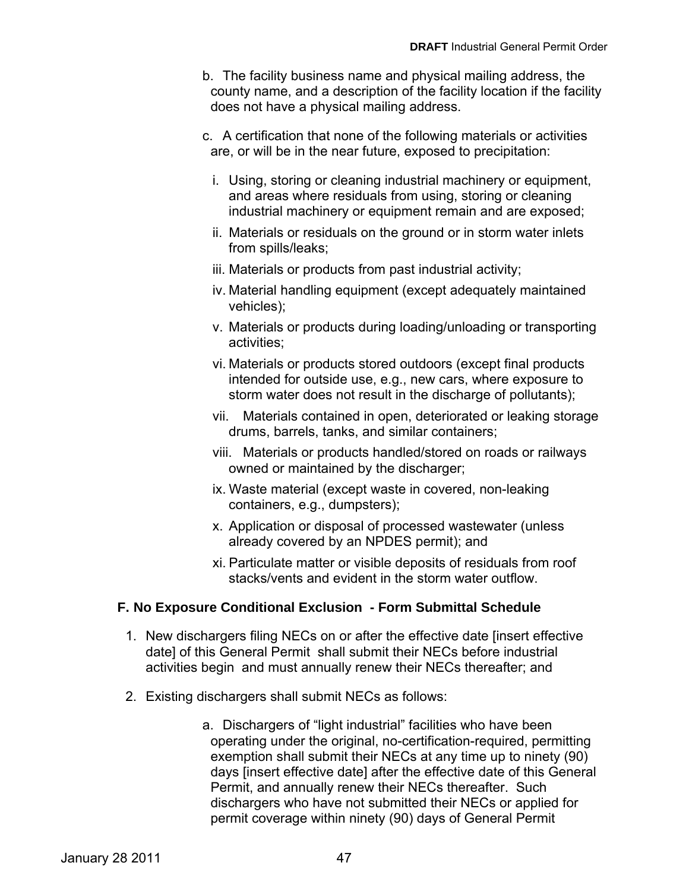- b. The facility business name and physical mailing address, the county name, and a description of the facility location if the facility does not have a physical mailing address.
- c. A certification that none of the following materials or activities are, or will be in the near future, exposed to precipitation:
	- i. Using, storing or cleaning industrial machinery or equipment, and areas where residuals from using, storing or cleaning industrial machinery or equipment remain and are exposed;
	- ii. Materials or residuals on the ground or in storm water inlets from spills/leaks;
	- iii. Materials or products from past industrial activity;
	- iv. Material handling equipment (except adequately maintained vehicles);
	- v. Materials or products during loading/unloading or transporting activities;
	- vi. Materials or products stored outdoors (except final products intended for outside use, e.g., new cars, where exposure to storm water does not result in the discharge of pollutants);
	- vii. Materials contained in open, deteriorated or leaking storage drums, barrels, tanks, and similar containers;
	- viii. Materials or products handled/stored on roads or railways owned or maintained by the discharger;
	- ix. Waste material (except waste in covered, non-leaking containers, e.g., dumpsters);
	- x. Application or disposal of processed wastewater (unless already covered by an NPDES permit); and
	- xi. Particulate matter or visible deposits of residuals from roof stacks/vents and evident in the storm water outflow.

# **F. No Exposure Conditional Exclusion - Form Submittal Schedule**

- 1. New dischargers filing NECs on or after the effective date [insert effective date] of this General Permit shall submit their NECs before industrial activities begin and must annually renew their NECs thereafter; and
- 2. Existing dischargers shall submit NECs as follows:
	- a. Dischargers of "light industrial" facilities who have been operating under the original, no-certification-required, permitting exemption shall submit their NECs at any time up to ninety (90) days [insert effective date] after the effective date of this General Permit, and annually renew their NECs thereafter. Such dischargers who have not submitted their NECs or applied for permit coverage within ninety (90) days of General Permit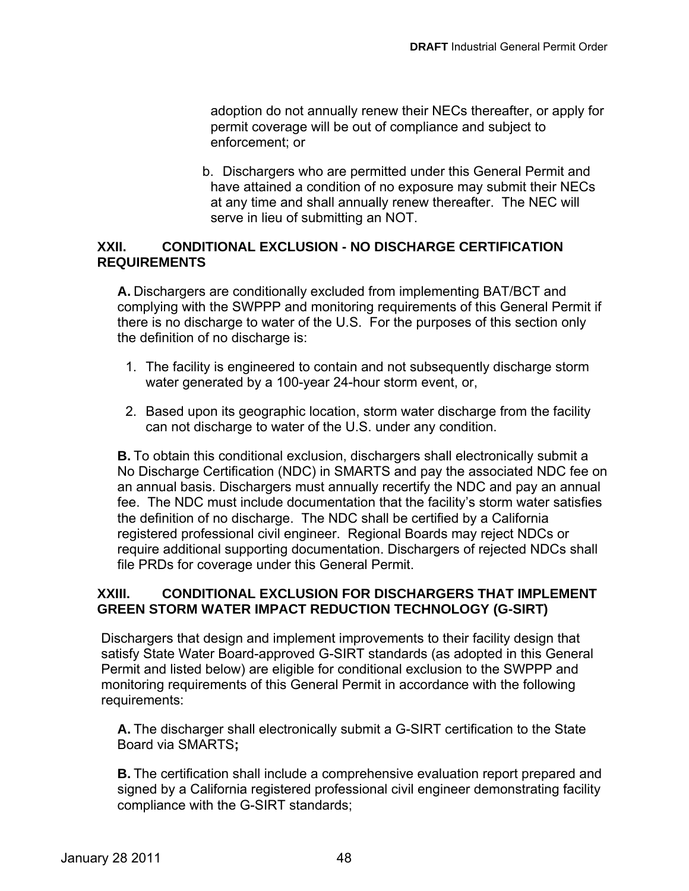adoption do not annually renew their NECs thereafter, or apply for permit coverage will be out of compliance and subject to enforcement; or

b. Dischargers who are permitted under this General Permit and have attained a condition of no exposure may submit their NECs at any time and shall annually renew thereafter. The NEC will serve in lieu of submitting an NOT.

### <span id="page-49-0"></span>**XXII. CONDITIONAL EXCLUSION - NO DISCHARGE CERTIFICATION REQUIREMENTS**

**A.** Dischargers are conditionally excluded from implementing BAT/BCT and complying with the SWPPP and monitoring requirements of this General Permit if there is no discharge to water of the U.S. For the purposes of this section only the definition of no discharge is:

- 1. The facility is engineered to contain and not subsequently discharge storm water generated by a 100-year 24-hour storm event, or,
- 2. Based upon its geographic location, storm water discharge from the facility can not discharge to water of the U.S. under any condition.

**B.** To obtain this conditional exclusion, dischargers shall electronically submit a No Discharge Certification (NDC) in SMARTS and pay the associated NDC fee on an annual basis. Dischargers must annually recertify the NDC and pay an annual fee. The NDC must include documentation that the facility's storm water satisfies the definition of no discharge. The NDC shall be certified by a California registered professional civil engineer. Regional Boards may reject NDCs or require additional supporting documentation. Dischargers of rejected NDCs shall file PRDs for coverage under this General Permit.

### <span id="page-49-1"></span>**XXIII. CONDITIONAL EXCLUSION FOR DISCHARGERS THAT IMPLEMENT GREEN STORM WATER IMPACT REDUCTION TECHNOLOGY (G-SIRT)**

Dischargers that design and implement improvements to their facility design that satisfy State Water Board-approved G-SIRT standards (as adopted in this General Permit and listed below) are eligible for conditional exclusion to the SWPPP and monitoring requirements of this General Permit in accordance with the following requirements:

**A.** The discharger shall electronically submit a G-SIRT certification to the State Board via SMARTS**;** 

**B.** The certification shall include a comprehensive evaluation report prepared and signed by a California registered professional civil engineer demonstrating facility compliance with the G-SIRT standards;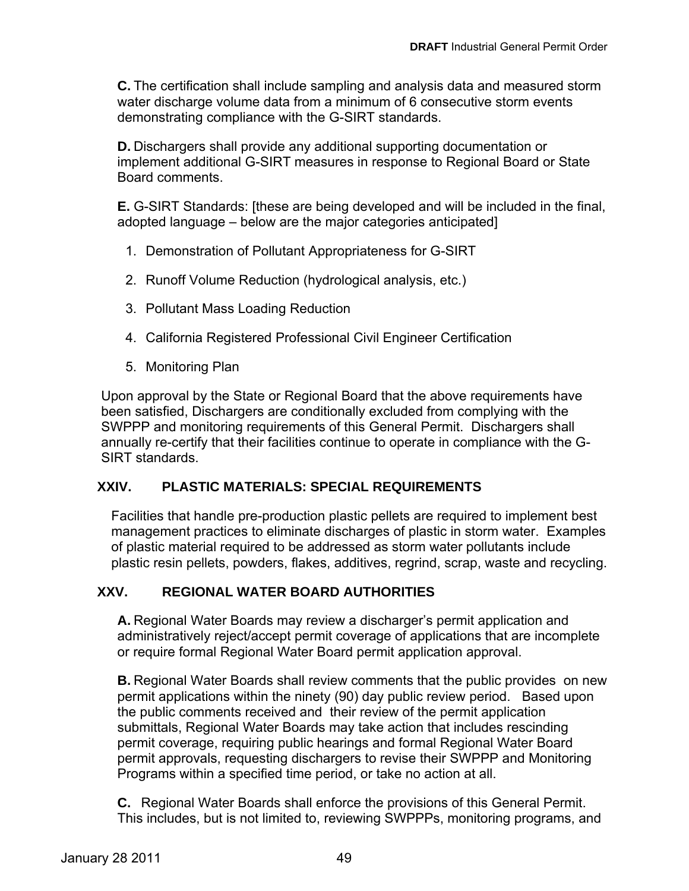**C.** The certification shall include sampling and analysis data and measured storm water discharge volume data from a minimum of 6 consecutive storm events demonstrating compliance with the G-SIRT standards.

**D.** Dischargers shall provide any additional supporting documentation or implement additional G-SIRT measures in response to Regional Board or State Board comments.

**E.** G-SIRT Standards: [these are being developed and will be included in the final, adopted language – below are the major categories anticipated]

- 1. Demonstration of Pollutant Appropriateness for G-SIRT
- 2. Runoff Volume Reduction (hydrological analysis, etc.)
- 3. Pollutant Mass Loading Reduction
- 4. California Registered Professional Civil Engineer Certification
- 5. Monitoring Plan

Upon approval by the State or Regional Board that the above requirements have been satisfied, Dischargers are conditionally excluded from complying with the SWPPP and monitoring requirements of this General Permit. Dischargers shall annually re-certify that their facilities continue to operate in compliance with the G-SIRT standards.

### <span id="page-50-0"></span>**XXIV. PLASTIC MATERIALS: SPECIAL REQUIREMENTS**

Facilities that handle pre-production plastic pellets are required to implement best management practices to eliminate discharges of plastic in storm water. Examples of plastic material required to be addressed as storm water pollutants include plastic resin pellets, powders, flakes, additives, regrind, scrap, waste and recycling.

### <span id="page-50-1"></span>**XXV. REGIONAL WATER BOARD AUTHORITIES**

**A.** Regional Water Boards may review a discharger's permit application and administratively reject/accept permit coverage of applications that are incomplete or require formal Regional Water Board permit application approval.

**B.** Regional Water Boards shall review comments that the public provides on new permit applications within the ninety (90) day public review period. Based upon the public comments received and their review of the permit application submittals, Regional Water Boards may take action that includes rescinding permit coverage, requiring public hearings and formal Regional Water Board permit approvals, requesting dischargers to revise their SWPPP and Monitoring Programs within a specified time period, or take no action at all.

**C.** Regional Water Boards shall enforce the provisions of this General Permit. This includes, but is not limited to, reviewing SWPPPs, monitoring programs, and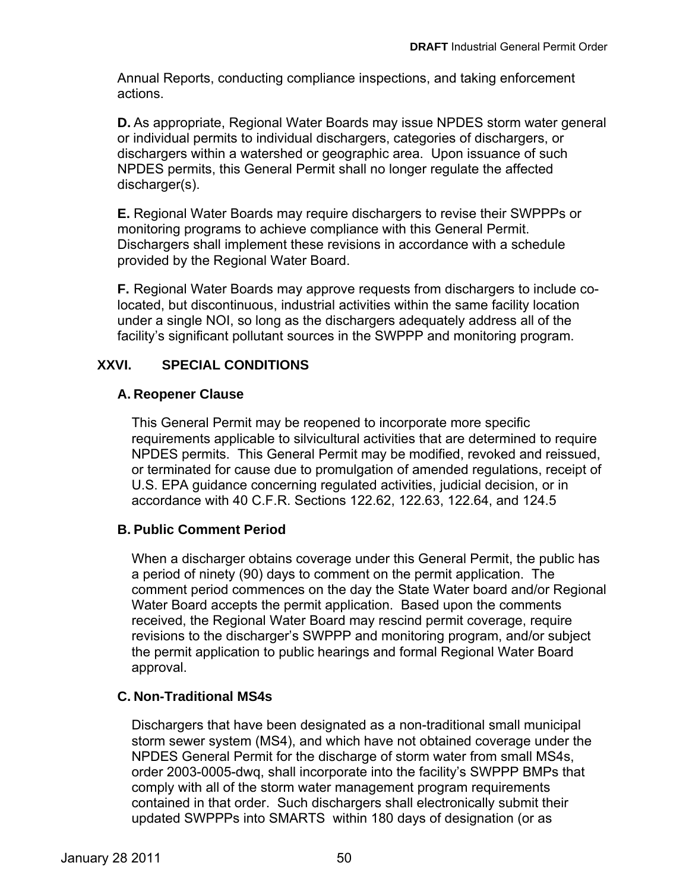Annual Reports, conducting compliance inspections, and taking enforcement actions.

**D.** As appropriate, Regional Water Boards may issue NPDES storm water general or individual permits to individual dischargers, categories of dischargers, or dischargers within a watershed or geographic area. Upon issuance of such NPDES permits, this General Permit shall no longer regulate the affected discharger(s).

**E.** Regional Water Boards may require dischargers to revise their SWPPPs or monitoring programs to achieve compliance with this General Permit. Dischargers shall implement these revisions in accordance with a schedule provided by the Regional Water Board.

**F.** Regional Water Boards may approve requests from dischargers to include colocated, but discontinuous, industrial activities within the same facility location under a single NOI, so long as the dischargers adequately address all of the facility's significant pollutant sources in the SWPPP and monitoring program.

### <span id="page-51-0"></span>**XXVI. SPECIAL CONDITIONS**

### **A. Reopener Clause**

This General Permit may be reopened to incorporate more specific requirements applicable to silvicultural activities that are determined to require NPDES permits. This General Permit may be modified, revoked and reissued, or terminated for cause due to promulgation of amended regulations, receipt of U.S. EPA guidance concerning regulated activities, judicial decision, or in accordance with 40 C.F.R. Sections 122.62, 122.63, 122.64, and 124.5

### **B. Public Comment Period**

When a discharger obtains coverage under this General Permit, the public has a period of ninety (90) days to comment on the permit application. The comment period commences on the day the State Water board and/or Regional Water Board accepts the permit application. Based upon the comments received, the Regional Water Board may rescind permit coverage, require revisions to the discharger's SWPPP and monitoring program, and/or subject the permit application to public hearings and formal Regional Water Board approval.

### **C. Non-Traditional MS4s**

Dischargers that have been designated as a non-traditional small municipal storm sewer system (MS4), and which have not obtained coverage under the NPDES General Permit for the discharge of storm water from small MS4s, order 2003-0005-dwq, shall incorporate into the facility's SWPPP BMPs that comply with all of the storm water management program requirements contained in that order. Such dischargers shall electronically submit their updated SWPPPs into SMARTS within 180 days of designation (or as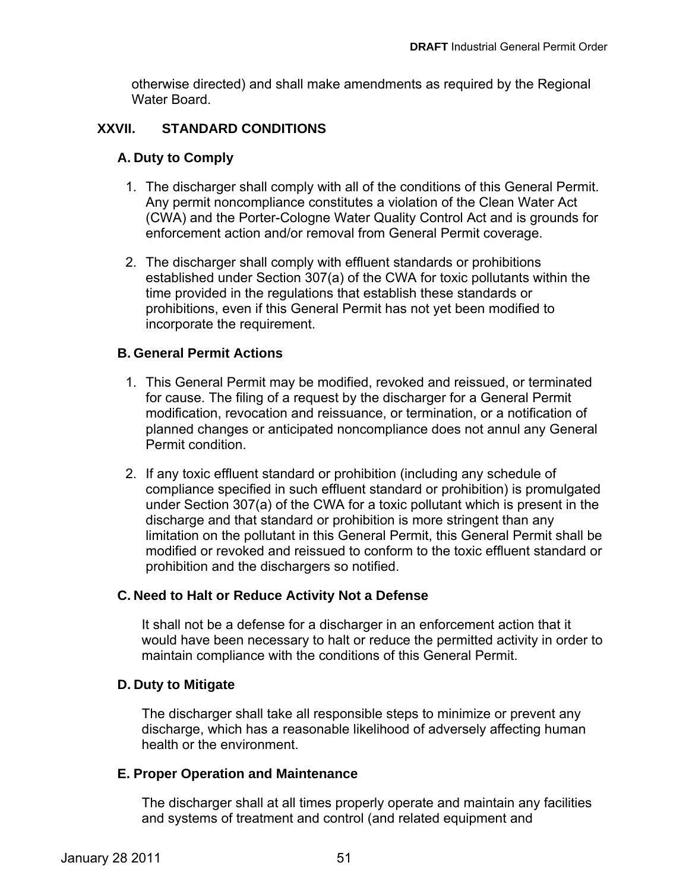otherwise directed) and shall make amendments as required by the Regional Water Board.

### <span id="page-52-0"></span>**XXVII. STANDARD CONDITIONS**

### **A. Duty to Comply**

- 1. The discharger shall comply with all of the conditions of this General Permit. Any permit noncompliance constitutes a violation of the Clean Water Act (CWA) and the Porter-Cologne Water Quality Control Act and is grounds for enforcement action and/or removal from General Permit coverage.
- 2. The discharger shall comply with effluent standards or prohibitions established under Section 307(a) of the CWA for toxic pollutants within the time provided in the regulations that establish these standards or prohibitions, even if this General Permit has not yet been modified to incorporate the requirement.

### **B. General Permit Actions**

- 1. This General Permit may be modified, revoked and reissued, or terminated for cause. The filing of a request by the discharger for a General Permit modification, revocation and reissuance, or termination, or a notification of planned changes or anticipated noncompliance does not annul any General Permit condition.
- 2. If any toxic effluent standard or prohibition (including any schedule of compliance specified in such effluent standard or prohibition) is promulgated under Section 307(a) of the CWA for a toxic pollutant which is present in the discharge and that standard or prohibition is more stringent than any limitation on the pollutant in this General Permit, this General Permit shall be modified or revoked and reissued to conform to the toxic effluent standard or prohibition and the dischargers so notified.

### **C. Need to Halt or Reduce Activity Not a Defense**

It shall not be a defense for a discharger in an enforcement action that it would have been necessary to halt or reduce the permitted activity in order to maintain compliance with the conditions of this General Permit.

### **D. Duty to Mitigate**

The discharger shall take all responsible steps to minimize or prevent any discharge, which has a reasonable likelihood of adversely affecting human health or the environment.

### **E. Proper Operation and Maintenance**

The discharger shall at all times properly operate and maintain any facilities and systems of treatment and control (and related equipment and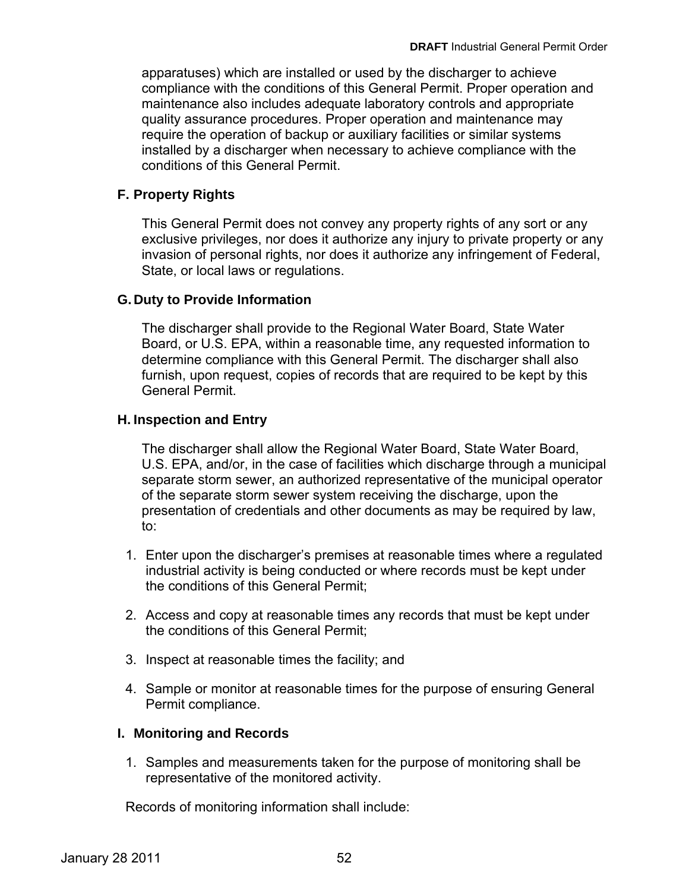apparatuses) which are installed or used by the discharger to achieve compliance with the conditions of this General Permit. Proper operation and maintenance also includes adequate laboratory controls and appropriate quality assurance procedures. Proper operation and maintenance may require the operation of backup or auxiliary facilities or similar systems installed by a discharger when necessary to achieve compliance with the conditions of this General Permit.

### **F. Property Rights**

This General Permit does not convey any property rights of any sort or any exclusive privileges, nor does it authorize any injury to private property or any invasion of personal rights, nor does it authorize any infringement of Federal, State, or local laws or regulations.

### **G. Duty to Provide Information**

The discharger shall provide to the Regional Water Board, State Water Board, or U.S. EPA, within a reasonable time, any requested information to determine compliance with this General Permit. The discharger shall also furnish, upon request, copies of records that are required to be kept by this General Permit.

### **H. Inspection and Entry**

The discharger shall allow the Regional Water Board, State Water Board, U.S. EPA, and/or, in the case of facilities which discharge through a municipal separate storm sewer, an authorized representative of the municipal operator of the separate storm sewer system receiving the discharge, upon the presentation of credentials and other documents as may be required by law, to:

- 1. Enter upon the discharger's premises at reasonable times where a regulated industrial activity is being conducted or where records must be kept under the conditions of this General Permit;
- 2. Access and copy at reasonable times any records that must be kept under the conditions of this General Permit;
- 3. Inspect at reasonable times the facility; and
- 4. Sample or monitor at reasonable times for the purpose of ensuring General Permit compliance.

#### **I. Monitoring and Records**

1. Samples and measurements taken for the purpose of monitoring shall be representative of the monitored activity.

Records of monitoring information shall include: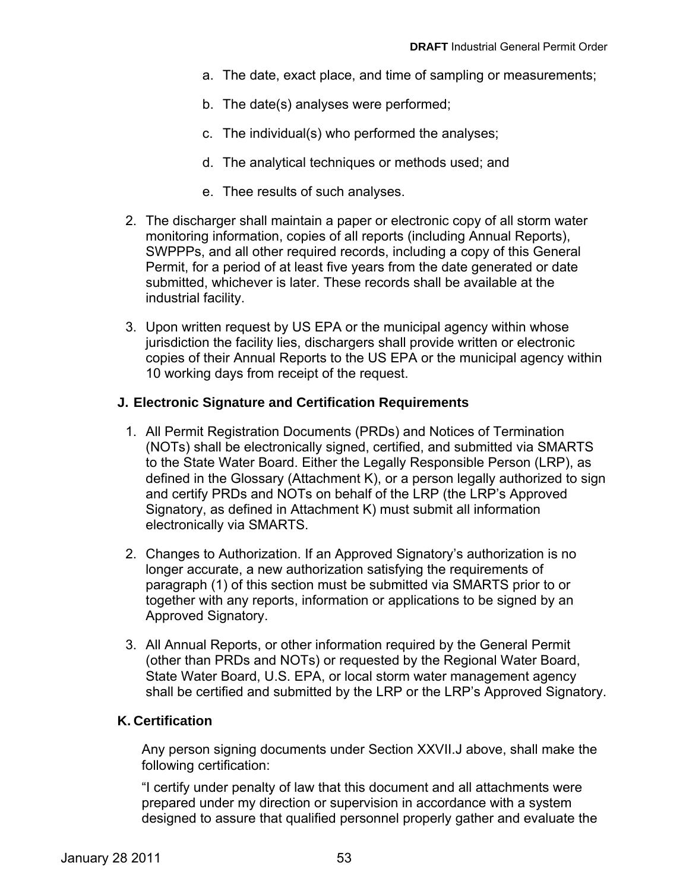- a. The date, exact place, and time of sampling or measurements;
- b. The date(s) analyses were performed;
- c. The individual(s) who performed the analyses;
- d. The analytical techniques or methods used; and
- e. Thee results of such analyses.
- 2. The discharger shall maintain a paper or electronic copy of all storm water monitoring information, copies of all reports (including Annual Reports), SWPPPs, and all other required records, including a copy of this General Permit, for a period of at least five years from the date generated or date submitted, whichever is later. These records shall be available at the industrial facility.
- 3. Upon written request by US EPA or the municipal agency within whose jurisdiction the facility lies, dischargers shall provide written or electronic copies of their Annual Reports to the US EPA or the municipal agency within 10 working days from receipt of the request.

#### **J. Electronic Signature and Certification Requirements**

- 1. All Permit Registration Documents (PRDs) and Notices of Termination (NOTs) shall be electronically signed, certified, and submitted via SMARTS to the State Water Board. Either the Legally Responsible Person (LRP), as defined in the Glossary (Attachment K), or a person legally authorized to sign and certify PRDs and NOTs on behalf of the LRP (the LRP's Approved Signatory, as defined in Attachment K) must submit all information electronically via SMARTS.
- 2. Changes to Authorization. If an Approved Signatory's authorization is no longer accurate, a new authorization satisfying the requirements of paragraph (1) of this section must be submitted via SMARTS prior to or together with any reports, information or applications to be signed by an Approved Signatory.
- 3. All Annual Reports, or other information required by the General Permit (other than PRDs and NOTs) or requested by the Regional Water Board, State Water Board, U.S. EPA, or local storm water management agency shall be certified and submitted by the LRP or the LRP's Approved Signatory.

### **K. Certification**

Any person signing documents under Section XXVII.J above, shall make the following certification:

"I certify under penalty of law that this document and all attachments were prepared under my direction or supervision in accordance with a system designed to assure that qualified personnel properly gather and evaluate the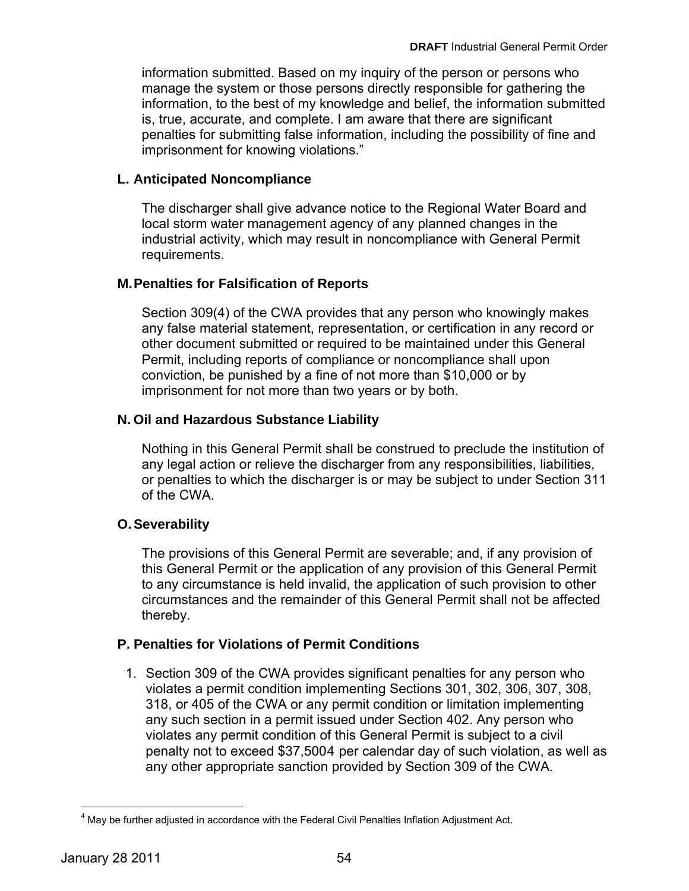information submitted. Based on my inquiry of the person or persons who manage the system or those persons directly responsible for gathering the information, to the best of my knowledge and belief, the information submitted is, true, accurate, and complete. I am aware that there are significant penalties for submitting false information, including the possibility of fine and imprisonment for knowing violations."

### **L. Anticipated Noncompliance**

The discharger shall give advance notice to the Regional Water Board and local storm water management agency of any planned changes in the industrial activity, which may result in noncompliance with General Permit requirements.

### **M. Penalties for Falsification of Reports**

Section 309(4) of the CWA provides that any person who knowingly makes any false material statement, representation, or certification in any record or other document submitted or required to be maintained under this General Permit, including reports of compliance or noncompliance shall upon conviction, be punished by a fine of not more than \$10,000 or by imprisonment for not more than two years or by both.

### **N. Oil and Hazardous Substance Liability**

Nothing in this General Permit shall be construed to preclude the institution of any legal action or relieve the discharger from any responsibilities, liabilities, or penalties to which the discharger is or may be subject to under Section 311 of the CWA.

# **O. Severability**

The provisions of this General Permit are severable; and, if any provision of this General Permit or the application of any provision of this General Permit to any circumstance is held invalid, the application of such provision to other circumstances and the remainder of this General Permit shall not be affected thereby.

### **P. Penalties for Violations of Permit Conditions**

1. Section 309 of the CWA provides significant penalties for any person who violates a permit condition implementing Sections 301, 302, 306, 307, 308, 318, or 405 of the CWA or any permit condition or limitation implementing any such section in a permit issued under Section 402. Any person who violates any permit condition of this General Permit is subject to a civil penalty not to exceed \$37,500[4](#page-55-0) per calendar day of such violation, as well as any other appropriate sanction provided by Section 309 of the CWA.

<span id="page-55-0"></span><sup>1</sup>  $<sup>4</sup>$  May be further adjusted in accordance with the Federal Civil Penalties Inflation Adjustment Act.</sup>